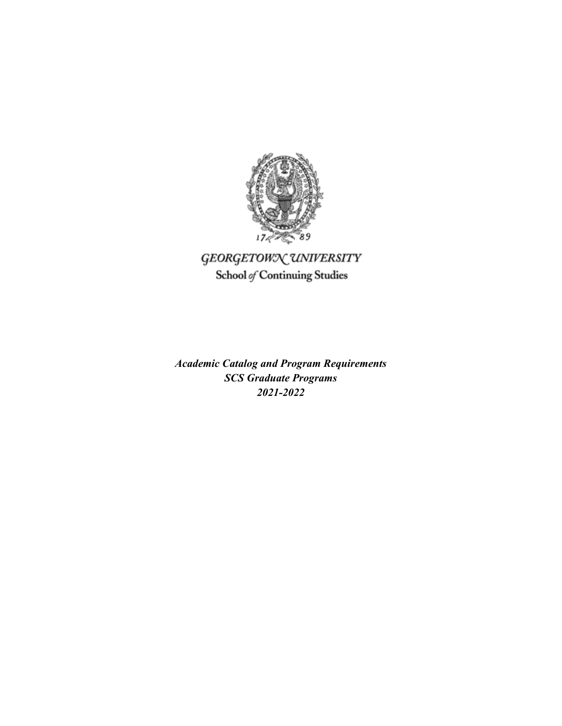

# GEORGETOWN UNIVERSITY School of Continuing Studies

*Academic Catalog and Program Requirements SCS Graduate Programs 2021-2022*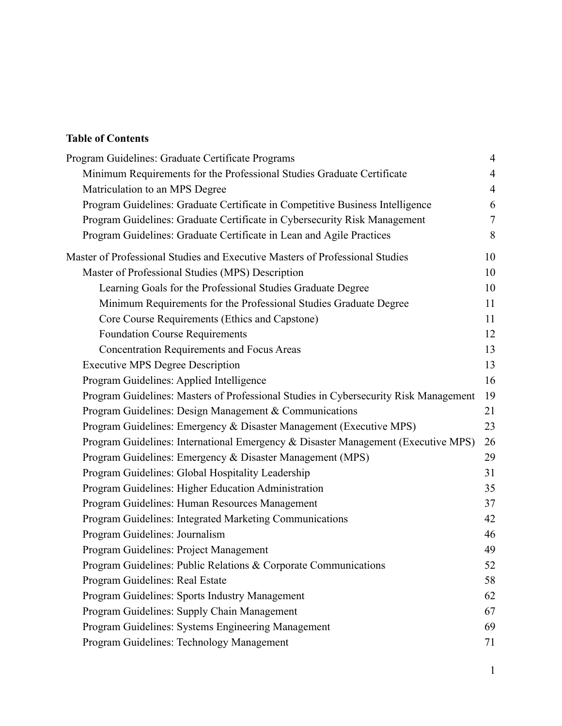# **Table of Contents**

| Program Guidelines: Graduate Certificate Programs                                    | $\overline{4}$ |
|--------------------------------------------------------------------------------------|----------------|
| Minimum Requirements for the Professional Studies Graduate Certificate               | $\overline{4}$ |
| Matriculation to an MPS Degree                                                       | $\overline{4}$ |
| Program Guidelines: Graduate Certificate in Competitive Business Intelligence        | 6              |
| Program Guidelines: Graduate Certificate in Cybersecurity Risk Management            | 7              |
| Program Guidelines: Graduate Certificate in Lean and Agile Practices                 | 8              |
| Master of Professional Studies and Executive Masters of Professional Studies         | 10             |
| Master of Professional Studies (MPS) Description                                     | 10             |
| Learning Goals for the Professional Studies Graduate Degree                          | 10             |
| Minimum Requirements for the Professional Studies Graduate Degree                    | 11             |
| Core Course Requirements (Ethics and Capstone)                                       | 11             |
| <b>Foundation Course Requirements</b>                                                | 12             |
| <b>Concentration Requirements and Focus Areas</b>                                    | 13             |
| <b>Executive MPS Degree Description</b>                                              | 13             |
| Program Guidelines: Applied Intelligence                                             | 16             |
| Program Guidelines: Masters of Professional Studies in Cybersecurity Risk Management | 19             |
| Program Guidelines: Design Management & Communications                               | 21             |
| Program Guidelines: Emergency & Disaster Management (Executive MPS)                  | 23             |
| Program Guidelines: International Emergency & Disaster Management (Executive MPS)    | 26             |
| Program Guidelines: Emergency & Disaster Management (MPS)                            | 29             |
| Program Guidelines: Global Hospitality Leadership                                    | 31             |
| Program Guidelines: Higher Education Administration                                  | 35             |
| Program Guidelines: Human Resources Management                                       | 37             |
| Program Guidelines: Integrated Marketing Communications                              | 42             |
| Program Guidelines: Journalism                                                       | 46             |
| Program Guidelines: Project Management                                               | 49             |
| Program Guidelines: Public Relations & Corporate Communications                      | 52             |
| Program Guidelines: Real Estate                                                      | 58             |
| Program Guidelines: Sports Industry Management                                       | 62             |
| Program Guidelines: Supply Chain Management                                          | 67             |
| Program Guidelines: Systems Engineering Management                                   | 69             |
| Program Guidelines: Technology Management                                            | 71             |
|                                                                                      |                |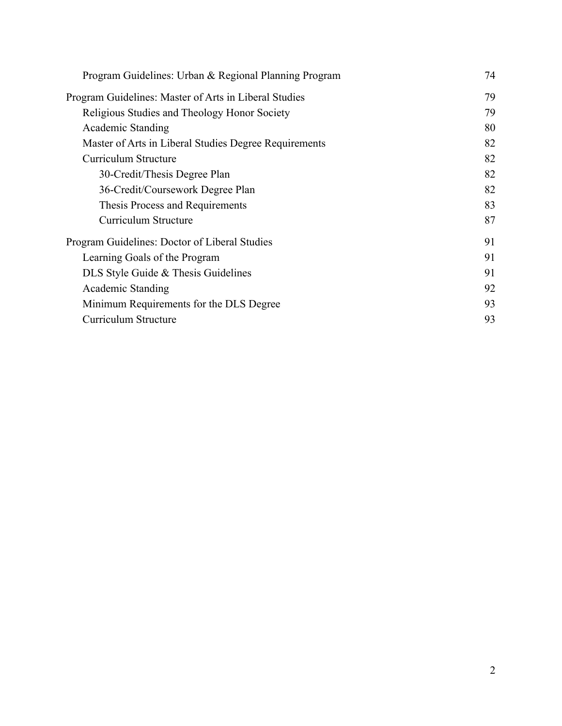| Program Guidelines: Urban & Regional Planning Program | 74 |
|-------------------------------------------------------|----|
| Program Guidelines: Master of Arts in Liberal Studies | 79 |
| Religious Studies and Theology Honor Society          | 79 |
| Academic Standing                                     | 80 |
| Master of Arts in Liberal Studies Degree Requirements | 82 |
| Curriculum Structure                                  | 82 |
| 30-Credit/Thesis Degree Plan                          | 82 |
| 36-Credit/Coursework Degree Plan                      | 82 |
| Thesis Process and Requirements                       | 83 |
| Curriculum Structure                                  | 87 |
| Program Guidelines: Doctor of Liberal Studies         | 91 |
| Learning Goals of the Program                         | 91 |
| DLS Style Guide & Thesis Guidelines                   | 91 |
| Academic Standing                                     | 92 |
| Minimum Requirements for the DLS Degree               | 93 |
| Curriculum Structure                                  | 93 |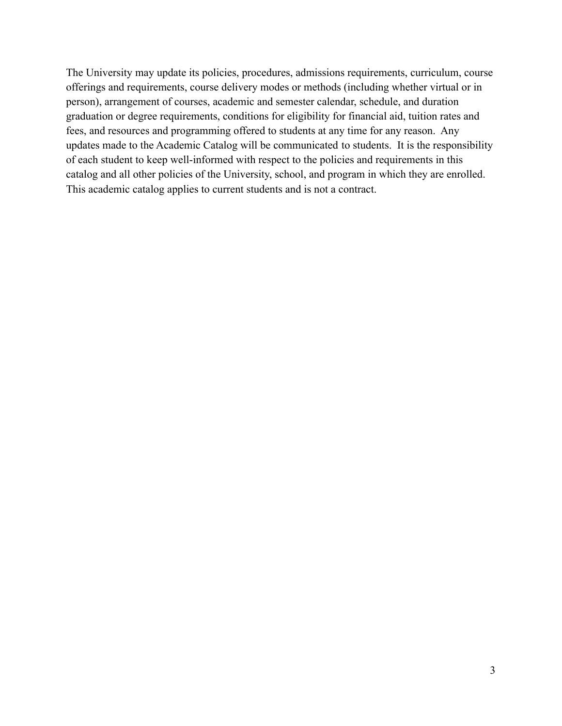The University may update its policies, procedures, admissions requirements, curriculum, course offerings and requirements, course delivery modes or methods (including whether virtual or in person), arrangement of courses, academic and semester calendar, schedule, and duration graduation or degree requirements, conditions for eligibility for financial aid, tuition rates and fees, and resources and programming offered to students at any time for any reason. Any updates made to the Academic Catalog will be communicated to students. It is the responsibility of each student to keep well-informed with respect to the policies and requirements in this catalog and all other policies of the University, school, and program in which they are enrolled. This academic catalog applies to current students and is not a contract.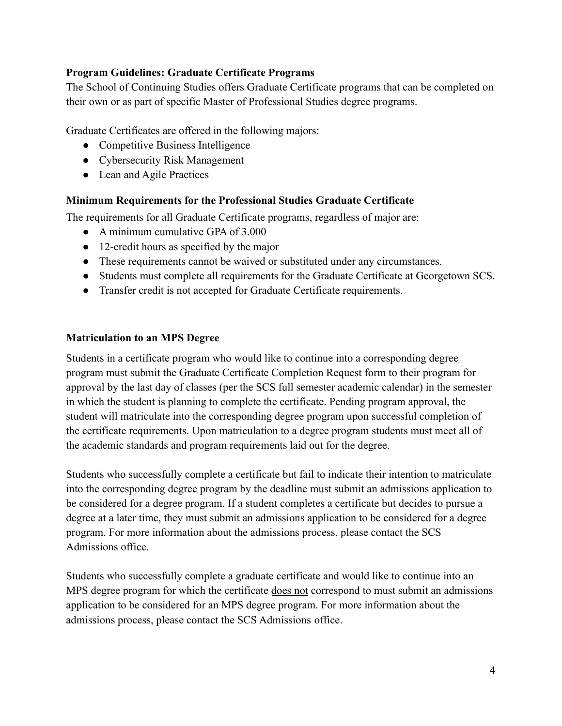#### <span id="page-4-0"></span>**Program Guidelines: Graduate Certificate Programs**

The School of Continuing Studies offers Graduate Certificate programs that can be completed on their own or as part of specific Master of Professional Studies degree programs.

Graduate Certificates are offered in the following majors:

- Competitive Business Intelligence
- Cybersecurity Risk Management
- Lean and Agile Practices

#### <span id="page-4-1"></span>**Minimum Requirements for the Professional Studies Graduate Certificate**

The requirements for all Graduate Certificate programs, regardless of major are:

- A minimum cumulative GPA of 3,000
- 12-credit hours as specified by the major
- These requirements cannot be waived or substituted under any circumstances.
- Students must complete all requirements for the Graduate Certificate at Georgetown SCS.
- Transfer credit is not accepted for Graduate Certificate requirements.

#### <span id="page-4-2"></span>**Matriculation to an MPS Degree**

Students in a certificate program who would like to continue into a corresponding degree program must submit the Graduate Certificate Completion Request form to their program for approval by the last day of classes (per the SCS full semester academic calendar) in the semester in which the student is planning to complete the certificate. Pending program approval, the student will matriculate into the corresponding degree program upon successful completion of the certificate requirements. Upon matriculation to a degree program students must meet all of the academic standards and program requirements laid out for the degree.

Students who successfully complete a certificate but fail to indicate their intention to matriculate into the corresponding degree program by the deadline must submit an admissions application to be considered for a degree program. If a student completes a certificate but decides to pursue a degree at a later time, they must submit an admissions application to be considered for a degree program. For more information about the admissions process, please contact the SCS Admissions office.

Students who successfully complete a graduate certificate and would like to continue into an MPS degree program for which the certificate does not correspond to must submit an admissions application to be considered for an MPS degree program. For more information about the admissions process, please contact the SCS Admissions office.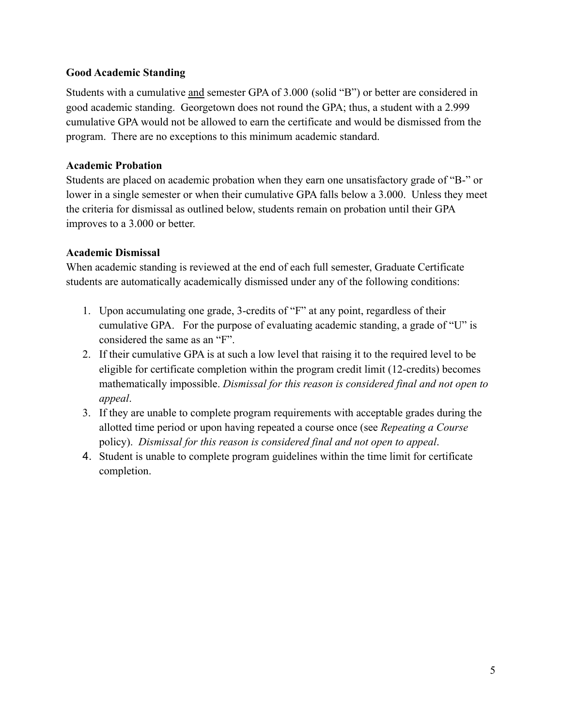#### **Good Academic Standing**

Students with a cumulative and semester GPA of 3.000 (solid "B") or better are considered in good academic standing. Georgetown does not round the GPA; thus, a student with a 2.999 cumulative GPA would not be allowed to earn the certificate and would be dismissed from the program. There are no exceptions to this minimum academic standard.

### **Academic Probation**

Students are placed on academic probation when they earn one unsatisfactory grade of "B-" or lower in a single semester or when their cumulative GPA falls below a 3.000. Unless they meet the criteria for dismissal as outlined below, students remain on probation until their GPA improves to a 3.000 or better.

### **Academic Dismissal**

When academic standing is reviewed at the end of each full semester, Graduate Certificate students are automatically academically dismissed under any of the following conditions:

- 1. Upon accumulating one grade, 3-credits of "F" at any point, regardless of their cumulative GPA. For the purpose of evaluating academic standing, a grade of "U" is considered the same as an "F".
- 2. If their cumulative GPA is at such a low level that raising it to the required level to be eligible for certificate completion within the program credit limit (12-credits) becomes mathematically impossible. *Dismissal for this reason is considered final and not open to appeal*.
- 3. If they are unable to complete program requirements with acceptable grades during the allotted time period or upon having repeated a course once (see *Repeating a Course* policy). *Dismissal for this reason is considered final and not open to appeal*.
- 4. Student is unable to complete program guidelines within the time limit for certificate completion.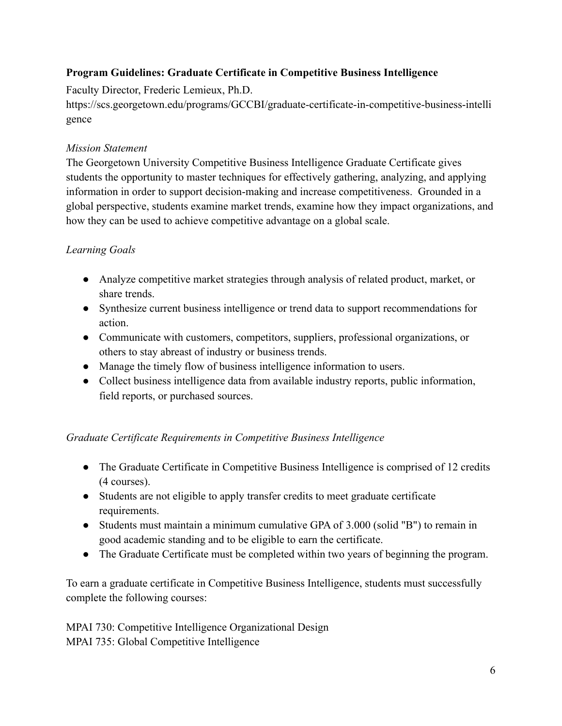# <span id="page-6-0"></span>**Program Guidelines: Graduate Certificate in Competitive Business Intelligence**

Faculty Director, Frederic Lemieux, Ph.D.

[https://scs.georgetown.edu/programs/GCCBI/graduate-certificate-in-competitive-business-intelli](https://scs.georgetown.edu/programs/GCCBI/graduate-certificate-in-competitive-business-intelligence) [gence](https://scs.georgetown.edu/programs/GCCBI/graduate-certificate-in-competitive-business-intelligence)

### *Mission Statement*

The Georgetown University Competitive Business Intelligence Graduate Certificate gives students the opportunity to master techniques for effectively gathering, analyzing, and applying information in order to support decision-making and increase competitiveness. Grounded in a global perspective, students examine market trends, examine how they impact organizations, and how they can be used to achieve competitive advantage on a global scale.

# *Learning Goals*

- Analyze competitive market strategies through analysis of related product, market, or share trends.
- Synthesize current business intelligence or trend data to support recommendations for action.
- Communicate with customers, competitors, suppliers, professional organizations, or others to stay abreast of industry or business trends.
- Manage the timely flow of business intelligence information to users.
- Collect business intelligence data from available industry reports, public information, field reports, or purchased sources.

### *Graduate Certificate Requirements in Competitive Business Intelligence*

- The Graduate Certificate in Competitive Business Intelligence is comprised of 12 credits (4 courses).
- Students are not eligible to apply transfer credits to meet graduate certificate requirements.
- Students must maintain a minimum cumulative GPA of 3.000 (solid "B") to remain in good academic standing and to be eligible to earn the certificate.
- The Graduate Certificate must be completed within two years of beginning the program.

To earn a graduate certificate in Competitive Business Intelligence, students must successfully complete the following courses:

MPAI 730: Competitive Intelligence Organizational Design MPAI 735: Global Competitive Intelligence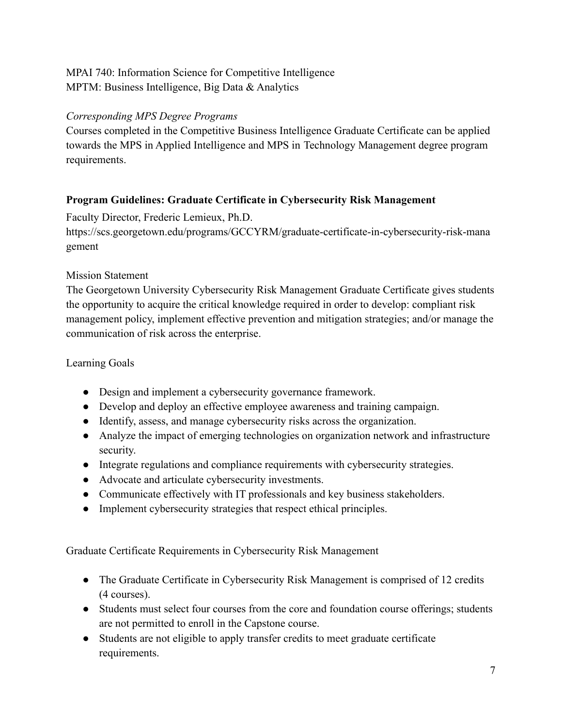# MPAI 740: Information Science for Competitive Intelligence MPTM: Business Intelligence, Big Data & Analytics

### *Corresponding MPS Degree Programs*

Courses completed in the Competitive Business Intelligence Graduate Certificate can be applied towards the MPS in Applied Intelligence and MPS in Technology Management degree program requirements.

### <span id="page-7-0"></span>**Program Guidelines: Graduate Certificate in Cybersecurity Risk Management**

Faculty Director, Frederic Lemieux, Ph.D.

[https://scs.georgetown.edu/programs/GCCYRM/graduate-certificate-in-cybersecurity-risk-mana](https://scs.georgetown.edu/programs/GCCYRM/graduate-certificate-in-cybersecurity-risk-management) [gement](https://scs.georgetown.edu/programs/GCCYRM/graduate-certificate-in-cybersecurity-risk-management)

#### Mission Statement

The Georgetown University Cybersecurity Risk Management Graduate Certificate gives students the opportunity to acquire the critical knowledge required in order to develop: compliant risk management policy, implement effective prevention and mitigation strategies; and/or manage the communication of risk across the enterprise.

#### Learning Goals

- Design and implement a cybersecurity governance framework.
- Develop and deploy an effective employee awareness and training campaign.
- Identify, assess, and manage cybersecurity risks across the organization.
- Analyze the impact of emerging technologies on organization network and infrastructure security.
- Integrate regulations and compliance requirements with cybersecurity strategies.
- Advocate and articulate cybersecurity investments.
- Communicate effectively with IT professionals and key business stakeholders.
- Implement cybersecurity strategies that respect ethical principles.

Graduate Certificate Requirements in Cybersecurity Risk Management

- The Graduate Certificate in Cybersecurity Risk Management is comprised of 12 credits (4 courses).
- Students must select four courses from the core and foundation course offerings; students are not permitted to enroll in the Capstone course.
- Students are not eligible to apply transfer credits to meet graduate certificate requirements.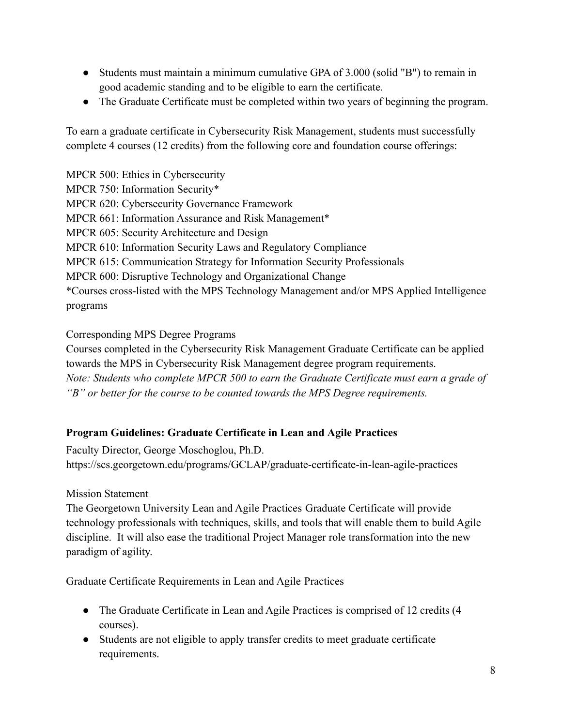- Students must maintain a minimum cumulative GPA of 3.000 (solid "B") to remain in good academic standing and to be eligible to earn the certificate.
- The Graduate Certificate must be completed within two years of beginning the program.

To earn a graduate certificate in Cybersecurity Risk Management, students must successfully complete 4 courses (12 credits) from the following core and foundation course offerings:

MPCR 500: Ethics in Cybersecurity MPCR 750: Information Security\* MPCR 620: Cybersecurity Governance Framework MPCR 661: Information Assurance and Risk Management\* MPCR 605: Security Architecture and Design MPCR 610: Information Security Laws and Regulatory Compliance MPCR 615: Communication Strategy for Information Security Professionals MPCR 600: Disruptive Technology and Organizational Change \*Courses cross-listed with the MPS Technology Management and/or MPS Applied Intelligence programs

Corresponding MPS Degree Programs

Courses completed in the Cybersecurity Risk Management Graduate Certificate can be applied towards the MPS in Cybersecurity Risk Management degree program requirements. *Note: Students who complete MPCR 500 to earn the Graduate Certificate must earn a grade of "B" or better for the course to be counted towards the MPS Degree requirements.*

### <span id="page-8-0"></span>**Program Guidelines: Graduate Certificate in Lean and Agile Practices**

Faculty Director, George Moschoglou, Ph.D. <https://scs.georgetown.edu/programs/GCLAP/graduate-certificate-in-lean-agile-practices>

Mission Statement

The Georgetown University Lean and Agile Practices Graduate Certificate will provide technology professionals with techniques, skills, and tools that will enable them to build Agile discipline. It will also ease the traditional Project Manager role transformation into the new paradigm of agility.

Graduate Certificate Requirements in Lean and Agile Practices

- The Graduate Certificate in Lean and Agile Practices is comprised of 12 credits (4 courses).
- Students are not eligible to apply transfer credits to meet graduate certificate requirements.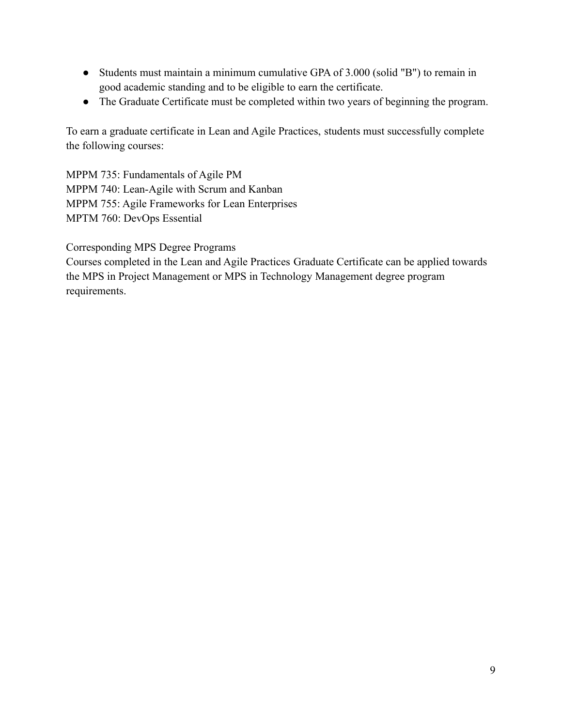- Students must maintain a minimum cumulative GPA of 3.000 (solid "B") to remain in good academic standing and to be eligible to earn the certificate.
- The Graduate Certificate must be completed within two years of beginning the program.

To earn a graduate certificate in Lean and Agile Practices, students must successfully complete the following courses:

MPPM 735: Fundamentals of Agile PM MPPM 740: Lean-Agile with Scrum and Kanban MPPM 755: Agile Frameworks for Lean Enterprises MPTM 760: DevOps Essential

Corresponding MPS Degree Programs

Courses completed in the Lean and Agile Practices Graduate Certificate can be applied towards the MPS in Project Management or MPS in Technology Management degree program requirements.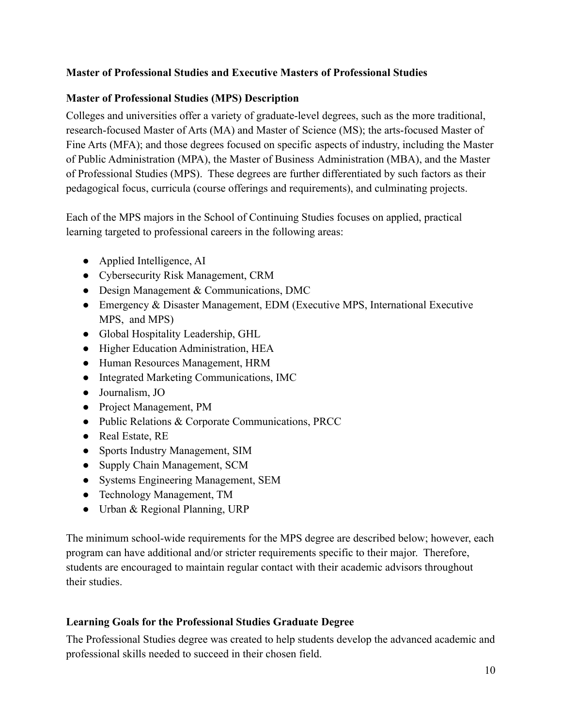### <span id="page-10-0"></span>**Master of Professional Studies and Executive Masters of Professional Studies**

#### <span id="page-10-1"></span>**Master of Professional Studies (MPS) Description**

Colleges and universities offer a variety of graduate-level degrees, such as the more traditional, research-focused Master of Arts (MA) and Master of Science (MS); the arts-focused Master of Fine Arts (MFA); and those degrees focused on specific aspects of industry, including the Master of Public Administration (MPA), the Master of Business Administration (MBA), and the Master of Professional Studies (MPS). These degrees are further differentiated by such factors as their pedagogical focus, curricula (course offerings and requirements), and culminating projects.

Each of the MPS majors in the School of Continuing Studies focuses on applied, practical learning targeted to professional careers in the following areas:

- Applied Intelligence, AI
- Cybersecurity Risk Management, CRM
- Design Management & Communications, DMC
- Emergency & Disaster Management, EDM (Executive MPS, International Executive MPS, and MPS)
- Global Hospitality Leadership, GHL
- Higher Education Administration, HEA
- Human Resources Management, HRM
- Integrated Marketing Communications, IMC
- Journalism, JO
- Project Management, PM
- Public Relations & Corporate Communications, PRCC
- Real Estate, RE
- Sports Industry Management, SIM
- Supply Chain Management, SCM
- Systems Engineering Management, SEM
- Technology Management, TM
- Urban & Regional Planning, URP

The minimum school-wide requirements for the MPS degree are described below; however, each program can have additional and/or stricter requirements specific to their major. Therefore, students are encouraged to maintain regular contact with their academic advisors throughout their studies.

### <span id="page-10-2"></span>**Learning Goals for the Professional Studies Graduate Degree**

The Professional Studies degree was created to help students develop the advanced academic and professional skills needed to succeed in their chosen field.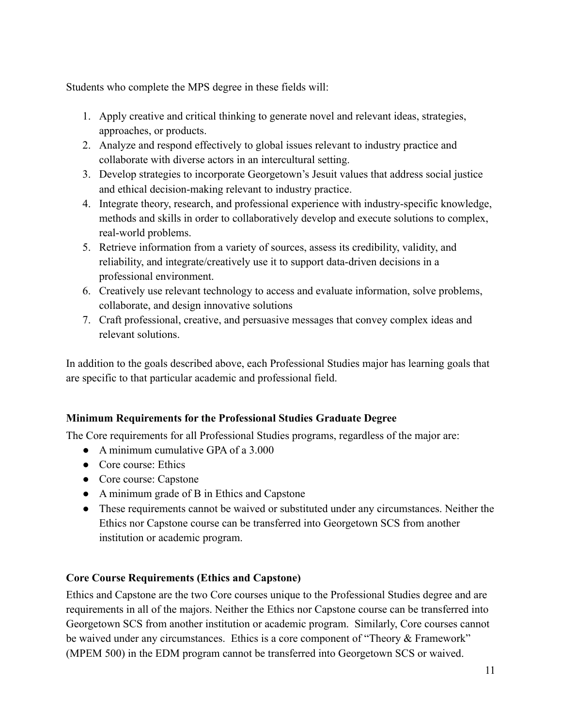Students who complete the MPS degree in these fields will:

- 1. Apply creative and critical thinking to generate novel and relevant ideas, strategies, approaches, or products.
- 2. Analyze and respond effectively to global issues relevant to industry practice and collaborate with diverse actors in an intercultural setting.
- 3. Develop strategies to incorporate Georgetown's Jesuit values that address social justice and ethical decision-making relevant to industry practice.
- 4. Integrate theory, research, and professional experience with industry-specific knowledge, methods and skills in order to collaboratively develop and execute solutions to complex, real-world problems.
- 5. Retrieve information from a variety of sources, assess its credibility, validity, and reliability, and integrate/creatively use it to support data-driven decisions in a professional environment.
- 6. Creatively use relevant technology to access and evaluate information, solve problems, collaborate, and design innovative solutions
- 7. Craft professional, creative, and persuasive messages that convey complex ideas and relevant solutions.

In addition to the goals described above, each Professional Studies major has learning goals that are specific to that particular academic and professional field.

# <span id="page-11-0"></span>**Minimum Requirements for the Professional Studies Graduate Degree**

The Core requirements for all Professional Studies programs, regardless of the major are:

- A minimum cumulative GPA of a 3.000
- Core course: Ethics
- Core course: Capstone
- A minimum grade of B in Ethics and Capstone
- These requirements cannot be waived or substituted under any circumstances. Neither the Ethics nor Capstone course can be transferred into Georgetown SCS from another institution or academic program.

### <span id="page-11-1"></span>**Core Course Requirements (Ethics and Capstone)**

Ethics and Capstone are the two Core courses unique to the Professional Studies degree and are requirements in all of the majors. Neither the Ethics nor Capstone course can be transferred into Georgetown SCS from another institution or academic program. Similarly, Core courses cannot be waived under any circumstances. Ethics is a core component of "Theory & Framework" (MPEM 500) in the EDM program cannot be transferred into Georgetown SCS or waived.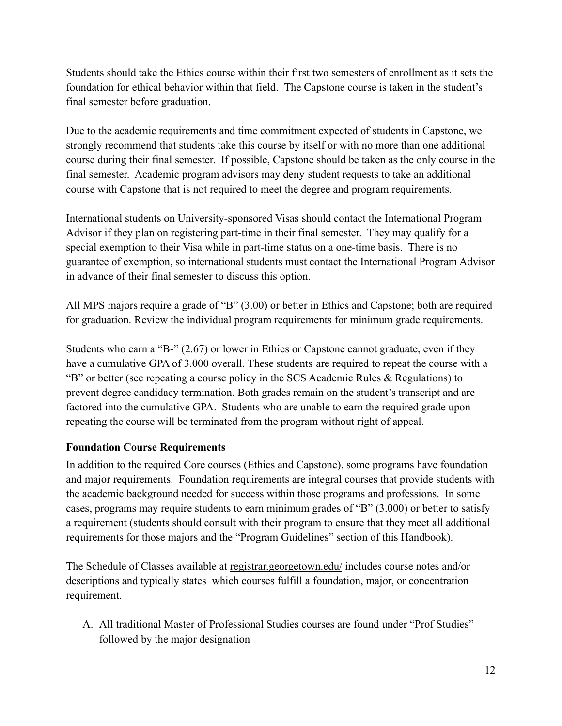Students should take the Ethics course within their first two semesters of enrollment as it sets the foundation for ethical behavior within that field. The Capstone course is taken in the student's final semester before graduation.

Due to the academic requirements and time commitment expected of students in Capstone, we strongly recommend that students take this course by itself or with no more than one additional course during their final semester. If possible, Capstone should be taken as the only course in the final semester. Academic program advisors may deny student requests to take an additional course with Capstone that is not required to meet the degree and program requirements.

International students on University-sponsored Visas should contact the International Program Advisor if they plan on registering part-time in their final semester. They may qualify for a special exemption to their Visa while in part-time status on a one-time basis. There is no guarantee of exemption, so international students must contact the International Program Advisor in advance of their final semester to discuss this option.

All MPS majors require a grade of "B" (3.00) or better in Ethics and Capstone; both are required for graduation. Review the individual program requirements for minimum grade requirements.

Students who earn a "B-" (2.67) or lower in Ethics or Capstone cannot graduate, even if they have a cumulative GPA of 3.000 overall. These students are required to repeat the course with a "B" or better (see repeating a course policy in the SCS Academic Rules & Regulations) to prevent degree candidacy termination. Both grades remain on the student's transcript and are factored into the cumulative GPA. Students who are unable to earn the required grade upon repeating the course will be terminated from the program without right of appeal.

### <span id="page-12-0"></span>**Foundation Course Requirements**

In addition to the required Core courses (Ethics and Capstone), some programs have foundation and major requirements. Foundation requirements are integral courses that provide students with the academic background needed for success within those programs and professions. In some cases, programs may require students to earn minimum grades of "B" (3.000) or better to satisfy a requirement (students should consult with their program to ensure that they meet all additional requirements for those majors and the "Program Guidelines" section of this Handbook).

The Schedule of Classes available at [registrar.georgetown.edu/](http://registrar.georgetown.edu/) includes course notes and/or descriptions and typically states which courses fulfill a foundation, major, or concentration requirement.

A. All traditional Master of Professional Studies courses are found under "Prof Studies" followed by the major designation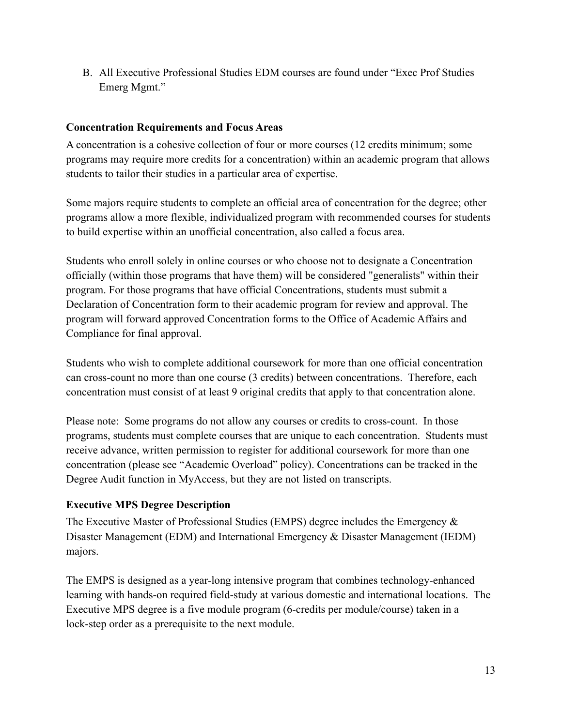B. All Executive Professional Studies EDM courses are found under "Exec Prof Studies Emerg Mgmt."

#### <span id="page-13-0"></span>**Concentration Requirements and Focus Areas**

A concentration is a cohesive collection of four or more courses (12 credits minimum; some programs may require more credits for a concentration) within an academic program that allows students to tailor their studies in a particular area of expertise.

Some majors require students to complete an official area of concentration for the degree; other programs allow a more flexible, individualized program with recommended courses for students to build expertise within an unofficial concentration, also called a focus area.

Students who enroll solely in online courses or who choose not to designate a Concentration officially (within those programs that have them) will be considered "generalists" within their program. For those programs that have official Concentrations, students must submit a Declaration of Concentration form to their academic program for review and approval. The program will forward approved Concentration forms to the Office of Academic Affairs and Compliance for final approval.

Students who wish to complete additional coursework for more than one official concentration can cross-count no more than one course (3 credits) between concentrations. Therefore, each concentration must consist of at least 9 original credits that apply to that concentration alone.

Please note: Some programs do not allow any courses or credits to cross-count. In those programs, students must complete courses that are unique to each concentration. Students must receive advance, written permission to register for additional coursework for more than one concentration (please see "Academic Overload" policy). Concentrations can be tracked in the Degree Audit function in MyAccess, but they are not listed on transcripts.

### <span id="page-13-1"></span>**Executive MPS Degree Description**

The Executive Master of Professional Studies (EMPS) degree includes the Emergency & Disaster Management (EDM) and International Emergency & Disaster Management (IEDM) majors.

The EMPS is designed as a year-long intensive program that combines technology-enhanced learning with hands-on required field-study at various domestic and international locations. The Executive MPS degree is a five module program (6-credits per module/course) taken in a lock-step order as a prerequisite to the next module.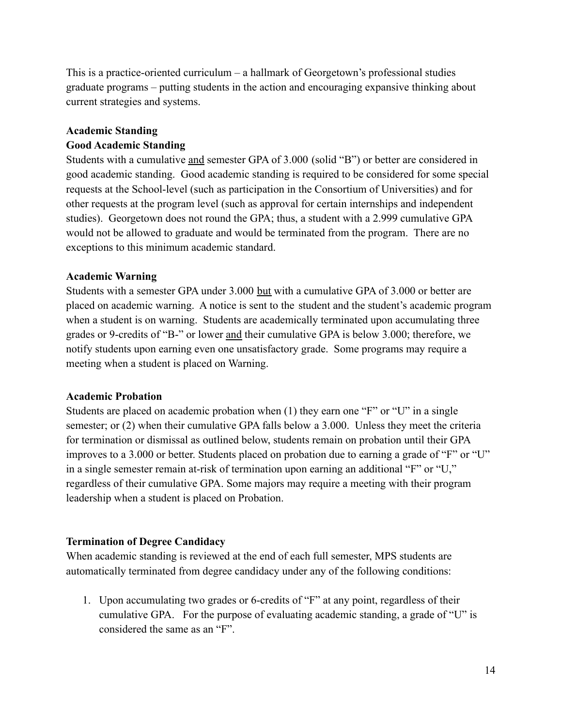This is a practice-oriented curriculum – a hallmark of Georgetown's professional studies graduate programs – putting students in the action and encouraging expansive thinking about current strategies and systems.

#### **Academic Standing**

#### **Good Academic Standing**

Students with a cumulative and semester GPA of 3.000 (solid "B") or better are considered in good academic standing. Good academic standing is required to be considered for some special requests at the School-level (such as participation in the Consortium of Universities) and for other requests at the program level (such as approval for certain internships and independent studies). Georgetown does not round the GPA; thus, a student with a 2.999 cumulative GPA would not be allowed to graduate and would be terminated from the program. There are no exceptions to this minimum academic standard.

#### **Academic Warning**

Students with a semester GPA under 3.000 but with a cumulative GPA of 3.000 or better are placed on academic warning. A notice is sent to the student and the student's academic program when a student is on warning. Students are academically terminated upon accumulating three grades or 9-credits of "B-" or lower and their cumulative GPA is below 3.000; therefore, we notify students upon earning even one unsatisfactory grade. Some programs may require a meeting when a student is placed on Warning.

#### **Academic Probation**

Students are placed on academic probation when (1) they earn one "F" or "U" in a single semester; or (2) when their cumulative GPA falls below a 3.000. Unless they meet the criteria for termination or dismissal as outlined below, students remain on probation until their GPA improves to a 3.000 or better. Students placed on probation due to earning a grade of "F" or "U" in a single semester remain at-risk of termination upon earning an additional "F" or "U," regardless of their cumulative GPA. Some majors may require a meeting with their program leadership when a student is placed on Probation.

#### **Termination of Degree Candidacy**

When academic standing is reviewed at the end of each full semester, MPS students are automatically terminated from degree candidacy under any of the following conditions:

1. Upon accumulating two grades or 6-credits of "F" at any point, regardless of their cumulative GPA. For the purpose of evaluating academic standing, a grade of "U" is considered the same as an "F".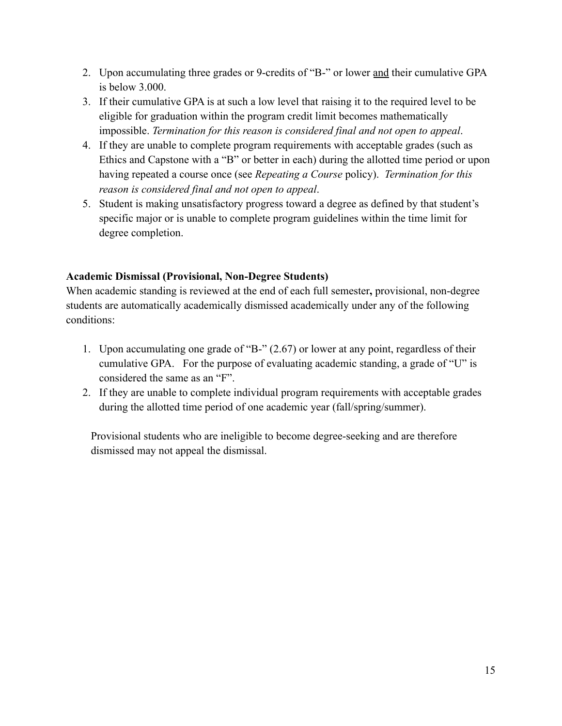- 2. Upon accumulating three grades or 9-credits of "B-" or lower and their cumulative GPA is below 3.000.
- 3. If their cumulative GPA is at such a low level that raising it to the required level to be eligible for graduation within the program credit limit becomes mathematically impossible. *Termination for this reason is considered final and not open to appeal*.
- 4. If they are unable to complete program requirements with acceptable grades (such as Ethics and Capstone with a "B" or better in each) during the allotted time period or upon having repeated a course once (see *Repeating a Course* policy). *Termination for this reason is considered final and not open to appeal*.
- 5. Student is making unsatisfactory progress toward a degree as defined by that student's specific major or is unable to complete program guidelines within the time limit for degree completion.

### **Academic Dismissal (Provisional, Non-Degree Students)**

When academic standing is reviewed at the end of each full semester**,** provisional, non-degree students are automatically academically dismissed academically under any of the following conditions:

- 1. Upon accumulating one grade of "B-" (2.67) or lower at any point, regardless of their cumulative GPA. For the purpose of evaluating academic standing, a grade of "U" is considered the same as an "F".
- 2. If they are unable to complete individual program requirements with acceptable grades during the allotted time period of one academic year (fall/spring/summer).

Provisional students who are ineligible to become degree-seeking and are therefore dismissed may not appeal the dismissal.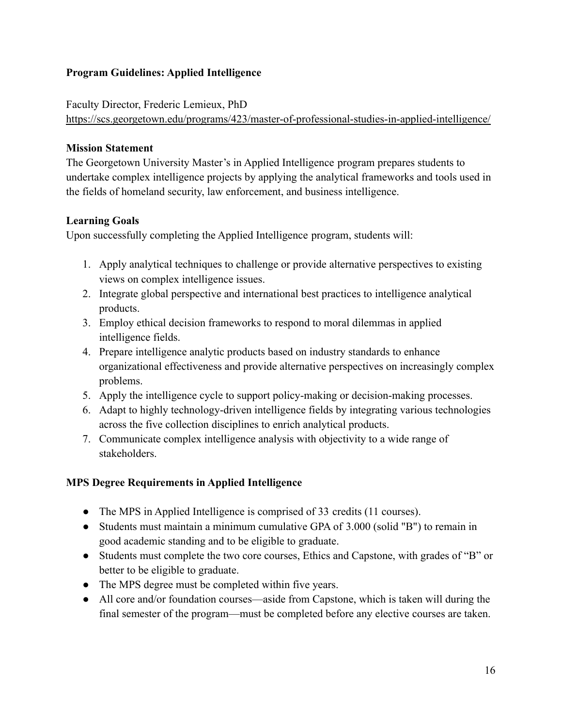### <span id="page-16-0"></span>**Program Guidelines: Applied Intelligence**

Faculty Director, Frederic Lemieux, PhD

<https://scs.georgetown.edu/programs/423/master-of-professional-studies-in-applied-intelligence/>

### **Mission Statement**

The Georgetown University Master's in Applied Intelligence program prepares students to undertake complex intelligence projects by applying the analytical frameworks and tools used in the fields of homeland security, law enforcement, and business intelligence.

# **Learning Goals**

Upon successfully completing the Applied Intelligence program, students will:

- 1. Apply analytical techniques to challenge or provide alternative perspectives to existing views on complex intelligence issues.
- 2. Integrate global perspective and international best practices to intelligence analytical products.
- 3. Employ ethical decision frameworks to respond to moral dilemmas in applied intelligence fields.
- 4. Prepare intelligence analytic products based on industry standards to enhance organizational effectiveness and provide alternative perspectives on increasingly complex problems.
- 5. Apply the intelligence cycle to support policy-making or decision-making processes.
- 6. Adapt to highly technology-driven intelligence fields by integrating various technologies across the five collection disciplines to enrich analytical products.
- 7. Communicate complex intelligence analysis with objectivity to a wide range of stakeholders.

# **MPS Degree Requirements in Applied Intelligence**

- The MPS in Applied Intelligence is comprised of 33 credits (11 courses).
- Students must maintain a minimum cumulative GPA of 3.000 (solid "B") to remain in good academic standing and to be eligible to graduate.
- Students must complete the two core courses, Ethics and Capstone, with grades of "B" or better to be eligible to graduate.
- The MPS degree must be completed within five years.
- All core and/or foundation courses—aside from Capstone, which is taken will during the final semester of the program—must be completed before any elective courses are taken.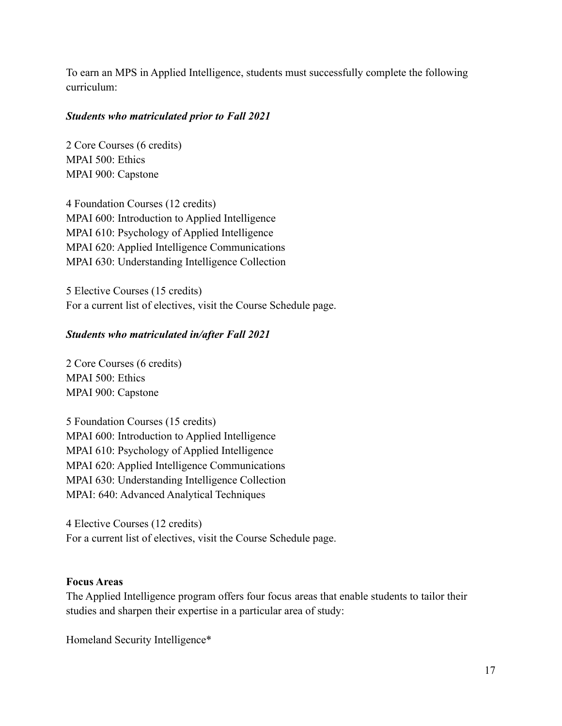To earn an MPS in Applied Intelligence, students must successfully complete the following curriculum:

#### *Students who matriculated prior to Fall 2021*

2 Core Courses (6 credits) MPAI 500: Ethics MPAI 900: Capstone

4 Foundation Courses (12 credits) MPAI 600: Introduction to Applied Intelligence MPAI 610: Psychology of Applied Intelligence MPAI 620: Applied Intelligence Communications MPAI 630: Understanding Intelligence Collection

5 Elective Courses (15 credits) For a current list of electives, visit the Course Schedule page.

#### *Students who matriculated in/after Fall 2021*

2 Core Courses (6 credits) MPAI 500: Ethics MPAI 900: Capstone

5 Foundation Courses (15 credits) MPAI 600: Introduction to Applied Intelligence MPAI 610: Psychology of Applied Intelligence MPAI 620: Applied Intelligence Communications MPAI 630: Understanding Intelligence Collection MPAI: 640: Advanced Analytical Techniques

4 Elective Courses (12 credits) For a current list of electives, visit the Course Schedule page.

#### **Focus Areas**

The Applied Intelligence program offers four focus areas that enable students to tailor their studies and sharpen their expertise in a particular area of study:

Homeland Security Intelligence\*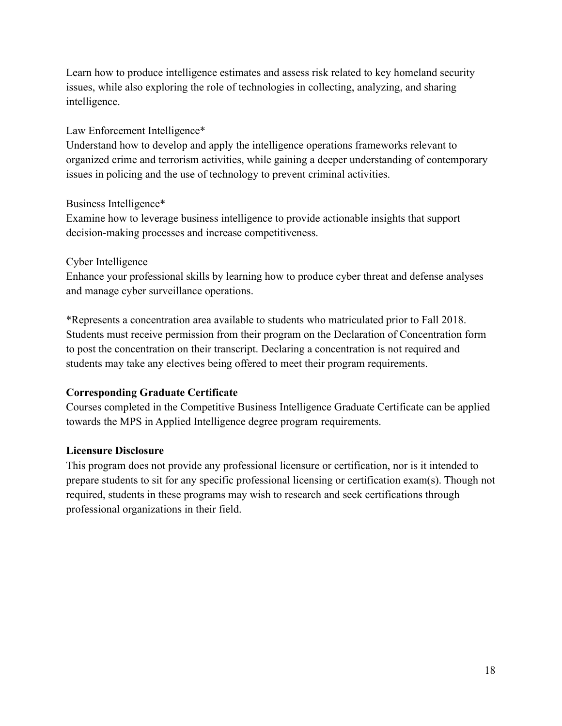Learn how to produce intelligence estimates and assess risk related to key homeland security issues, while also exploring the role of technologies in collecting, analyzing, and sharing intelligence.

#### Law Enforcement Intelligence\*

Understand how to develop and apply the intelligence operations frameworks relevant to organized crime and terrorism activities, while gaining a deeper understanding of contemporary issues in policing and the use of technology to prevent criminal activities.

#### Business Intelligence\*

Examine how to leverage business intelligence to provide actionable insights that support decision-making processes and increase competitiveness.

#### Cyber Intelligence

Enhance your professional skills by learning how to produce cyber threat and defense analyses and manage cyber surveillance operations.

\*Represents a concentration area available to students who matriculated prior to Fall 2018. Students must receive permission from their program on the Declaration of Concentration form to post the concentration on their transcript. Declaring a concentration is not required and students may take any electives being offered to meet their program requirements.

### **Corresponding Graduate Certificate**

Courses completed in the Competitive Business Intelligence Graduate Certificate can be applied towards the MPS in Applied Intelligence degree program requirements.

### **Licensure Disclosure**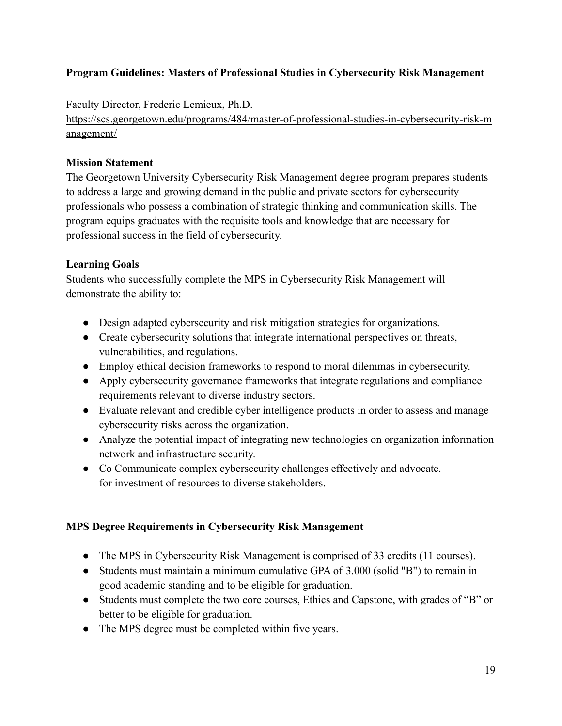### <span id="page-19-0"></span>**Program Guidelines: Masters of Professional Studies in Cybersecurity Risk Management**

Faculty Director, Frederic Lemieux, Ph.D.

[https://scs.georgetown.edu/programs/484/master-of-professional-studies-in-cybersecurity-risk-m](https://scs.georgetown.edu/programs/484/master-of-professional-studies-in-cybersecurity-risk-management/) [anagement/](https://scs.georgetown.edu/programs/484/master-of-professional-studies-in-cybersecurity-risk-management/)

### **Mission Statement**

The Georgetown University Cybersecurity Risk Management degree program prepares students to address a large and growing demand in the public and private sectors for cybersecurity professionals who possess a combination of strategic thinking and communication skills. The program equips graduates with the requisite tools and knowledge that are necessary for professional success in the field of cybersecurity.

### **Learning Goals**

Students who successfully complete the MPS in Cybersecurity Risk Management will demonstrate the ability to:

- Design adapted cybersecurity and risk mitigation strategies for organizations.
- Create cybersecurity solutions that integrate international perspectives on threats, vulnerabilities, and regulations.
- Employ ethical decision frameworks to respond to moral dilemmas in cybersecurity.
- Apply cybersecurity governance frameworks that integrate regulations and compliance requirements relevant to diverse industry sectors.
- Evaluate relevant and credible cyber intelligence products in order to assess and manage cybersecurity risks across the organization.
- Analyze the potential impact of integrating new technologies on organization information network and infrastructure security.
- Co Communicate complex cybersecurity challenges effectively and advocate. for investment of resources to diverse stakeholders.

### **MPS Degree Requirements in Cybersecurity Risk Management**

- The MPS in Cybersecurity Risk Management is comprised of 33 credits (11 courses).
- Students must maintain a minimum cumulative GPA of 3.000 (solid "B") to remain in good academic standing and to be eligible for graduation.
- Students must complete the two core courses, Ethics and Capstone, with grades of "B" or better to be eligible for graduation.
- The MPS degree must be completed within five years.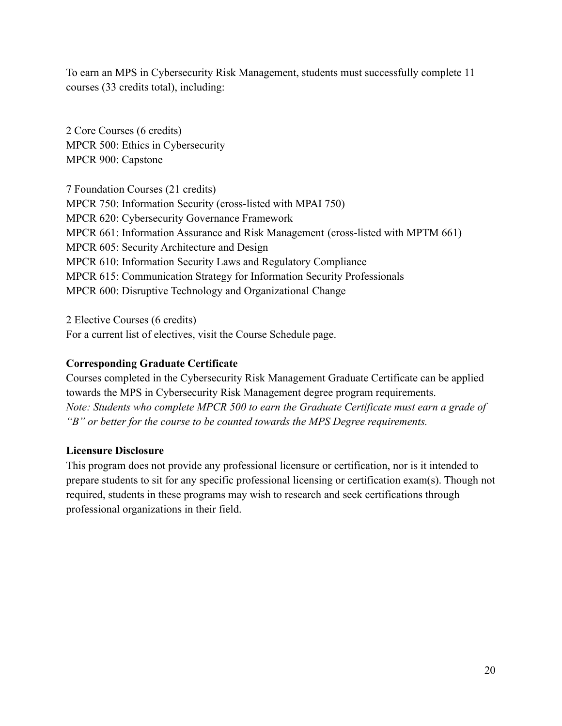To earn an MPS in Cybersecurity Risk Management, students must successfully complete 11 courses (33 credits total), including:

2 Core Courses (6 credits) MPCR 500: Ethics in Cybersecurity MPCR 900: Capstone

7 Foundation Courses (21 credits) MPCR 750: Information Security (cross-listed with MPAI 750) MPCR 620: Cybersecurity Governance Framework MPCR 661: Information Assurance and Risk Management (cross-listed with MPTM 661) MPCR 605: Security Architecture and Design MPCR 610: Information Security Laws and Regulatory Compliance MPCR 615: Communication Strategy for Information Security Professionals MPCR 600: Disruptive Technology and Organizational Change

2 Elective Courses (6 credits) For a current list of electives, visit the Course Schedule page.

### **Corresponding Graduate Certificate**

Courses completed in the Cybersecurity Risk Management Graduate Certificate can be applied towards the MPS in Cybersecurity Risk Management degree program requirements. *Note: Students who complete MPCR 500 to earn the Graduate Certificate must earn a grade of "B" or better for the course to be counted towards the MPS Degree requirements.*

#### **Licensure Disclosure**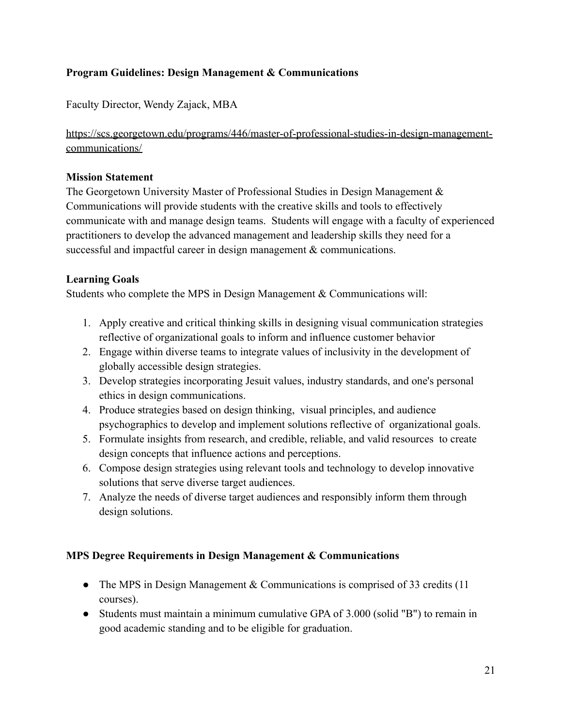### <span id="page-21-0"></span>**Program Guidelines: Design Management & Communications**

Faculty Director, Wendy Zajack, MBA

[https://scs.georgetown.edu/programs/446/master-of-professional-studies-in-design-management](https://scs.georgetown.edu/programs/446/master-of-professional-studies-in-design-management-communications/)[communications/](https://scs.georgetown.edu/programs/446/master-of-professional-studies-in-design-management-communications/)

#### **Mission Statement**

The Georgetown University Master of Professional Studies in Design Management & Communications will provide students with the creative skills and tools to effectively communicate with and manage design teams. Students will engage with a faculty of experienced practitioners to develop the advanced management and leadership skills they need for a successful and impactful career in design management & communications.

#### **Learning Goals**

Students who complete the MPS in Design Management & Communications will:

- 1. Apply creative and critical thinking skills in designing visual communication strategies reflective of organizational goals to inform and influence customer behavior
- 2. Engage within diverse teams to integrate values of inclusivity in the development of globally accessible design strategies.
- 3. Develop strategies incorporating Jesuit values, industry standards, and one's personal ethics in design communications.
- 4. Produce strategies based on design thinking, visual principles, and audience psychographics to develop and implement solutions reflective of organizational goals.
- 5. Formulate insights from research, and credible, reliable, and valid resources to create design concepts that influence actions and perceptions.
- 6. Compose design strategies using relevant tools and technology to develop innovative solutions that serve diverse target audiences.
- 7. Analyze the needs of diverse target audiences and responsibly inform them through design solutions.

#### **MPS Degree Requirements in Design Management & Communications**

- The MPS in Design Management & Communications is comprised of 33 credits (11) courses).
- Students must maintain a minimum cumulative GPA of 3.000 (solid "B") to remain in good academic standing and to be eligible for graduation.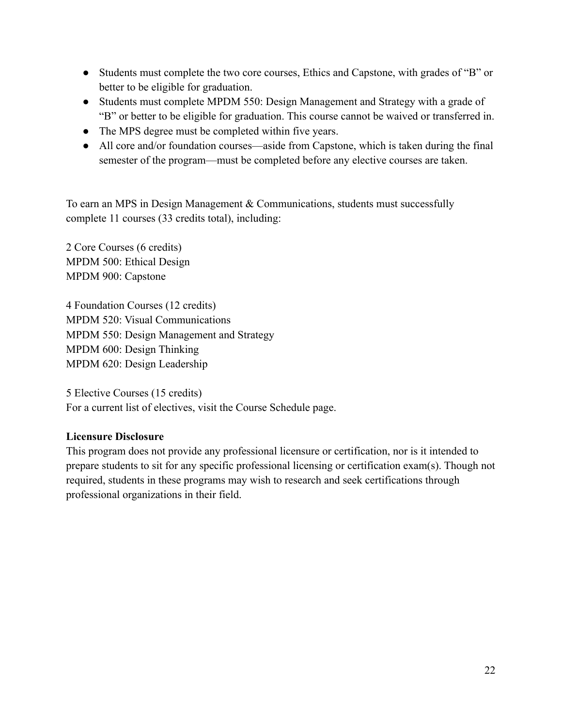- Students must complete the two core courses, Ethics and Capstone, with grades of "B" or better to be eligible for graduation.
- Students must complete MPDM 550: Design Management and Strategy with a grade of "B" or better to be eligible for graduation. This course cannot be waived or transferred in.
- The MPS degree must be completed within five years.
- All core and/or foundation courses—aside from Capstone, which is taken during the final semester of the program—must be completed before any elective courses are taken.

To earn an MPS in Design Management & Communications, students must successfully complete 11 courses (33 credits total), including:

2 Core Courses (6 credits) MPDM 500: Ethical Design MPDM 900: Capstone

4 Foundation Courses (12 credits) MPDM 520: Visual Communications MPDM 550: Design Management and Strategy MPDM 600: Design Thinking MPDM 620: Design Leadership

5 Elective Courses (15 credits) For a current list of electives, visit the Course Schedule page.

### **Licensure Disclosure**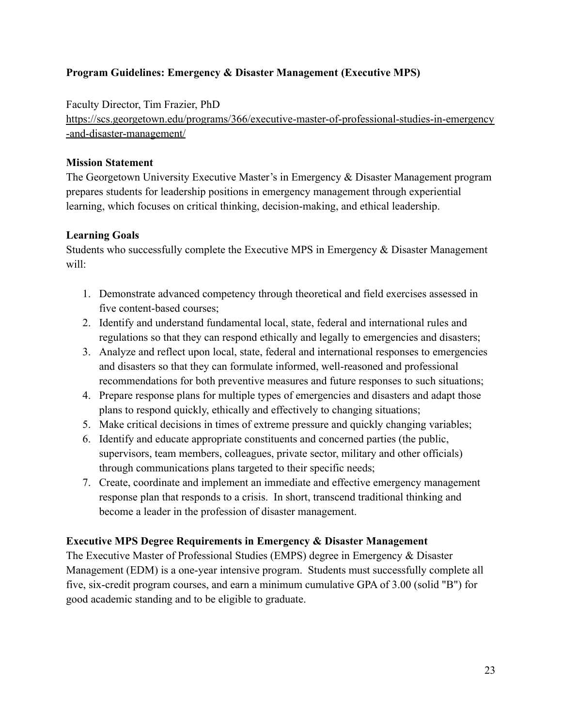### <span id="page-23-0"></span>**Program Guidelines: Emergency & Disaster Management (Executive MPS)**

Faculty Director, Tim Frazier, PhD

[https://scs.georgetown.edu/programs/366/executive-master-of-professional-studies-in-emergency](https://scs.georgetown.edu/programs/366/executive-master-of-professional-studies-in-emergency-and-disaster-management/) [-and-disaster-management/](https://scs.georgetown.edu/programs/366/executive-master-of-professional-studies-in-emergency-and-disaster-management/)

### **Mission Statement**

The Georgetown University Executive Master's in Emergency & Disaster Management program prepares students for leadership positions in emergency management through experiential learning, which focuses on critical thinking, decision-making, and ethical leadership.

### **Learning Goals**

Students who successfully complete the Executive MPS in Emergency & Disaster Management will:

- 1. Demonstrate advanced competency through theoretical and field exercises assessed in five content-based courses;
- 2. Identify and understand fundamental local, state, federal and international rules and regulations so that they can respond ethically and legally to emergencies and disasters;
- 3. Analyze and reflect upon local, state, federal and international responses to emergencies and disasters so that they can formulate informed, well-reasoned and professional recommendations for both preventive measures and future responses to such situations;
- 4. Prepare response plans for multiple types of emergencies and disasters and adapt those plans to respond quickly, ethically and effectively to changing situations;
- 5. Make critical decisions in times of extreme pressure and quickly changing variables;
- 6. Identify and educate appropriate constituents and concerned parties (the public, supervisors, team members, colleagues, private sector, military and other officials) through communications plans targeted to their specific needs;
- 7. Create, coordinate and implement an immediate and effective emergency management response plan that responds to a crisis. In short, transcend traditional thinking and become a leader in the profession of disaster management.

#### **Executive MPS Degree Requirements in Emergency & Disaster Management**

The Executive Master of Professional Studies (EMPS) degree in Emergency & Disaster Management (EDM) is a one-year intensive program. Students must successfully complete all five, six-credit program courses, and earn a minimum cumulative GPA of 3.00 (solid "B") for good academic standing and to be eligible to graduate.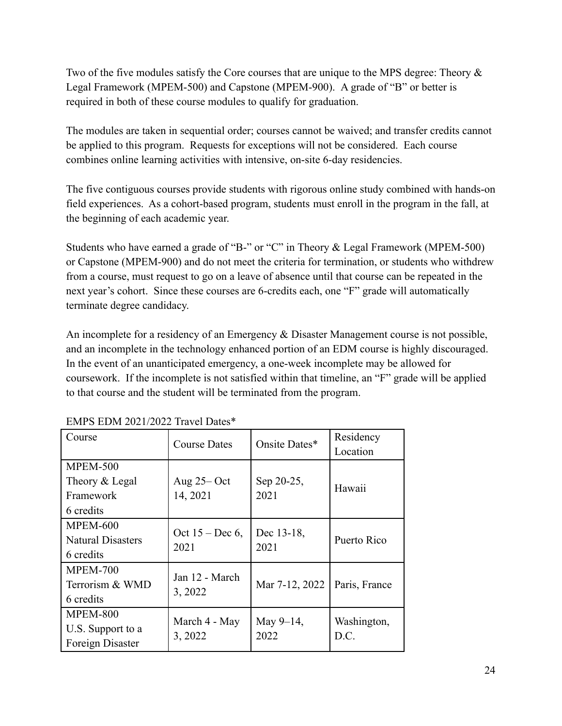Two of the five modules satisfy the Core courses that are unique to the MPS degree: Theory & Legal Framework (MPEM-500) and Capstone (MPEM-900). A grade of "B" or better is required in both of these course modules to qualify for graduation.

The modules are taken in sequential order; courses cannot be waived; and transfer credits cannot be applied to this program. Requests for exceptions will not be considered. Each course combines online learning activities with intensive, on-site 6-day residencies.

The five contiguous courses provide students with rigorous online study combined with hands-on field experiences. As a cohort-based program, students must enroll in the program in the fall, at the beginning of each academic year.

Students who have earned a grade of "B-" or "C" in Theory & Legal Framework (MPEM-500) or Capstone (MPEM-900) and do not meet the criteria for termination, or students who withdrew from a course, must request to go on a leave of absence until that course can be repeated in the next year's cohort. Since these courses are 6-credits each, one "F" grade will automatically terminate degree candidacy.

An incomplete for a residency of an Emergency & Disaster Management course is not possible, and an incomplete in the technology enhanced portion of an EDM course is highly discouraged. In the event of an unanticipated emergency, a one-week incomplete may be allowed for coursework. If the incomplete is not satisfied within that timeline, an "F" grade will be applied to that course and the student will be terminated from the program.

| Course                   | <b>Course Dates</b>        | Onsite Dates*      | Residency     |
|--------------------------|----------------------------|--------------------|---------------|
|                          |                            |                    | Location      |
| <b>MPEM-500</b>          |                            |                    |               |
| Theory & Legal           | Aug $25 - Oct$             | Sep 20-25,         | Hawaii        |
| Framework                | 14, 2021                   | 2021               |               |
| 6 credits                |                            |                    |               |
| <b>MPEM-600</b>          |                            |                    |               |
| <b>Natural Disasters</b> | Oct $15 - Dec 6$ ,<br>2021 | Dec 13-18,<br>2021 | Puerto Rico   |
| 6 credits                |                            |                    |               |
| <b>MPEM-700</b>          | Jan 12 - March             |                    |               |
| Terrorism & WMD          |                            | Mar 7-12, 2022     | Paris, France |
| 6 credits                | 3, 2022                    |                    |               |
| <b>MPEM-800</b>          |                            |                    |               |
| U.S. Support to a        | March 4 - May              | May 9-14,<br>2022  | Washington,   |
| Foreign Disaster         | 3, 2022                    |                    | D.C.          |

EMPS EDM 2021/2022 Travel Dates\*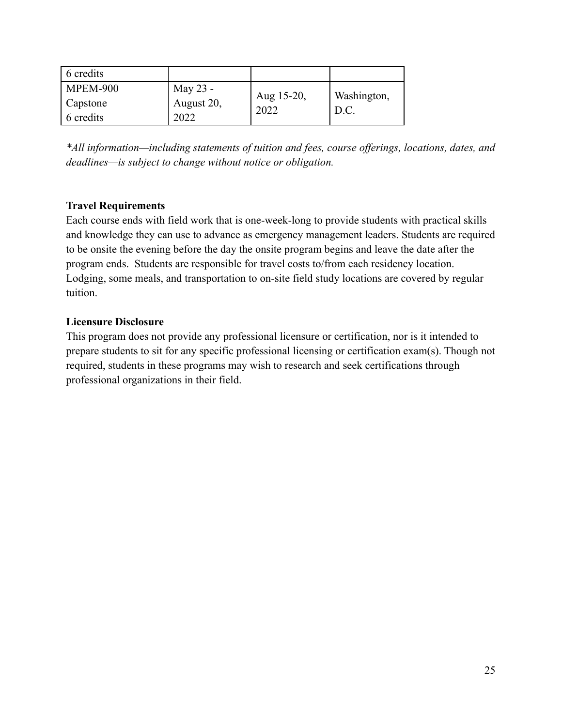| 6 credits       |            |                    |             |
|-----------------|------------|--------------------|-------------|
| <b>MPEM-900</b> | May 23 -   |                    | Washington, |
| Capstone        | August 20, | Aug 15-20,<br>2022 |             |
| 6 credits       | 2022       |                    | D.C.        |

*\*All information—including statements of tuition and fees, course offerings, locations, dates, and deadlines—is subject to change without notice or obligation.*

#### **Travel Requirements**

Each course ends with field work that is one-week-long to provide students with practical skills and knowledge they can use to advance as emergency management leaders. Students are required to be onsite the evening before the day the onsite program begins and leave the date after the program ends. Students are responsible for travel costs to/from each residency location. Lodging, some meals, and transportation to on-site field study locations are covered by regular tuition.

#### **Licensure Disclosure**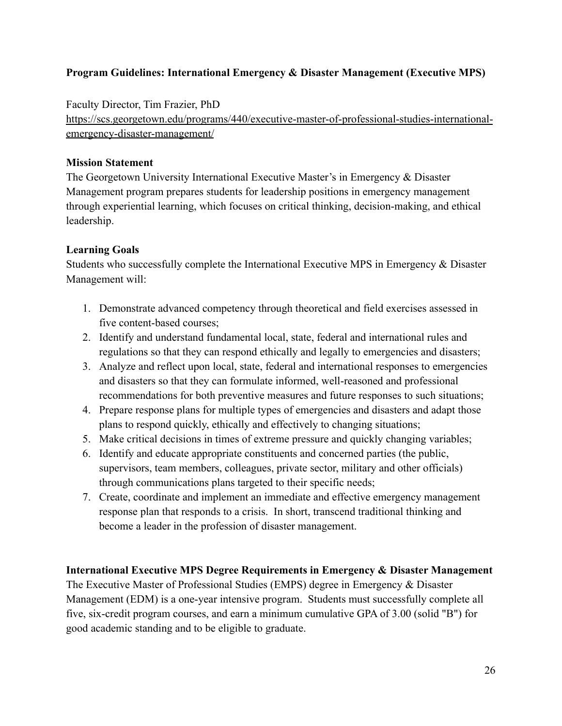### <span id="page-26-0"></span>**Program Guidelines: International Emergency & Disaster Management (Executive MPS)**

Faculty Director, Tim Frazier, PhD

[https://scs.georgetown.edu/programs/440/executive-master-of-professional-studies-international](https://scs.georgetown.edu/programs/440/executive-master-of-professional-studies-international-emergency-disaster-management/)[emergency-disaster-management/](https://scs.georgetown.edu/programs/440/executive-master-of-professional-studies-international-emergency-disaster-management/)

#### **Mission Statement**

The Georgetown University International Executive Master's in Emergency & Disaster Management program prepares students for leadership positions in emergency management through experiential learning, which focuses on critical thinking, decision-making, and ethical leadership.

#### **Learning Goals**

Students who successfully complete the International Executive MPS in Emergency & Disaster Management will:

- 1. Demonstrate advanced competency through theoretical and field exercises assessed in five content-based courses;
- 2. Identify and understand fundamental local, state, federal and international rules and regulations so that they can respond ethically and legally to emergencies and disasters;
- 3. Analyze and reflect upon local, state, federal and international responses to emergencies and disasters so that they can formulate informed, well-reasoned and professional recommendations for both preventive measures and future responses to such situations;
- 4. Prepare response plans for multiple types of emergencies and disasters and adapt those plans to respond quickly, ethically and effectively to changing situations;
- 5. Make critical decisions in times of extreme pressure and quickly changing variables;
- 6. Identify and educate appropriate constituents and concerned parties (the public, supervisors, team members, colleagues, private sector, military and other officials) through communications plans targeted to their specific needs;
- 7. Create, coordinate and implement an immediate and effective emergency management response plan that responds to a crisis. In short, transcend traditional thinking and become a leader in the profession of disaster management.

### **International Executive MPS Degree Requirements in Emergency & Disaster Management**

The Executive Master of Professional Studies (EMPS) degree in Emergency & Disaster Management (EDM) is a one-year intensive program. Students must successfully complete all five, six-credit program courses, and earn a minimum cumulative GPA of 3.00 (solid "B") for good academic standing and to be eligible to graduate.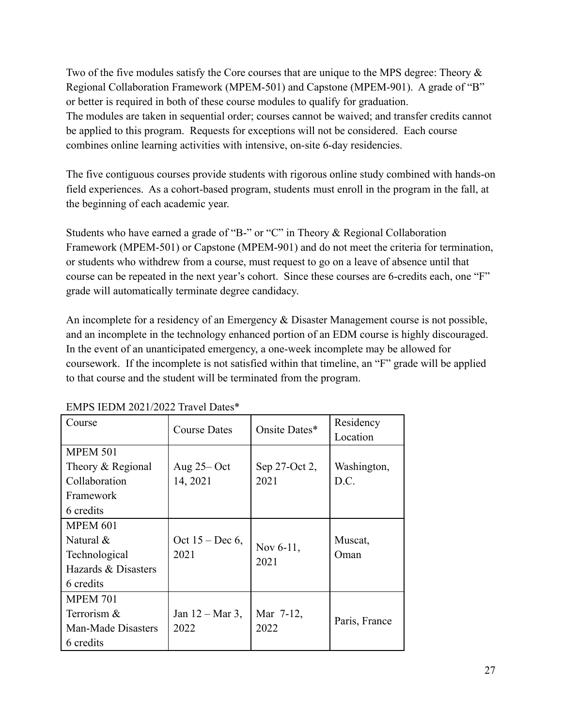Two of the five modules satisfy the Core courses that are unique to the MPS degree: Theory & Regional Collaboration Framework (MPEM-501) and Capstone (MPEM-901). A grade of "B" or better is required in both of these course modules to qualify for graduation. The modules are taken in sequential order; courses cannot be waived; and transfer credits cannot be applied to this program. Requests for exceptions will not be considered. Each course combines online learning activities with intensive, on-site 6-day residencies.

The five contiguous courses provide students with rigorous online study combined with hands-on field experiences. As a cohort-based program, students must enroll in the program in the fall, at the beginning of each academic year.

Students who have earned a grade of "B-" or "C" in Theory & Regional Collaboration Framework (MPEM-501) or Capstone (MPEM-901) and do not meet the criteria for termination, or students who withdrew from a course, must request to go on a leave of absence until that course can be repeated in the next year's cohort. Since these courses are 6-credits each, one "F" grade will automatically terminate degree candidacy.

An incomplete for a residency of an Emergency & Disaster Management course is not possible, and an incomplete in the technology enhanced portion of an EDM course is highly discouraged. In the event of an unanticipated emergency, a one-week incomplete may be allowed for coursework. If the incomplete is not satisfied within that timeline, an "F" grade will be applied to that course and the student will be terminated from the program.

| Course              | <b>Course Dates</b>        | Onsite Dates*     | Residency     |
|---------------------|----------------------------|-------------------|---------------|
|                     |                            |                   | Location      |
| <b>MPEM 501</b>     |                            |                   |               |
| Theory & Regional   | Aug $25 - Oct$             | Sep 27-Oct 2,     | Washington,   |
| Collaboration       | 14, 2021                   | 2021              | D.C.          |
| Framework           |                            |                   |               |
| 6 credits           |                            |                   |               |
| MPEM 601            |                            |                   |               |
| Natural $\&$        | Oct $15 - Dec 6$ ,         |                   | Muscat,       |
| Technological       | 2021                       | Nov 6-11,<br>2021 | Oman          |
| Hazards & Disasters |                            |                   |               |
| 6 credits           |                            |                   |               |
| <b>MPEM 701</b>     |                            |                   |               |
| Terrorism &         | Jan $12 - \text{Mar } 3$ , | Mar 7-12,         |               |
| Man-Made Disasters  | 2022                       | 2022              | Paris, France |
| 6 credits           |                            |                   |               |

#### EMPS IEDM 2021/2022 Travel Dates\*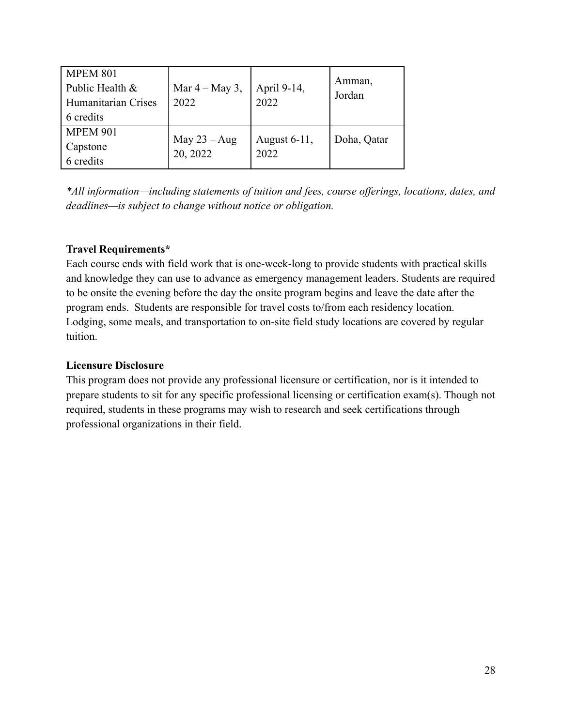| <b>MPEM 801</b><br>Public Health &<br>Humanitarian Crises<br>6 credits | Mar $4 -$ May 3,<br>2022   | April 9-14,<br>2022  | Amman,<br>Jordan |
|------------------------------------------------------------------------|----------------------------|----------------------|------------------|
| <b>MPEM 901</b><br>Capstone<br>6 credits                               | May $23 - Aug$<br>20, 2022 | August 6-11,<br>2022 | Doha, Qatar      |

*\*All information—including statements of tuition and fees, course offerings, locations, dates, and deadlines—is subject to change without notice or obligation.*

### **Travel Requirements\***

Each course ends with field work that is one-week-long to provide students with practical skills and knowledge they can use to advance as emergency management leaders. Students are required to be onsite the evening before the day the onsite program begins and leave the date after the program ends. Students are responsible for travel costs to/from each residency location. Lodging, some meals, and transportation to on-site field study locations are covered by regular tuition.

#### **Licensure Disclosure**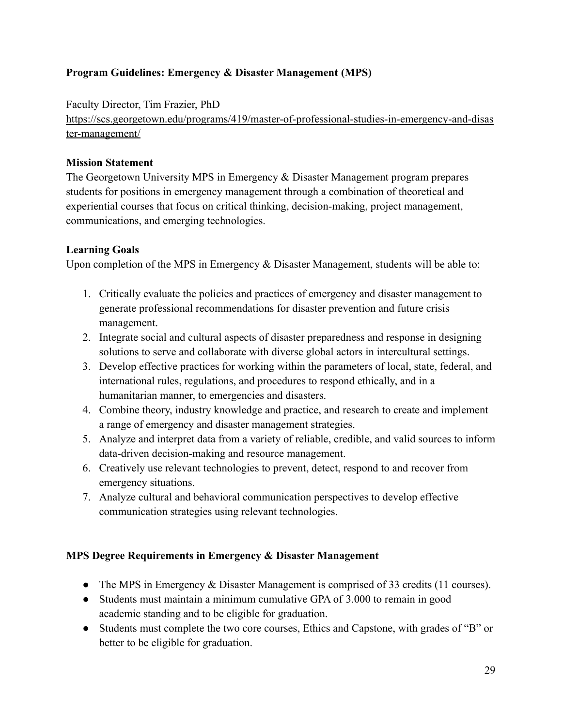# <span id="page-29-0"></span>**Program Guidelines: Emergency & Disaster Management (MPS)**

Faculty Director, Tim Frazier, PhD

[https://scs.georgetown.edu/programs/419/master-of-professional-studies-in-emergency-and-disas](https://scs.georgetown.edu/programs/419/master-of-professional-studies-in-emergency-and-disaster-management/) [ter-management/](https://scs.georgetown.edu/programs/419/master-of-professional-studies-in-emergency-and-disaster-management/)

### **Mission Statement**

The Georgetown University MPS in Emergency & Disaster Management program prepares students for positions in emergency management through a combination of theoretical and experiential courses that focus on critical thinking, decision-making, project management, communications, and emerging technologies.

### **Learning Goals**

Upon completion of the MPS in Emergency & Disaster Management, students will be able to:

- 1. Critically evaluate the policies and practices of emergency and disaster management to generate professional recommendations for disaster prevention and future crisis management.
- 2. Integrate social and cultural aspects of disaster preparedness and response in designing solutions to serve and collaborate with diverse global actors in intercultural settings.
- 3. Develop effective practices for working within the parameters of local, state, federal, and international rules, regulations, and procedures to respond ethically, and in a humanitarian manner, to emergencies and disasters.
- 4. Combine theory, industry knowledge and practice, and research to create and implement a range of emergency and disaster management strategies.
- 5. Analyze and interpret data from a variety of reliable, credible, and valid sources to inform data-driven decision-making and resource management.
- 6. Creatively use relevant technologies to prevent, detect, respond to and recover from emergency situations.
- 7. Analyze cultural and behavioral communication perspectives to develop effective communication strategies using relevant technologies.

### **MPS Degree Requirements in Emergency & Disaster Management**

- The MPS in Emergency & Disaster Management is comprised of 33 credits (11 courses).
- Students must maintain a minimum cumulative GPA of 3.000 to remain in good academic standing and to be eligible for graduation.
- Students must complete the two core courses, Ethics and Capstone, with grades of "B" or better to be eligible for graduation.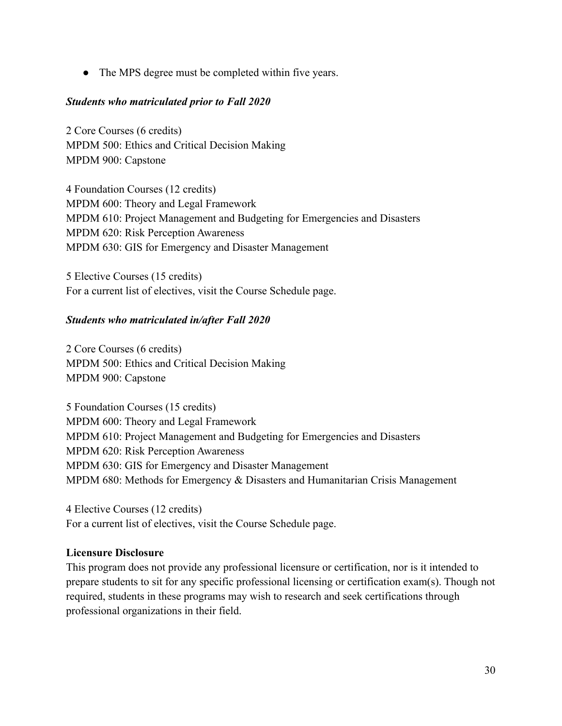• The MPS degree must be completed within five years.

#### *Students who matriculated prior to Fall 2020*

2 Core Courses (6 credits) MPDM 500: Ethics and Critical Decision Making MPDM 900: Capstone

4 Foundation Courses (12 credits) MPDM 600: Theory and Legal Framework MPDM 610: Project Management and Budgeting for Emergencies and Disasters MPDM 620: Risk Perception Awareness MPDM 630: GIS for Emergency and Disaster Management

5 Elective Courses (15 credits) For a current list of electives, visit the Course Schedule page.

#### *Students who matriculated in/after Fall 2020*

2 Core Courses (6 credits) MPDM 500: Ethics and Critical Decision Making MPDM 900: Capstone

5 Foundation Courses (15 credits) MPDM 600: Theory and Legal Framework MPDM 610: Project Management and Budgeting for Emergencies and Disasters MPDM 620: Risk Perception Awareness MPDM 630: GIS for Emergency and Disaster Management MPDM 680: Methods for Emergency & Disasters and Humanitarian Crisis Management

4 Elective Courses (12 credits) For a current list of electives, visit the Course Schedule page.

#### **Licensure Disclosure**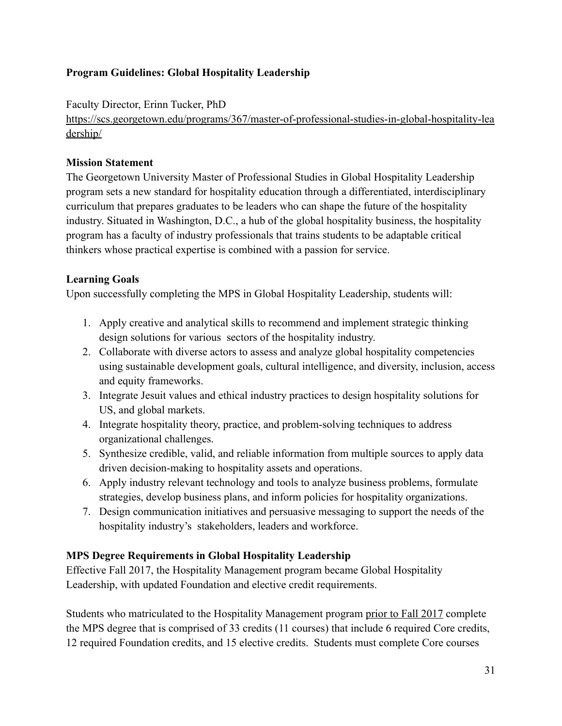# <span id="page-31-0"></span>**Program Guidelines: Global Hospitality Leadership**

Faculty Director, Erinn Tucker, PhD

[https://scs.georgetown.edu/programs/367/master-of-professional-studies-in-global-hospitality-lea](https://scs.georgetown.edu/programs/367/master-of-professional-studies-in-global-hospitality-leadership/) [dership/](https://scs.georgetown.edu/programs/367/master-of-professional-studies-in-global-hospitality-leadership/)

### **Mission Statement**

The Georgetown University Master of Professional Studies in Global Hospitality Leadership program sets a new standard for hospitality education through a differentiated, interdisciplinary curriculum that prepares graduates to be leaders who can shape the future of the hospitality industry. Situated in Washington, D.C., a hub of the global hospitality business, the hospitality program has a faculty of industry professionals that trains students to be adaptable critical thinkers whose practical expertise is combined with a passion for service.

### **Learning Goals**

Upon successfully completing the MPS in Global Hospitality Leadership, students will:

- 1. Apply creative and analytical skills to recommend and implement strategic thinking design solutions for various sectors of the hospitality industry.
- 2. Collaborate with diverse actors to assess and analyze global hospitality competencies using sustainable development goals, cultural intelligence, and diversity, inclusion, access and equity frameworks.
- 3. Integrate Jesuit values and ethical industry practices to design hospitality solutions for US, and global markets.
- 4. Integrate hospitality theory, practice, and problem-solving techniques to address organizational challenges.
- 5. Synthesize credible, valid, and reliable information from multiple sources to apply data driven decision-making to hospitality assets and operations.
- 6. Apply industry relevant technology and tools to analyze business problems, formulate strategies, develop business plans, and inform policies for hospitality organizations.
- 7. Design communication initiatives and persuasive messaging to support the needs of the hospitality industry's stakeholders, leaders and workforce.

### **MPS Degree Requirements in Global Hospitality Leadership**

Effective Fall 2017, the Hospitality Management program became Global Hospitality Leadership, with updated Foundation and elective credit requirements.

Students who matriculated to the Hospitality Management program prior to Fall 2017 complete the MPS degree that is comprised of 33 credits (11 courses) that include 6 required Core credits, 12 required Foundation credits, and 15 elective credits. Students must complete Core courses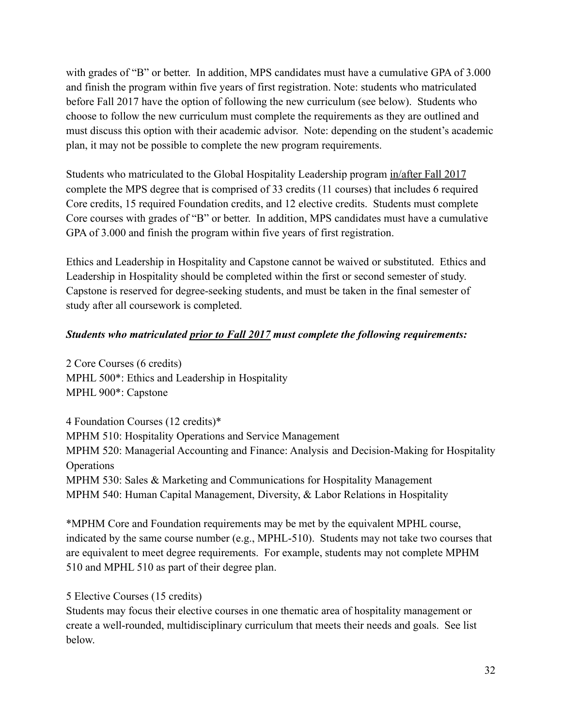with grades of "B" or better. In addition, MPS candidates must have a cumulative GPA of 3.000 and finish the program within five years of first registration. Note: students who matriculated before Fall 2017 have the option of following the new curriculum (see below). Students who choose to follow the new curriculum must complete the requirements as they are outlined and must discuss this option with their academic advisor. Note: depending on the student's academic plan, it may not be possible to complete the new program requirements.

Students who matriculated to the Global Hospitality Leadership program in/after Fall 2017 complete the MPS degree that is comprised of 33 credits (11 courses) that includes 6 required Core credits, 15 required Foundation credits, and 12 elective credits. Students must complete Core courses with grades of "B" or better. In addition, MPS candidates must have a cumulative GPA of 3.000 and finish the program within five years of first registration.

Ethics and Leadership in Hospitality and Capstone cannot be waived or substituted. Ethics and Leadership in Hospitality should be completed within the first or second semester of study. Capstone is reserved for degree-seeking students, and must be taken in the final semester of study after all coursework is completed.

#### *Students who matriculated prior to Fall 2017 must complete the following requirements:*

2 Core Courses (6 credits) MPHL 500\*: Ethics and Leadership in Hospitality MPHL 900\*: Capstone

4 Foundation Courses (12 credits)\* MPHM 510: Hospitality Operations and Service Management MPHM 520: Managerial Accounting and Finance: Analysis and Decision-Making for Hospitality **Operations** MPHM 530: Sales & Marketing and Communications for Hospitality Management MPHM 540: Human Capital Management, Diversity, & Labor Relations in Hospitality

\*MPHM Core and Foundation requirements may be met by the equivalent MPHL course, indicated by the same course number (e.g., MPHL-510). Students may not take two courses that are equivalent to meet degree requirements. For example, students may not complete MPHM 510 and MPHL 510 as part of their degree plan.

#### 5 Elective Courses (15 credits)

Students may focus their elective courses in one thematic area of hospitality management or create a well-rounded, multidisciplinary curriculum that meets their needs and goals. See list below.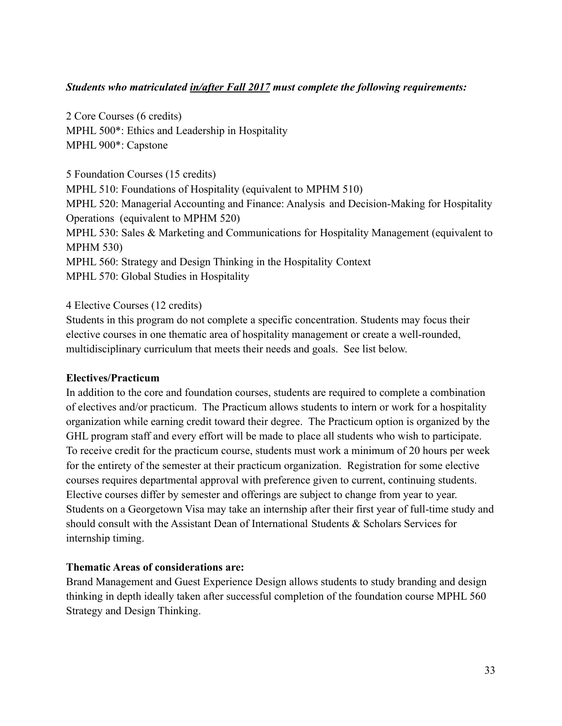#### *Students who matriculated in/after Fall 2017 must complete the following requirements:*

2 Core Courses (6 credits) MPHL 500\*: Ethics and Leadership in Hospitality MPHL 900\*: Capstone

5 Foundation Courses (15 credits) MPHL 510: Foundations of Hospitality (equivalent to MPHM 510) MPHL 520: Managerial Accounting and Finance: Analysis and Decision-Making for Hospitality Operations (equivalent to MPHM 520) MPHL 530: Sales & Marketing and Communications for Hospitality Management (equivalent to MPHM 530) MPHL 560: Strategy and Design Thinking in the Hospitality Context MPHL 570: Global Studies in Hospitality

4 Elective Courses (12 credits)

Students in this program do not complete a specific concentration. Students may focus their elective courses in one thematic area of hospitality management or create a well-rounded, multidisciplinary curriculum that meets their needs and goals. See list below.

#### **Electives/Practicum**

In addition to the core and foundation courses, students are required to complete a combination of electives and/or practicum. The Practicum allows students to intern or work for a hospitality organization while earning credit toward their degree. The Practicum option is organized by the GHL program staff and every effort will be made to place all students who wish to participate. To receive credit for the practicum course, students must work a minimum of 20 hours per week for the entirety of the semester at their practicum organization. Registration for some elective courses requires departmental approval with preference given to current, continuing students. Elective courses differ by semester and offerings are subject to change from year to year. Students on a Georgetown Visa may take an internship after their first year of full-time study and should consult with the Assistant Dean of International Students & Scholars Services for internship timing.

#### **Thematic Areas of considerations are:**

Brand Management and Guest Experience Design allows students to study branding and design thinking in depth ideally taken after successful completion of the foundation course MPHL 560 Strategy and Design Thinking.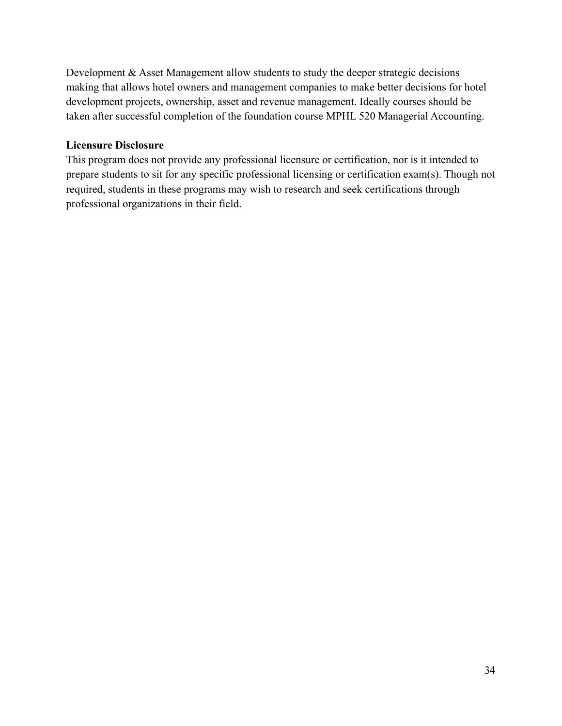Development & Asset Management allow students to study the deeper strategic decisions making that allows hotel owners and management companies to make better decisions for hotel development projects, ownership, asset and revenue management. Ideally courses should be taken after successful completion of the foundation course MPHL 520 Managerial Accounting.

#### **Licensure Disclosure**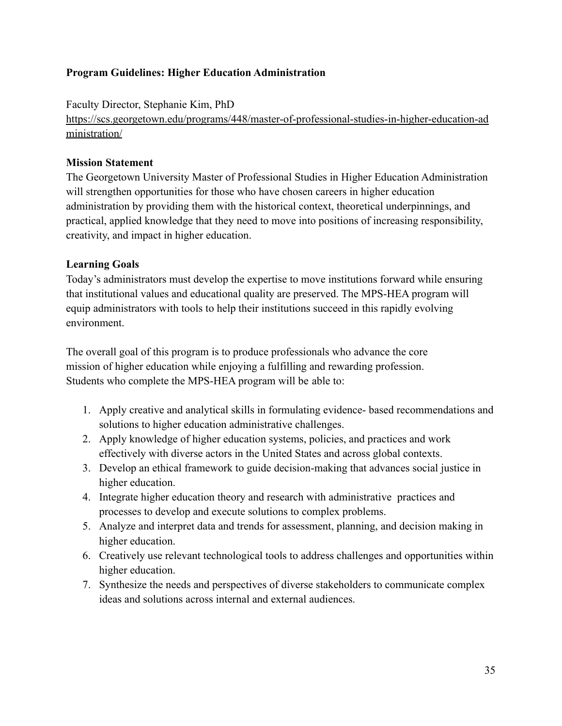### <span id="page-35-0"></span>**Program Guidelines: Higher Education Administration**

Faculty Director, Stephanie Kim, PhD

[https://scs.georgetown.edu/programs/448/master-of-professional-studies-in-higher-education-ad](https://scs.georgetown.edu/programs/448/master-of-professional-studies-in-higher-education-administration/) [ministration/](https://scs.georgetown.edu/programs/448/master-of-professional-studies-in-higher-education-administration/)

#### **Mission Statement**

The Georgetown University Master of Professional Studies in Higher Education Administration will strengthen opportunities for those who have chosen careers in higher education administration by providing them with the historical context, theoretical underpinnings, and practical, applied knowledge that they need to move into positions of increasing responsibility, creativity, and impact in higher education.

#### **Learning Goals**

Today's administrators must develop the expertise to move institutions forward while ensuring that institutional values and educational quality are preserved. The MPS-HEA program will equip administrators with tools to help their institutions succeed in this rapidly evolving environment.

The overall goal of this program is to produce professionals who advance the core mission of higher education while enjoying a fulfilling and rewarding profession. Students who complete the MPS-HEA program will be able to:

- 1. Apply creative and analytical skills in formulating evidence- based recommendations and solutions to higher education administrative challenges.
- 2. Apply knowledge of higher education systems, policies, and practices and work effectively with diverse actors in the United States and across global contexts.
- 3. Develop an ethical framework to guide decision-making that advances social justice in higher education.
- 4. Integrate higher education theory and research with administrative practices and processes to develop and execute solutions to complex problems.
- 5. Analyze and interpret data and trends for assessment, planning, and decision making in higher education.
- 6. Creatively use relevant technological tools to address challenges and opportunities within higher education.
- 7. Synthesize the needs and perspectives of diverse stakeholders to communicate complex ideas and solutions across internal and external audiences.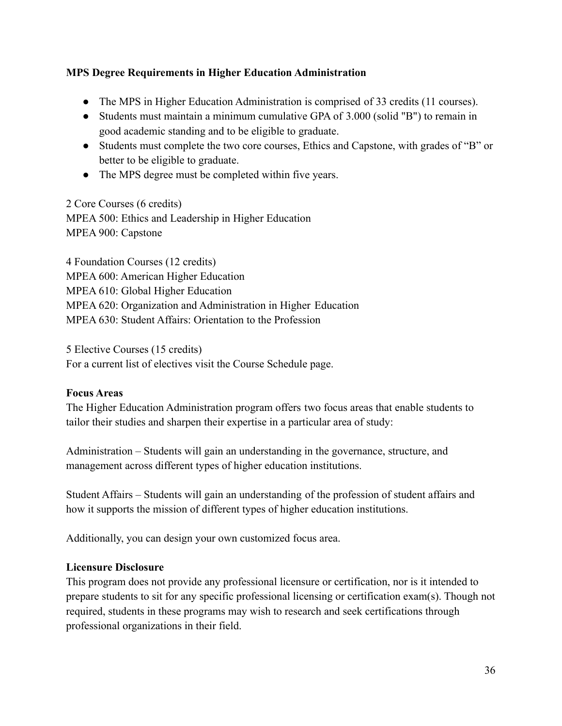## **MPS Degree Requirements in Higher Education Administration**

- The MPS in Higher Education Administration is comprised of 33 credits (11 courses).
- Students must maintain a minimum cumulative GPA of 3.000 (solid "B") to remain in good academic standing and to be eligible to graduate.
- Students must complete the two core courses, Ethics and Capstone, with grades of "B" or better to be eligible to graduate.
- The MPS degree must be completed within five years.

#### 2 Core Courses (6 credits)

MPEA 500: Ethics and Leadership in Higher Education MPEA 900: Capstone

4 Foundation Courses (12 credits) MPEA 600: American Higher Education MPEA 610: Global Higher Education MPEA 620: Organization and Administration in Higher Education MPEA 630: Student Affairs: Orientation to the Profession

5 Elective Courses (15 credits) For a current list of electives visit the Course Schedule page.

# **Focus Areas**

The Higher Education Administration program offers two focus areas that enable students to tailor their studies and sharpen their expertise in a particular area of study:

Administration – Students will gain an understanding in the governance, structure, and management across different types of higher education institutions.

Student Affairs – Students will gain an understanding of the profession of student affairs and how it supports the mission of different types of higher education institutions.

Additionally, you can design your own customized focus area.

# **Licensure Disclosure**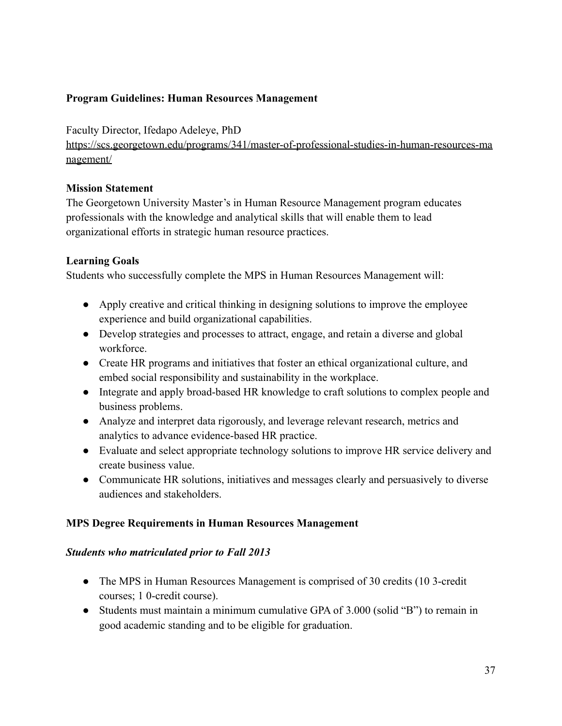## **Program Guidelines: Human Resources Management**

Faculty Director, Ifedapo Adeleye, PhD

[https://scs.georgetown.edu/programs/341/master-of-professional-studies-in-human-resources-ma](https://scs.georgetown.edu/programs/341/master-of-professional-studies-in-human-resources-management/) [nagement/](https://scs.georgetown.edu/programs/341/master-of-professional-studies-in-human-resources-management/)

### **Mission Statement**

The Georgetown University Master's in Human Resource Management program educates professionals with the knowledge and analytical skills that will enable them to lead organizational efforts in strategic human resource practices.

## **Learning Goals**

Students who successfully complete the MPS in Human Resources Management will:

- Apply creative and critical thinking in designing solutions to improve the employee experience and build organizational capabilities.
- Develop strategies and processes to attract, engage, and retain a diverse and global workforce.
- Create HR programs and initiatives that foster an ethical organizational culture, and embed social responsibility and sustainability in the workplace.
- Integrate and apply broad-based HR knowledge to craft solutions to complex people and business problems.
- Analyze and interpret data rigorously, and leverage relevant research, metrics and analytics to advance evidence-based HR practice.
- Evaluate and select appropriate technology solutions to improve HR service delivery and create business value.
- Communicate HR solutions, initiatives and messages clearly and persuasively to diverse audiences and stakeholders.

### **MPS Degree Requirements in Human Resources Management**

### *Students who matriculated prior to Fall 2013*

- The MPS in Human Resources Management is comprised of 30 credits (10 3-credit courses; 1 0-credit course).
- Students must maintain a minimum cumulative GPA of 3.000 (solid "B") to remain in good academic standing and to be eligible for graduation.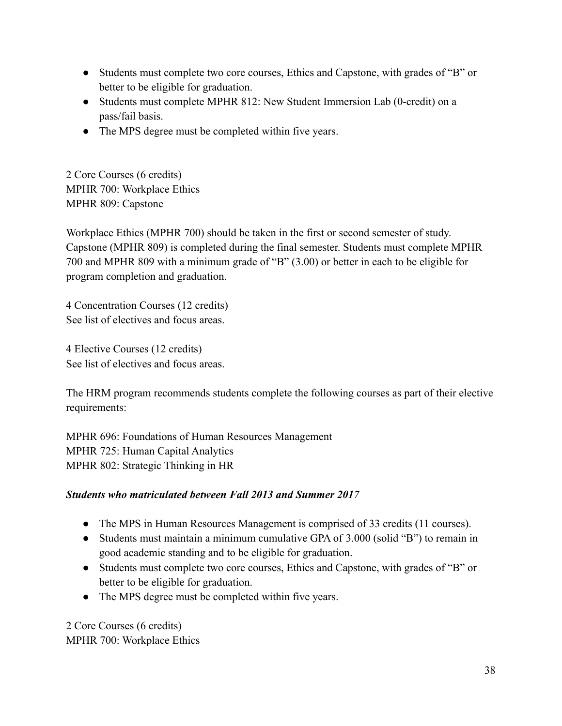- Students must complete two core courses, Ethics and Capstone, with grades of "B" or better to be eligible for graduation.
- Students must complete MPHR 812: New Student Immersion Lab (0-credit) on a pass/fail basis.
- The MPS degree must be completed within five years.

2 Core Courses (6 credits) MPHR 700: Workplace Ethics MPHR 809: Capstone

Workplace Ethics (MPHR 700) should be taken in the first or second semester of study. Capstone (MPHR 809) is completed during the final semester. Students must complete MPHR 700 and MPHR 809 with a minimum grade of "B" (3.00) or better in each to be eligible for program completion and graduation.

4 Concentration Courses (12 credits) See list of electives and focus areas.

4 Elective Courses (12 credits) See list of electives and focus areas.

The HRM program recommends students complete the following courses as part of their elective requirements:

MPHR 696: Foundations of Human Resources Management MPHR 725: Human Capital Analytics MPHR 802: Strategic Thinking in HR

# *Students who matriculated between Fall 2013 and Summer 2017*

- The MPS in Human Resources Management is comprised of 33 credits (11 courses).
- Students must maintain a minimum cumulative GPA of 3.000 (solid "B") to remain in good academic standing and to be eligible for graduation.
- Students must complete two core courses, Ethics and Capstone, with grades of "B" or better to be eligible for graduation.
- The MPS degree must be completed within five years.

2 Core Courses (6 credits) MPHR 700: Workplace Ethics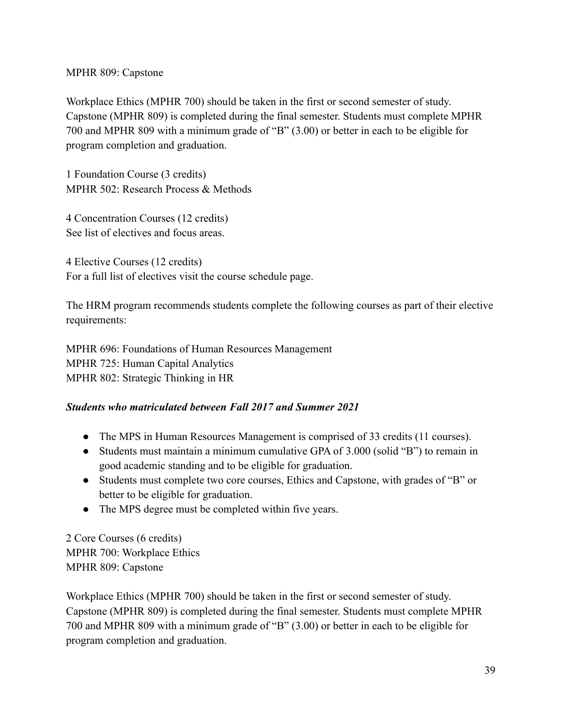## MPHR 809: Capstone

Workplace Ethics (MPHR 700) should be taken in the first or second semester of study. Capstone (MPHR 809) is completed during the final semester. Students must complete MPHR 700 and MPHR 809 with a minimum grade of "B" (3.00) or better in each to be eligible for program completion and graduation.

1 Foundation Course (3 credits) MPHR 502: Research Process & Methods

4 Concentration Courses (12 credits) See list of electives and focus areas.

4 Elective Courses (12 credits) For a full list of electives visit the course schedule page.

The HRM program recommends students complete the following courses as part of their elective requirements:

MPHR 696: Foundations of Human Resources Management MPHR 725: Human Capital Analytics MPHR 802: Strategic Thinking in HR

# *Students who matriculated between Fall 2017 and Summer 2021*

- The MPS in Human Resources Management is comprised of 33 credits (11 courses).
- Students must maintain a minimum cumulative GPA of 3.000 (solid "B") to remain in good academic standing and to be eligible for graduation.
- Students must complete two core courses, Ethics and Capstone, with grades of "B" or better to be eligible for graduation.
- The MPS degree must be completed within five years.

2 Core Courses (6 credits) MPHR 700: Workplace Ethics MPHR 809: Capstone

Workplace Ethics (MPHR 700) should be taken in the first or second semester of study. Capstone (MPHR 809) is completed during the final semester. Students must complete MPHR 700 and MPHR 809 with a minimum grade of "B" (3.00) or better in each to be eligible for program completion and graduation.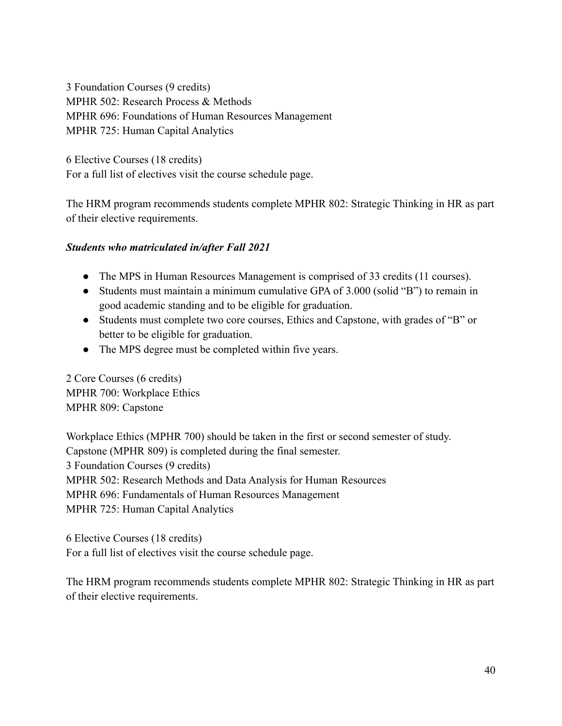3 Foundation Courses (9 credits) MPHR 502: Research Process & Methods MPHR 696: Foundations of Human Resources Management MPHR 725: Human Capital Analytics

6 Elective Courses (18 credits) For a full list of electives visit the course schedule page.

The HRM program recommends students complete MPHR 802: Strategic Thinking in HR as part of their elective requirements.

# *Students who matriculated in/after Fall 2021*

- The MPS in Human Resources Management is comprised of 33 credits (11 courses).
- Students must maintain a minimum cumulative GPA of 3.000 (solid "B") to remain in good academic standing and to be eligible for graduation.
- Students must complete two core courses, Ethics and Capstone, with grades of "B" or better to be eligible for graduation.
- The MPS degree must be completed within five years.

2 Core Courses (6 credits) MPHR 700: Workplace Ethics MPHR 809: Capstone

Workplace Ethics (MPHR 700) should be taken in the first or second semester of study. Capstone (MPHR 809) is completed during the final semester. 3 Foundation Courses (9 credits) MPHR 502: Research Methods and Data Analysis for Human Resources MPHR 696: Fundamentals of Human Resources Management MPHR 725: Human Capital Analytics

6 Elective Courses (18 credits) For a full list of electives visit the course schedule page.

The HRM program recommends students complete MPHR 802: Strategic Thinking in HR as part of their elective requirements.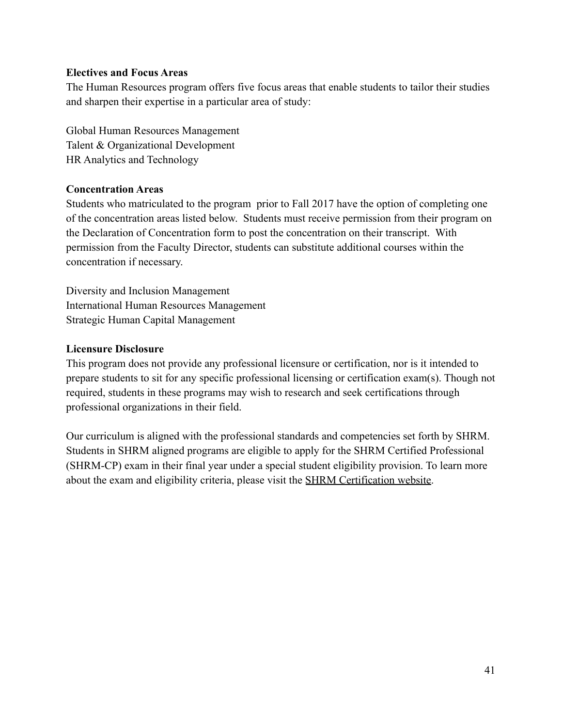#### **Electives and Focus Areas**

The Human Resources program offers five focus areas that enable students to tailor their studies and sharpen their expertise in a particular area of study:

Global Human Resources Management Talent & Organizational Development HR Analytics and Technology

### **Concentration Areas**

Students who matriculated to the program prior to Fall 2017 have the option of completing one of the concentration areas listed below. Students must receive permission from their program on the Declaration of Concentration form to post the concentration on their transcript. With permission from the Faculty Director, students can substitute additional courses within the concentration if necessary.

Diversity and Inclusion Management International Human Resources Management Strategic Human Capital Management

### **Licensure Disclosure**

This program does not provide any professional licensure or certification, nor is it intended to prepare students to sit for any specific professional licensing or certification exam(s). Though not required, students in these programs may wish to research and seek certifications through professional organizations in their field.

Our curriculum is aligned with the professional standards and competencies set forth by SHRM. Students in SHRM aligned programs are eligible to apply for the SHRM Certified Professional (SHRM-CP) exam in their final year under a special student eligibility provision. To learn more about the exam and eligibility criteria, please visit the [SHRM Certification website.](https://www.shrm.org/certification/Pages/default.aspx)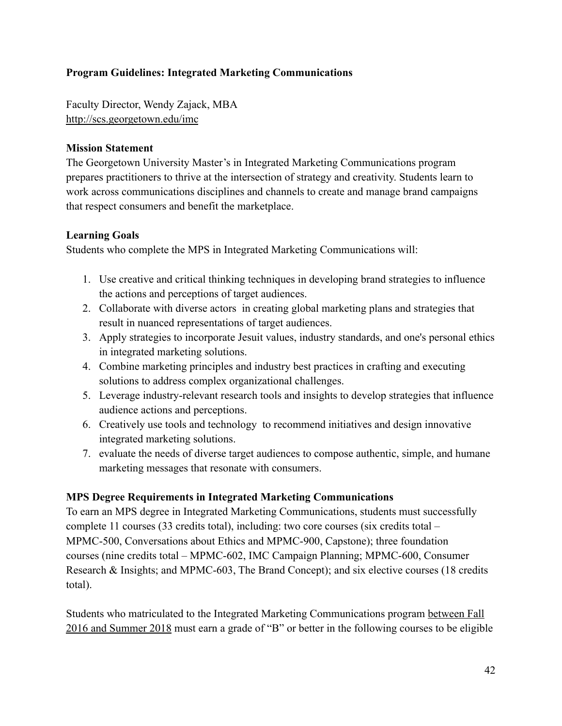# **Program Guidelines: Integrated Marketing Communications**

Faculty Director, Wendy Zajack, MBA <http://scs.georgetown.edu/imc>

#### **Mission Statement**

The Georgetown University Master's in Integrated Marketing Communications program prepares practitioners to thrive at the intersection of strategy and creativity. Students learn to work across communications disciplines and channels to create and manage brand campaigns that respect consumers and benefit the marketplace.

#### **Learning Goals**

Students who complete the MPS in Integrated Marketing Communications will:

- 1. Use creative and critical thinking techniques in developing brand strategies to influence the actions and perceptions of target audiences.
- 2. Collaborate with diverse actors in creating global marketing plans and strategies that result in nuanced representations of target audiences.
- 3. Apply strategies to incorporate Jesuit values, industry standards, and one's personal ethics in integrated marketing solutions.
- 4. Combine marketing principles and industry best practices in crafting and executing solutions to address complex organizational challenges.
- 5. Leverage industry-relevant research tools and insights to develop strategies that influence audience actions and perceptions.
- 6. Creatively use tools and technology to recommend initiatives and design innovative integrated marketing solutions.
- 7. evaluate the needs of diverse target audiences to compose authentic, simple, and humane marketing messages that resonate with consumers.

### **MPS Degree Requirements in Integrated Marketing Communications**

To earn an MPS degree in Integrated Marketing Communications, students must successfully complete 11 courses (33 credits total), including: two core courses (six credits total – MPMC-500, Conversations about Ethics and MPMC-900, Capstone); three foundation courses (nine credits total – MPMC-602, IMC Campaign Planning; MPMC-600, Consumer Research & Insights; and MPMC-603, The Brand Concept); and six elective courses (18 credits total).

Students who matriculated to the Integrated Marketing Communications program between Fall 2016 and Summer 2018 must earn a grade of "B" or better in the following courses to be eligible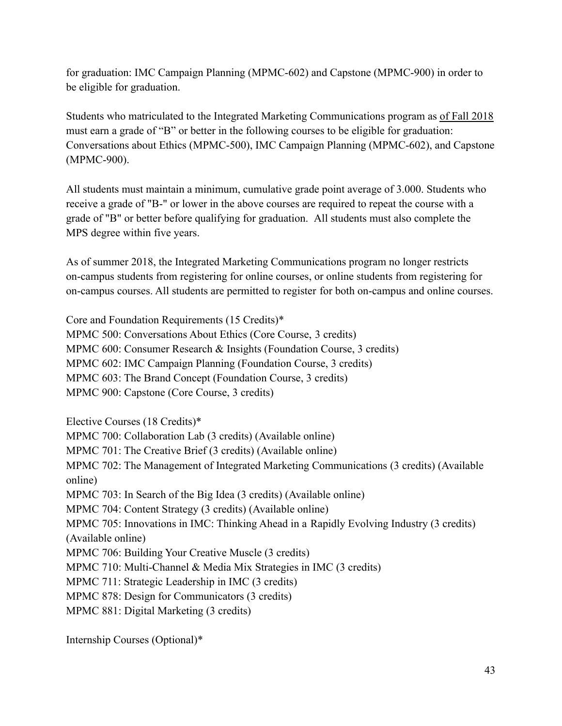for graduation: IMC Campaign Planning (MPMC-602) and Capstone (MPMC-900) in order to be eligible for graduation.

Students who matriculated to the Integrated Marketing Communications program as of Fall 2018 must earn a grade of "B" or better in the following courses to be eligible for graduation: Conversations about Ethics (MPMC-500), IMC Campaign Planning (MPMC-602), and Capstone (MPMC-900).

All students must maintain a minimum, cumulative grade point average of 3.000. Students who receive a grade of "B-" or lower in the above courses are required to repeat the course with a grade of "B" or better before qualifying for graduation. All students must also complete the MPS degree within five years.

As of summer 2018, the Integrated Marketing Communications program no longer restricts on-campus students from registering for online courses, or online students from registering for on-campus courses. All students are permitted to register for both on-campus and online courses.

Core and Foundation Requirements (15 Credits)\* MPMC 500: Conversations About Ethics (Core Course, 3 credits) MPMC 600: Consumer Research & Insights (Foundation Course, 3 credits) MPMC 602: IMC Campaign Planning (Foundation Course, 3 credits) MPMC 603: The Brand Concept (Foundation Course, 3 credits) MPMC 900: Capstone (Core Course, 3 credits)

Elective Courses (18 Credits)\* MPMC 700: Collaboration Lab (3 credits) (Available online) MPMC 701: The Creative Brief (3 credits) (Available online) MPMC 702: The Management of Integrated Marketing Communications (3 credits) (Available online) MPMC 703: In Search of the Big Idea (3 credits) (Available online) MPMC 704: Content Strategy (3 credits) (Available online) MPMC 705: Innovations in IMC: Thinking Ahead in a Rapidly Evolving Industry (3 credits) (Available online) MPMC 706: Building Your Creative Muscle (3 credits) MPMC 710: Multi-Channel & Media Mix Strategies in IMC (3 credits) MPMC 711: Strategic Leadership in IMC (3 credits) MPMC 878: Design for Communicators (3 credits) MPMC 881: Digital Marketing (3 credits)

Internship Courses (Optional)\*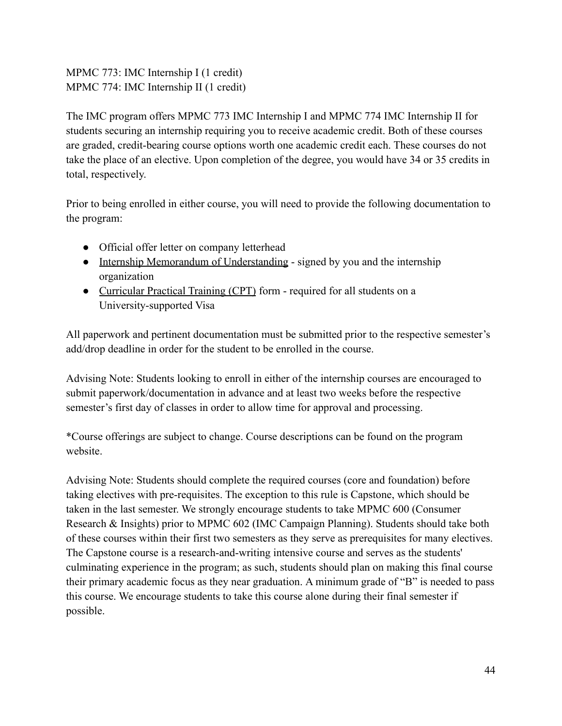MPMC 773: IMC Internship I (1 credit) MPMC 774: IMC Internship II (1 credit)

The IMC program offers MPMC 773 IMC Internship I and MPMC 774 IMC Internship II for students securing an internship requiring you to receive academic credit. Both of these courses are graded, credit-bearing course options worth one academic credit each. These courses do not take the place of an elective. Upon completion of the degree, you would have 34 or 35 credits in total, respectively.

Prior to being enrolled in either course, you will need to provide the following documentation to the program:

- Official offer letter on company letterhead
- [Internship Memorandum of Understanding](https://static.scs.georgetown.edu/upload/kb_file/scs_internship_agreement_form.pdf) signed by you and the internship organization
- [Curricular Practical Training \(CPT\)](https://georgetown.app.box.com/s/n9hf1ame37qxyhmnltfx3utc8s2u4r2d) form required for all students on a University-supported Visa

All paperwork and pertinent documentation must be submitted prior to the respective semester's add/drop deadline in order for the student to be enrolled in the course.

Advising Note: Students looking to enroll in either of the internship courses are encouraged to submit paperwork/documentation in advance and at least two weeks before the respective semester's first day of classes in order to allow time for approval and processing.

\*Course offerings are subject to change. Course descriptions can be found on the program website.

Advising Note: Students should complete the required courses (core and foundation) before taking electives with pre-requisites. The exception to this rule is Capstone, which should be taken in the last semester. We strongly encourage students to take MPMC 600 (Consumer Research & Insights) prior to MPMC 602 (IMC Campaign Planning). Students should take both of these courses within their first two semesters as they serve as prerequisites for many electives. The Capstone course is a research-and-writing intensive course and serves as the students' culminating experience in the program; as such, students should plan on making this final course their primary academic focus as they near graduation. A minimum grade of "B" is needed to pass this course. We encourage students to take this course alone during their final semester if possible.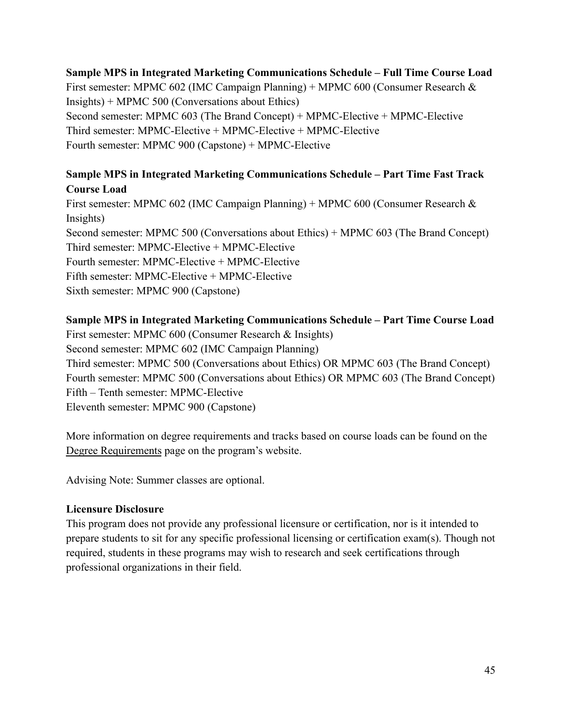# **Sample MPS in Integrated Marketing Communications Schedule – Full Time Course Load**

First semester: MPMC 602 (IMC Campaign Planning) + MPMC 600 (Consumer Research & Insights) + MPMC 500 (Conversations about Ethics) Second semester: MPMC 603 (The Brand Concept) + MPMC-Elective + MPMC-Elective Third semester: MPMC-Elective + MPMC-Elective + MPMC-Elective Fourth semester: MPMC 900 (Capstone) + MPMC-Elective

## **Sample MPS in Integrated Marketing Communications Schedule – Part Time Fast Track Course Load**

First semester: MPMC 602 (IMC Campaign Planning) + MPMC 600 (Consumer Research & Insights) Second semester: MPMC 500 (Conversations about Ethics) + MPMC 603 (The Brand Concept) Third semester: MPMC-Elective + MPMC-Elective Fourth semester: MPMC-Elective + MPMC-Elective Fifth semester: MPMC-Elective + MPMC-Elective Sixth semester: MPMC 900 (Capstone)

### **Sample MPS in Integrated Marketing Communications Schedule – Part Time Course Load**

First semester: MPMC 600 (Consumer Research & Insights) Second semester: MPMC 602 (IMC Campaign Planning) Third semester: MPMC 500 (Conversations about Ethics) OR MPMC 603 (The Brand Concept) Fourth semester: MPMC 500 (Conversations about Ethics) OR MPMC 603 (The Brand Concept) Fifth – Tenth semester: MPMC-Elective Eleventh semester: MPMC 900 (Capstone)

More information on degree requirements and tracks based on course loads can be found on the [Degree Requirements](http://scs.georgetown.edu/departments/45/master-of-professional-studies-in-integrated-marketing-communications/explore-degree/degree-requirements) page on the program's website.

Advising Note: Summer classes are optional.

### **Licensure Disclosure**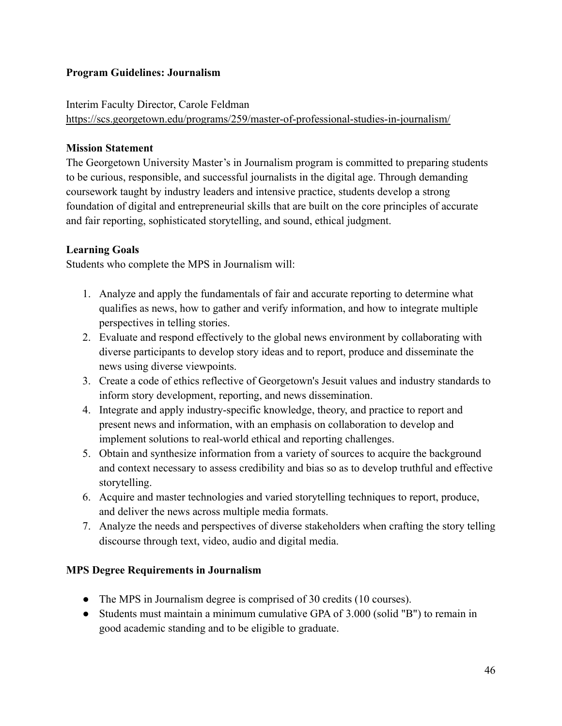## **Program Guidelines: Journalism**

## Interim Faculty Director, Carole Feldman

<https://scs.georgetown.edu/programs/259/master-of-professional-studies-in-journalism/>

## **Mission Statement**

The Georgetown University Master's in Journalism program is committed to preparing students to be curious, responsible, and successful journalists in the digital age. Through demanding coursework taught by industry leaders and intensive practice, students develop a strong foundation of digital and entrepreneurial skills that are built on the core principles of accurate and fair reporting, sophisticated storytelling, and sound, ethical judgment.

# **Learning Goals**

Students who complete the MPS in Journalism will:

- 1. Analyze and apply the fundamentals of fair and accurate reporting to determine what qualifies as news, how to gather and verify information, and how to integrate multiple perspectives in telling stories.
- 2. Evaluate and respond effectively to the global news environment by collaborating with diverse participants to develop story ideas and to report, produce and disseminate the news using diverse viewpoints.
- 3. Create a code of ethics reflective of Georgetown's Jesuit values and industry standards to inform story development, reporting, and news dissemination.
- 4. Integrate and apply industry-specific knowledge, theory, and practice to report and present news and information, with an emphasis on collaboration to develop and implement solutions to real-world ethical and reporting challenges.
- 5. Obtain and synthesize information from a variety of sources to acquire the background and context necessary to assess credibility and bias so as to develop truthful and effective storytelling.
- 6. Acquire and master technologies and varied storytelling techniques to report, produce, and deliver the news across multiple media formats.
- 7. Analyze the needs and perspectives of diverse stakeholders when crafting the story telling discourse through text, video, audio and digital media.

# **MPS Degree Requirements in Journalism**

- The MPS in Journalism degree is comprised of 30 credits (10 courses).
- Students must maintain a minimum cumulative GPA of 3.000 (solid "B") to remain in good academic standing and to be eligible to graduate.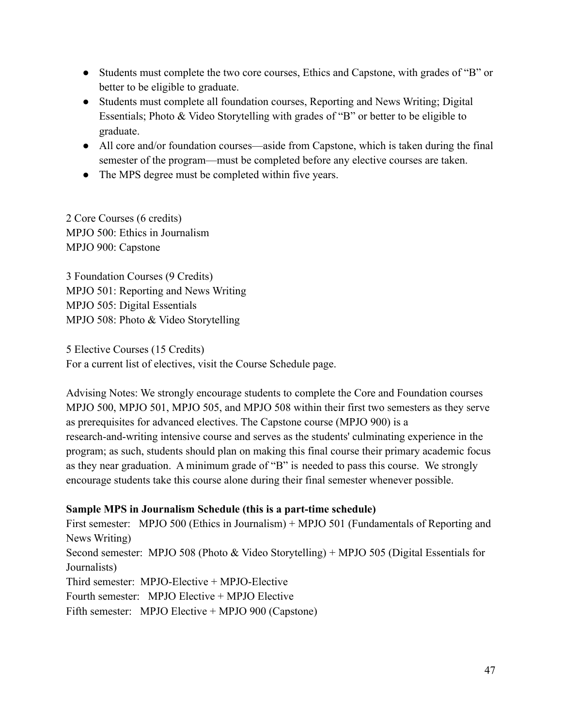- Students must complete the two core courses, Ethics and Capstone, with grades of "B" or better to be eligible to graduate.
- Students must complete all foundation courses, Reporting and News Writing; Digital Essentials; Photo & Video Storytelling with grades of "B" or better to be eligible to graduate.
- All core and/or foundation courses—aside from Capstone, which is taken during the final semester of the program—must be completed before any elective courses are taken.
- The MPS degree must be completed within five years.

2 Core Courses (6 credits) MPJO 500: Ethics in Journalism MPJO 900: Capstone

3 Foundation Courses (9 Credits) MPJO 501: Reporting and News Writing MPJO 505: Digital Essentials MPJO 508: Photo & Video Storytelling

5 Elective Courses (15 Credits) For a current list of electives, visit the Course Schedule page.

Advising Notes: We strongly encourage students to complete the Core and Foundation courses MPJO 500, MPJO 501, MPJO 505, and MPJO 508 within their first two semesters as they serve as prerequisites for advanced electives. The Capstone course (MPJO 900) is a research-and-writing intensive course and serves as the students' culminating experience in the program; as such, students should plan on making this final course their primary academic focus as they near graduation. A minimum grade of "B" is needed to pass this course. We strongly encourage students take this course alone during their final semester whenever possible.

### **Sample MPS in Journalism Schedule (this is a part-time schedule)**

First semester: MPJO 500 (Ethics in Journalism) + MPJO 501 (Fundamentals of Reporting and News Writing) Second semester: MPJO 508 (Photo & Video Storytelling) + MPJO 505 (Digital Essentials for Journalists) Third semester: MPJO-Elective + MPJO-Elective Fourth semester: MPJO Elective + MPJO Elective Fifth semester: MPJO Elective + MPJO 900 (Capstone)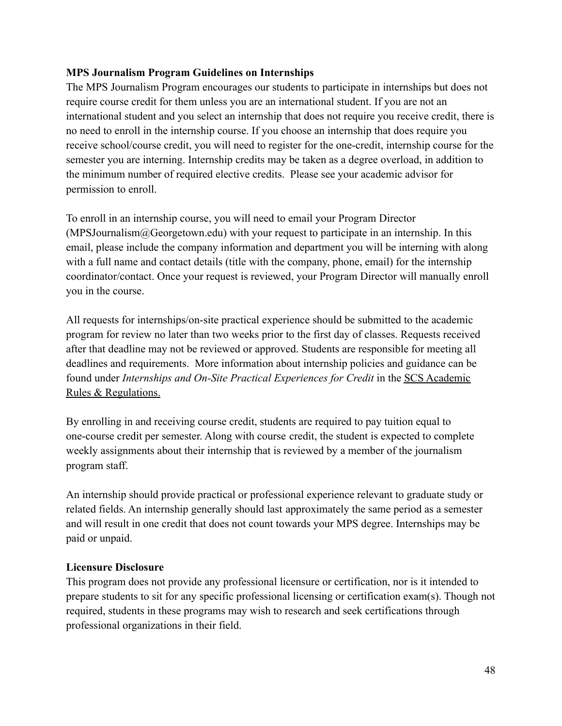### **MPS Journalism Program Guidelines on Internships**

The MPS Journalism Program encourages our students to participate in internships but does not require course credit for them unless you are an international student. If you are not an international student and you select an internship that does not require you receive credit, there is no need to enroll in the internship course. If you choose an internship that does require you receive school/course credit, you will need to register for the one-credit, internship course for the semester you are interning. Internship credits may be taken as a degree overload, in addition to the minimum number of required elective credits. Please see your academic advisor for permission to enroll.

To enroll in an internship course, you will need to email your Program Director  $(MPSJournalism@Georgetown.edu)$  with your request to participate in an internship. In this email, please include the company information and department you will be interning with along with a full name and contact details (title with the company, phone, email) for the internship coordinator/contact. Once your request is reviewed, your Program Director will manually enroll you in the course.

All requests for internships/on-site practical experience should be submitted to the academic program for review no later than two weeks prior to the first day of classes. Requests received after that deadline may not be reviewed or approved. Students are responsible for meeting all deadlines and requirements. More information about internship policies and guidance can be found under *Internships and On-Site Practical Experiences for Credit* in the [SCS Academic](https://scs.georgetown.edu/resources-current-students/student-handbooks/) [Rules & Regulations.](https://scs.georgetown.edu/resources-current-students/student-handbooks/)

By enrolling in and receiving course credit, students are required to pay tuition equal to one-course credit per semester. Along with course credit, the student is expected to complete weekly assignments about their internship that is reviewed by a member of the journalism program staff.

An internship should provide practical or professional experience relevant to graduate study or related fields. An internship generally should last approximately the same period as a semester and will result in one credit that does not count towards your MPS degree. Internships may be paid or unpaid.

### **Licensure Disclosure**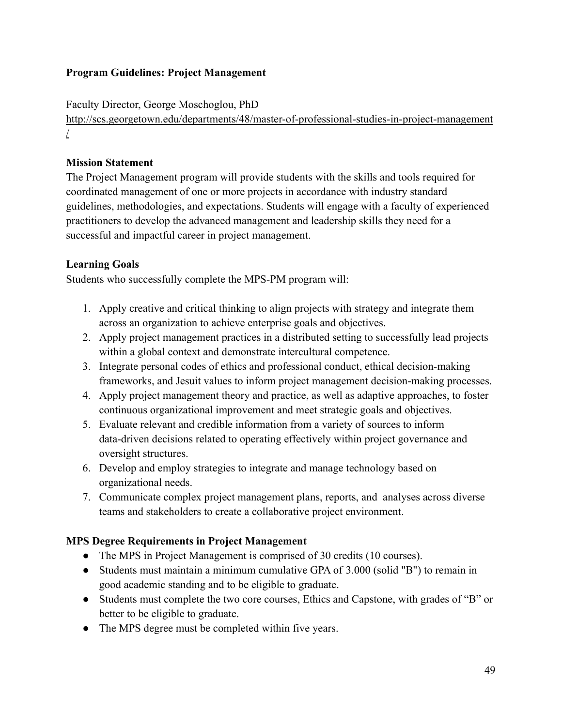# **Program Guidelines: Project Management**

Faculty Director, George Moschoglou, PhD

[http://scs.georgetown.edu/departments/48/master-of-professional-studies-in-project-management](http://scs.georgetown.edu/departments/48/master-of-professional-studies-in-project-management/) [/](http://scs.georgetown.edu/departments/48/master-of-professional-studies-in-project-management/)

## **Mission Statement**

The Project Management program will provide students with the skills and tools required for coordinated management of one or more projects in accordance with industry standard guidelines, methodologies, and expectations. Students will engage with a faculty of experienced practitioners to develop the advanced management and leadership skills they need for a successful and impactful career in project management.

# **Learning Goals**

Students who successfully complete the MPS-PM program will:

- 1. Apply creative and critical thinking to align projects with strategy and integrate them across an organization to achieve enterprise goals and objectives.
- 2. Apply project management practices in a distributed setting to successfully lead projects within a global context and demonstrate intercultural competence.
- 3. Integrate personal codes of ethics and professional conduct, ethical decision-making frameworks, and Jesuit values to inform project management decision-making processes.
- 4. Apply project management theory and practice, as well as adaptive approaches, to foster continuous organizational improvement and meet strategic goals and objectives.
- 5. Evaluate relevant and credible information from a variety of sources to inform data-driven decisions related to operating effectively within project governance and oversight structures.
- 6. Develop and employ strategies to integrate and manage technology based on organizational needs.
- 7. Communicate complex project management plans, reports, and analyses across diverse teams and stakeholders to create a collaborative project environment.

# **MPS Degree Requirements in Project Management**

- The MPS in Project Management is comprised of 30 credits (10 courses).
- Students must maintain a minimum cumulative GPA of 3.000 (solid "B") to remain in good academic standing and to be eligible to graduate.
- Students must complete the two core courses, Ethics and Capstone, with grades of "B" or better to be eligible to graduate.
- The MPS degree must be completed within five years.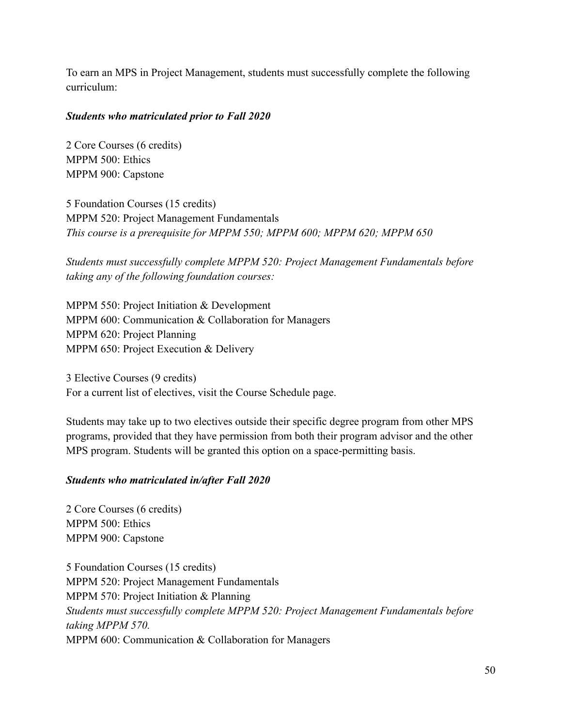To earn an MPS in Project Management, students must successfully complete the following curriculum:

#### *Students who matriculated prior to Fall 2020*

2 Core Courses (6 credits) MPPM 500: Ethics MPPM 900: Capstone

5 Foundation Courses (15 credits) MPPM 520: Project Management Fundamentals *This course is a prerequisite for MPPM 550; MPPM 600; MPPM 620; MPPM 650*

*Students must successfully complete MPPM 520: Project Management Fundamentals before taking any of the following foundation courses:*

MPPM 550: Project Initiation & Development MPPM 600: Communication & Collaboration for Managers MPPM 620: Project Planning MPPM 650: Project Execution & Delivery

3 Elective Courses (9 credits) For a current list of electives, visit the Course Schedule page.

Students may take up to two electives outside their specific degree program from other MPS programs, provided that they have permission from both their program advisor and the other MPS program. Students will be granted this option on a space-permitting basis.

### *Students who matriculated in/after Fall 2020*

2 Core Courses (6 credits) MPPM 500: Ethics MPPM 900: Capstone

5 Foundation Courses (15 credits) MPPM 520: Project Management Fundamentals MPPM 570: Project Initiation & Planning *Students must successfully complete MPPM 520: Project Management Fundamentals before taking MPPM 570.* MPPM 600: Communication & Collaboration for Managers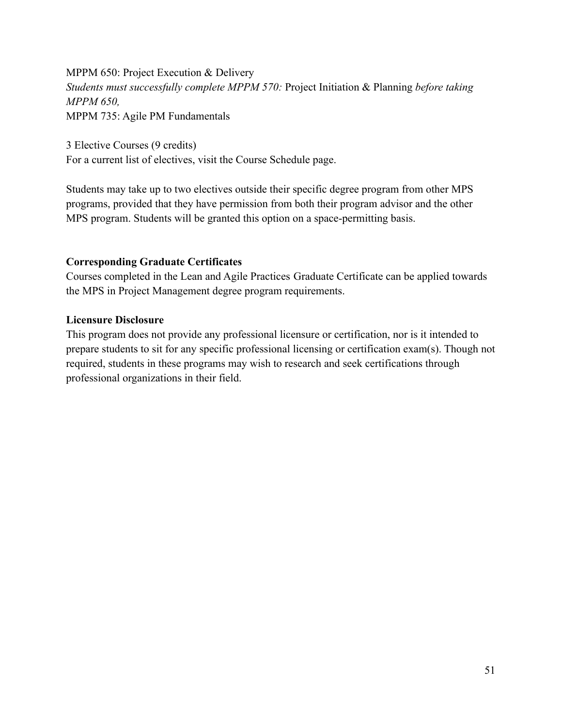# MPPM 650: Project Execution & Delivery *Students must successfully complete MPPM 570:* Project Initiation & Planning *before taking MPPM 650,* MPPM 735: Agile PM Fundamentals

3 Elective Courses (9 credits) For a current list of electives, visit the Course Schedule page.

Students may take up to two electives outside their specific degree program from other MPS programs, provided that they have permission from both their program advisor and the other MPS program. Students will be granted this option on a space-permitting basis.

## **Corresponding Graduate Certificates**

Courses completed in the Lean and Agile Practices Graduate Certificate can be applied towards the MPS in Project Management degree program requirements.

### **Licensure Disclosure**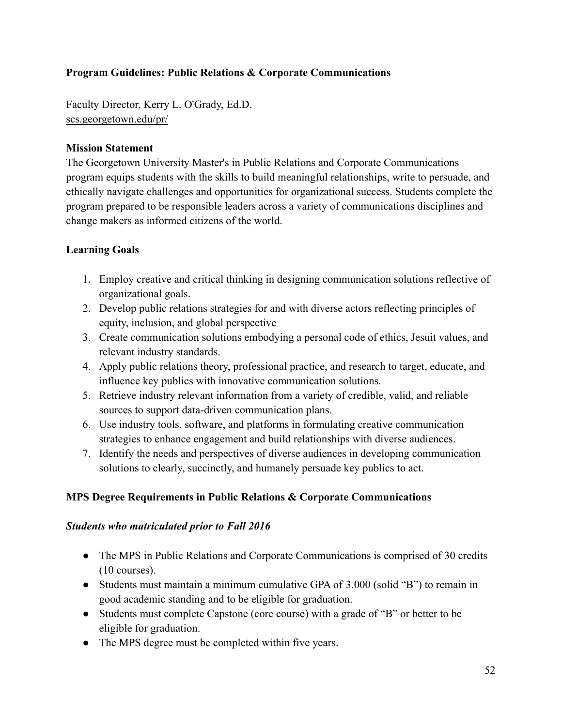# **Program Guidelines: Public Relations & Corporate Communications**

Faculty Director, Kerry L. O'Grady, Ed.D. [scs.georgetown.edu/pr/](http://scs.georgetown.edu/pr/)

### **Mission Statement**

The Georgetown University Master's in Public Relations and Corporate Communications program equips students with the skills to build meaningful relationships, write to persuade, and ethically navigate challenges and opportunities for organizational success. Students complete the program prepared to be responsible leaders across a variety of communications disciplines and change makers as informed citizens of the world.

## **Learning Goals**

- 1. Employ creative and critical thinking in designing communication solutions reflective of organizational goals.
- 2. Develop public relations strategies for and with diverse actors reflecting principles of equity, inclusion, and global perspective
- 3. Create communication solutions embodying a personal code of ethics, Jesuit values, and relevant industry standards.
- 4. Apply public relations theory, professional practice, and research to target, educate, and influence key publics with innovative communication solutions.
- 5. Retrieve industry relevant information from a variety of credible, valid, and reliable sources to support data-driven communication plans.
- 6. Use industry tools, software, and platforms in formulating creative communication strategies to enhance engagement and build relationships with diverse audiences.
- 7. Identify the needs and perspectives of diverse audiences in developing communication solutions to clearly, succinctly, and humanely persuade key publics to act.

### **MPS Degree Requirements in Public Relations & Corporate Communications**

### *Students who matriculated prior to Fall 2016*

- The MPS in Public Relations and Corporate Communications is comprised of 30 credits (10 courses).
- Students must maintain a minimum cumulative GPA of 3.000 (solid "B") to remain in good academic standing and to be eligible for graduation.
- Students must complete Capstone (core course) with a grade of "B" or better to be eligible for graduation.
- The MPS degree must be completed within five years.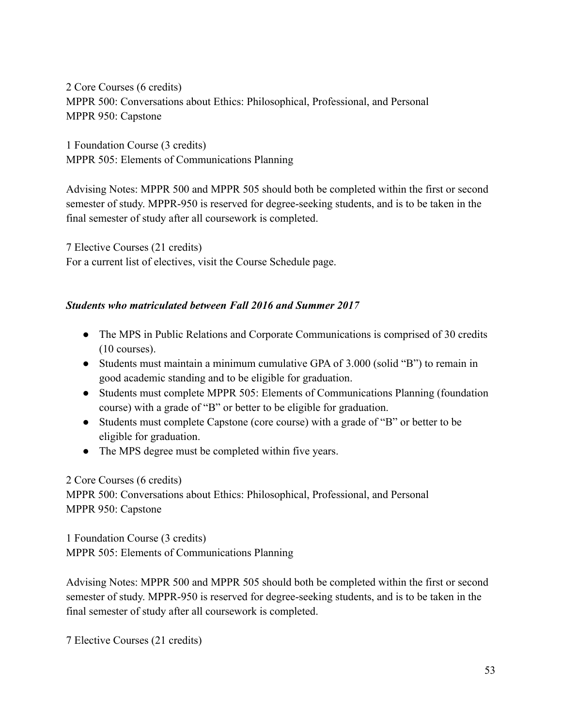2 Core Courses (6 credits) MPPR 500: Conversations about Ethics: Philosophical, Professional, and Personal MPPR 950: Capstone

1 Foundation Course (3 credits) MPPR 505: Elements of Communications Planning

Advising Notes: MPPR 500 and MPPR 505 should both be completed within the first or second semester of study. MPPR-950 is reserved for degree-seeking students, and is to be taken in the final semester of study after all coursework is completed.

7 Elective Courses (21 credits) For a current list of electives, visit the Course Schedule page.

## *Students who matriculated between Fall 2016 and Summer 2017*

- The MPS in Public Relations and Corporate Communications is comprised of 30 credits (10 courses).
- Students must maintain a minimum cumulative GPA of 3.000 (solid "B") to remain in good academic standing and to be eligible for graduation.
- Students must complete MPPR 505: Elements of Communications Planning (foundation course) with a grade of "B" or better to be eligible for graduation.
- Students must complete Capstone (core course) with a grade of "B" or better to be eligible for graduation.
- The MPS degree must be completed within five years.

2 Core Courses (6 credits) MPPR 500: Conversations about Ethics: Philosophical, Professional, and Personal MPPR 950: Capstone

1 Foundation Course (3 credits) MPPR 505: Elements of Communications Planning

Advising Notes: MPPR 500 and MPPR 505 should both be completed within the first or second semester of study. MPPR-950 is reserved for degree-seeking students, and is to be taken in the final semester of study after all coursework is completed.

7 Elective Courses (21 credits)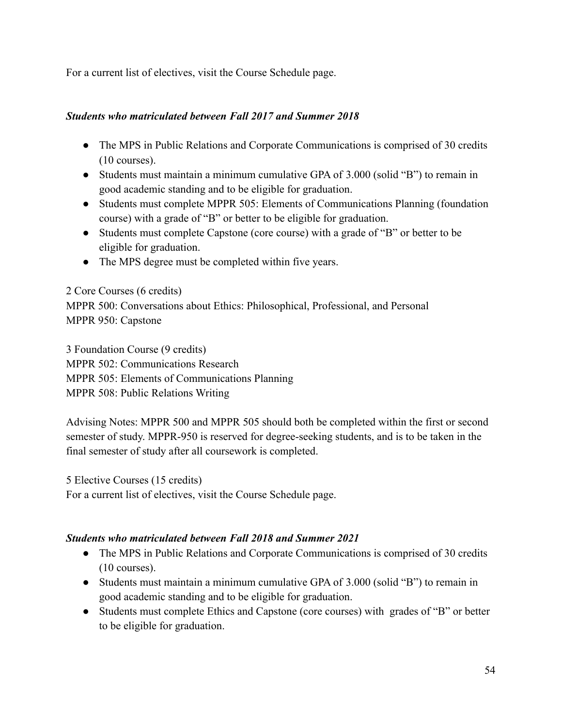For a current list of electives, visit the Course Schedule page.

## *Students who matriculated between Fall 2017 and Summer 2018*

- The MPS in Public Relations and Corporate Communications is comprised of 30 credits (10 courses).
- Students must maintain a minimum cumulative GPA of 3.000 (solid "B") to remain in good academic standing and to be eligible for graduation.
- Students must complete MPPR 505: Elements of Communications Planning (foundation course) with a grade of "B" or better to be eligible for graduation.
- Students must complete Capstone (core course) with a grade of "B" or better to be eligible for graduation.
- The MPS degree must be completed within five years.

### 2 Core Courses (6 credits)

MPPR 500: Conversations about Ethics: Philosophical, Professional, and Personal MPPR 950: Capstone

3 Foundation Course (9 credits)

MPPR 502: Communications Research

MPPR 505: Elements of Communications Planning

MPPR 508: Public Relations Writing

Advising Notes: MPPR 500 and MPPR 505 should both be completed within the first or second semester of study. MPPR-950 is reserved for degree-seeking students, and is to be taken in the final semester of study after all coursework is completed.

5 Elective Courses (15 credits)

For a current list of electives, visit the Course Schedule page.

# *Students who matriculated between Fall 2018 and Summer 2021*

- The MPS in Public Relations and Corporate Communications is comprised of 30 credits (10 courses).
- Students must maintain a minimum cumulative GPA of 3.000 (solid "B") to remain in good academic standing and to be eligible for graduation.
- Students must complete Ethics and Capstone (core courses) with grades of "B" or better to be eligible for graduation.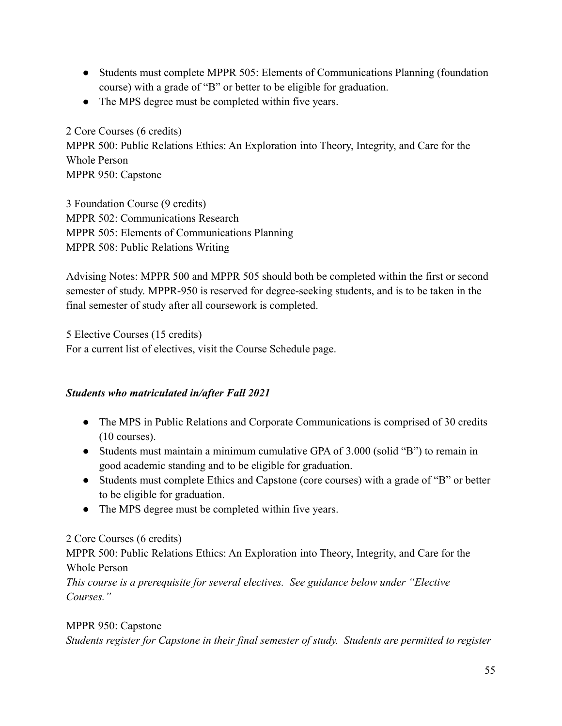- Students must complete MPPR 505: Elements of Communications Planning (foundation course) with a grade of "B" or better to be eligible for graduation.
- The MPS degree must be completed within five years.

2 Core Courses (6 credits) MPPR 500: Public Relations Ethics: An Exploration into Theory, Integrity, and Care for the Whole Person MPPR 950: Capstone

3 Foundation Course (9 credits) MPPR 502: Communications Research MPPR 505: Elements of Communications Planning MPPR 508: Public Relations Writing

Advising Notes: MPPR 500 and MPPR 505 should both be completed within the first or second semester of study. MPPR-950 is reserved for degree-seeking students, and is to be taken in the final semester of study after all coursework is completed.

5 Elective Courses (15 credits) For a current list of electives, visit the Course Schedule page.

# *Students who matriculated in/after Fall 2021*

- The MPS in Public Relations and Corporate Communications is comprised of 30 credits (10 courses).
- Students must maintain a minimum cumulative GPA of 3.000 (solid "B") to remain in good academic standing and to be eligible for graduation.
- Students must complete Ethics and Capstone (core courses) with a grade of "B" or better to be eligible for graduation.
- The MPS degree must be completed within five years.

# 2 Core Courses (6 credits)

MPPR 500: Public Relations Ethics: An Exploration into Theory, Integrity, and Care for the Whole Person

*This course is a prerequisite for several electives. See guidance below under "Elective Courses."*

# MPPR 950: Capstone

*Students register for Capstone in their final semester of study. Students are permitted to register*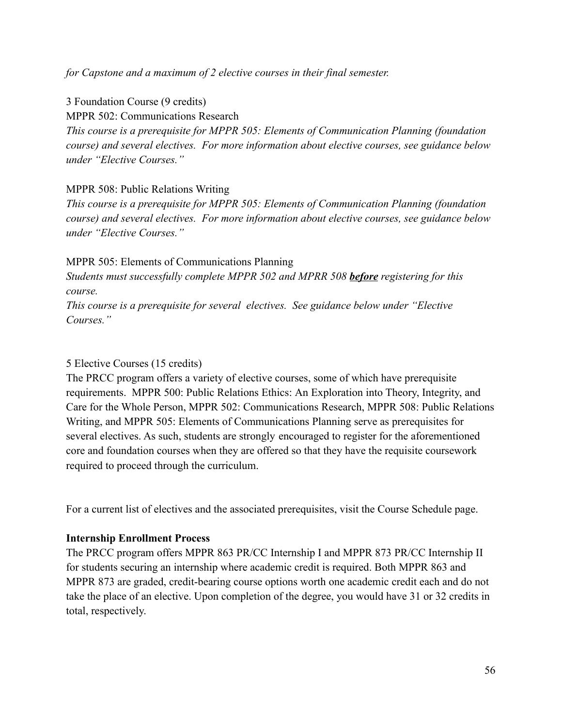*for Capstone and a maximum of 2 elective courses in their final semester.*

3 Foundation Course (9 credits)

MPPR 502: Communications Research

*This course is a prerequisite for MPPR 505: Elements of Communication Planning (foundation course) and several electives. For more information about elective courses, see guidance below under "Elective Courses."*

## MPPR 508: Public Relations Writing

*This course is a prerequisite for MPPR 505: Elements of Communication Planning (foundation course) and several electives. For more information about elective courses, see guidance below under "Elective Courses."*

MPPR 505: Elements of Communications Planning

*Students must successfully complete MPPR 502 and MPRR 508 before registering for this course.*

*This course is a prerequisite for several electives. See guidance below under "Elective Courses."*

## 5 Elective Courses (15 credits)

The PRCC program offers a variety of elective courses, some of which have prerequisite requirements. MPPR 500: Public Relations Ethics: An Exploration into Theory, Integrity, and Care for the Whole Person, MPPR 502: Communications Research, MPPR 508: Public Relations Writing, and MPPR 505: Elements of Communications Planning serve as prerequisites for several electives. As such, students are strongly encouraged to register for the aforementioned core and foundation courses when they are offered so that they have the requisite coursework required to proceed through the curriculum.

For a current list of electives and the associated prerequisites, visit the Course Schedule page.

# **Internship Enrollment Process**

The PRCC program offers MPPR 863 PR/CC Internship I and MPPR 873 PR/CC Internship II for students securing an internship where academic credit is required. Both MPPR 863 and MPPR 873 are graded, credit-bearing course options worth one academic credit each and do not take the place of an elective. Upon completion of the degree, you would have 31 or 32 credits in total, respectively.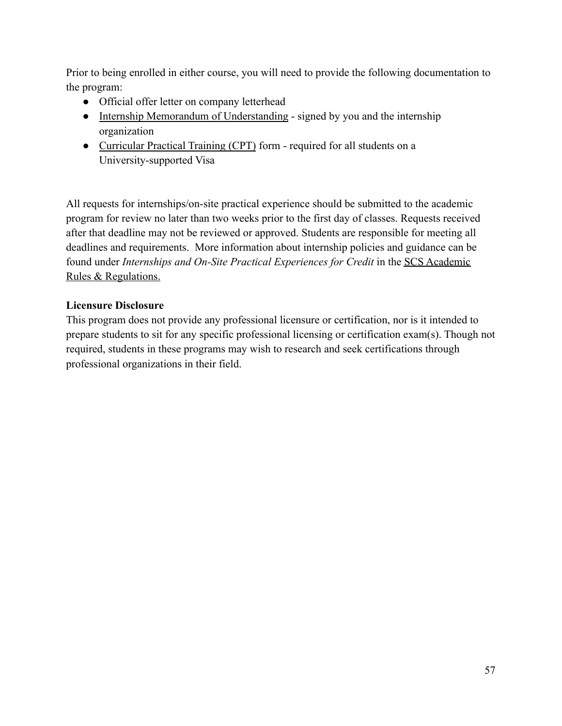Prior to being enrolled in either course, you will need to provide the following documentation to the program:

- Official offer letter on company letterhead
- [Internship Memorandum of Understanding](https://static.scs.georgetown.edu/upload/kb_file/scs_internship_agreement_form.pdf) signed by you and the internship organization
- [Curricular Practical Training \(CPT\)](https://georgetown.app.box.com/s/n9hf1ame37qxyhmnltfx3utc8s2u4r2d) form required for all students on a University-supported Visa

All requests for internships/on-site practical experience should be submitted to the academic program for review no later than two weeks prior to the first day of classes. Requests received after that deadline may not be reviewed or approved. Students are responsible for meeting all deadlines and requirements. More information about internship policies and guidance can be found under *Internships and On-Site Practical Experiences for Credit* in the [SCS Academic](https://scs.georgetown.edu/resources-current-students/student-handbooks/) [Rules & Regulations.](https://scs.georgetown.edu/resources-current-students/student-handbooks/)

# **Licensure Disclosure**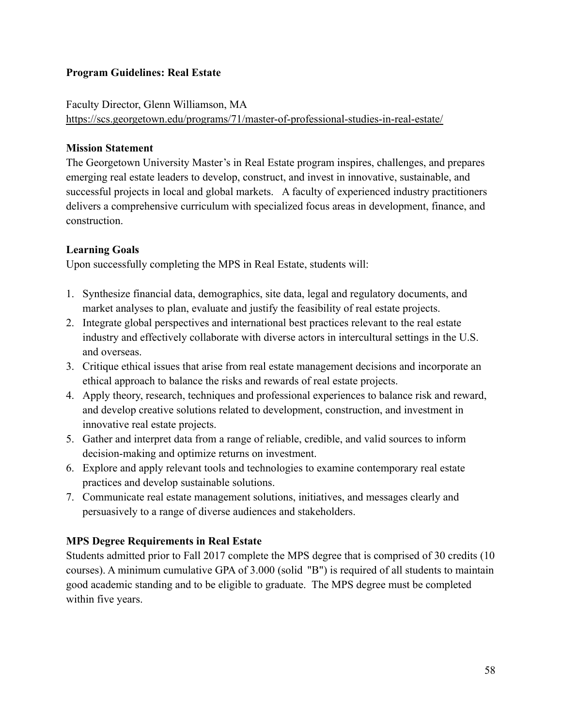## **Program Guidelines: Real Estate**

# Faculty Director, Glenn Williamson, MA <https://scs.georgetown.edu/programs/71/master-of-professional-studies-in-real-estate/>

## **Mission Statement**

The Georgetown University Master's in Real Estate program inspires, challenges, and prepares emerging real estate leaders to develop, construct, and invest in innovative, sustainable, and successful projects in local and global markets. A faculty of experienced industry practitioners delivers a comprehensive curriculum with specialized focus areas in development, finance, and construction.

## **Learning Goals**

Upon successfully completing the MPS in Real Estate, students will:

- 1. Synthesize financial data, demographics, site data, legal and regulatory documents, and market analyses to plan, evaluate and justify the feasibility of real estate projects.
- 2. Integrate global perspectives and international best practices relevant to the real estate industry and effectively collaborate with diverse actors in intercultural settings in the U.S. and overseas.
- 3. Critique ethical issues that arise from real estate management decisions and incorporate an ethical approach to balance the risks and rewards of real estate projects.
- 4. Apply theory, research, techniques and professional experiences to balance risk and reward, and develop creative solutions related to development, construction, and investment in innovative real estate projects.
- 5. Gather and interpret data from a range of reliable, credible, and valid sources to inform decision-making and optimize returns on investment.
- 6. Explore and apply relevant tools and technologies to examine contemporary real estate practices and develop sustainable solutions.
- 7. Communicate real estate management solutions, initiatives, and messages clearly and persuasively to a range of diverse audiences and stakeholders.

# **MPS Degree Requirements in Real Estate**

Students admitted prior to Fall 2017 complete the MPS degree that is comprised of 30 credits (10 courses). A minimum cumulative GPA of 3.000 (solid "B") is required of all students to maintain good academic standing and to be eligible to graduate. The MPS degree must be completed within five years.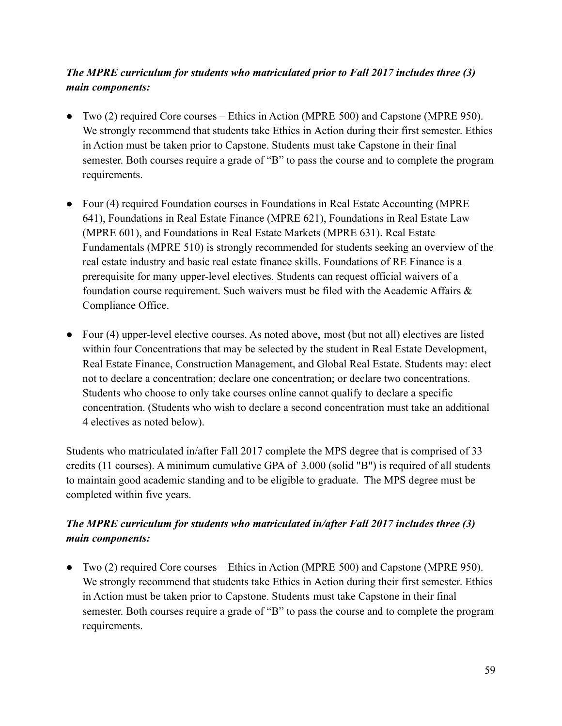# *The MPRE curriculum for students who matriculated prior to Fall 2017 includes three (3) main components:*

- Two (2) required Core courses Ethics in Action (MPRE 500) and Capstone (MPRE 950). We strongly recommend that students take Ethics in Action during their first semester. Ethics in Action must be taken prior to Capstone. Students must take Capstone in their final semester. Both courses require a grade of "B" to pass the course and to complete the program requirements.
- Four (4) required Foundation courses in Foundations in Real Estate Accounting (MPRE 641), Foundations in Real Estate Finance (MPRE 621), Foundations in Real Estate Law (MPRE 601), and Foundations in Real Estate Markets (MPRE 631). Real Estate Fundamentals (MPRE 510) is strongly recommended for students seeking an overview of the real estate industry and basic real estate finance skills. Foundations of RE Finance is a prerequisite for many upper-level electives. Students can request official waivers of a foundation course requirement. Such waivers must be filed with the Academic Affairs & Compliance Office.
- Four (4) upper-level elective courses. As noted above, most (but not all) electives are listed within four Concentrations that may be selected by the student in Real Estate Development, Real Estate Finance, Construction Management, and Global Real Estate. Students may: elect not to declare a concentration; declare one concentration; or declare two concentrations. Students who choose to only take courses online cannot qualify to declare a specific concentration. (Students who wish to declare a second concentration must take an additional 4 electives as noted below).

Students who matriculated in/after Fall 2017 complete the MPS degree that is comprised of 33 credits (11 courses). A minimum cumulative GPA of 3.000 (solid "B") is required of all students to maintain good academic standing and to be eligible to graduate. The MPS degree must be completed within five years.

# *The MPRE curriculum for students who matriculated in/after Fall 2017 includes three (3) main components:*

● Two (2) required Core courses – Ethics in Action (MPRE 500) and Capstone (MPRE 950). We strongly recommend that students take Ethics in Action during their first semester. Ethics in Action must be taken prior to Capstone. Students must take Capstone in their final semester. Both courses require a grade of "B" to pass the course and to complete the program requirements.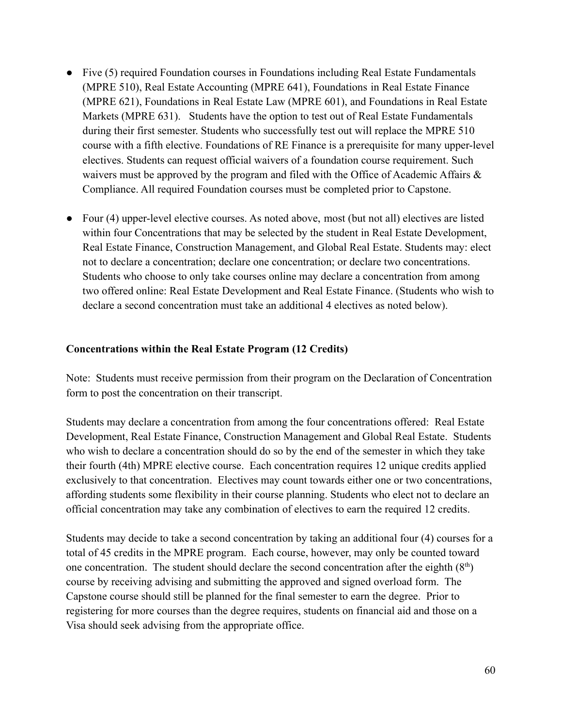- Five (5) required Foundation courses in Foundations including Real Estate Fundamentals (MPRE 510), Real Estate Accounting (MPRE 641), Foundations in Real Estate Finance (MPRE 621), Foundations in Real Estate Law (MPRE 601), and Foundations in Real Estate Markets (MPRE 631). Students have the option to test out of Real Estate Fundamentals during their first semester. Students who successfully test out will replace the MPRE 510 course with a fifth elective. Foundations of RE Finance is a prerequisite for many upper-level electives. Students can request official waivers of a foundation course requirement. Such waivers must be approved by the program and filed with the Office of Academic Affairs  $\&$ Compliance. All required Foundation courses must be completed prior to Capstone.
- Four (4) upper-level elective courses. As noted above, most (but not all) electives are listed within four Concentrations that may be selected by the student in Real Estate Development, Real Estate Finance, Construction Management, and Global Real Estate. Students may: elect not to declare a concentration; declare one concentration; or declare two concentrations. Students who choose to only take courses online may declare a concentration from among two offered online: Real Estate Development and Real Estate Finance. (Students who wish to declare a second concentration must take an additional 4 electives as noted below).

### **Concentrations within the Real Estate Program (12 Credits)**

Note: Students must receive permission from their program on the Declaration of Concentration form to post the concentration on their transcript.

Students may declare a concentration from among the four concentrations offered: Real Estate Development, Real Estate Finance, Construction Management and Global Real Estate. Students who wish to declare a concentration should do so by the end of the semester in which they take their fourth (4th) MPRE elective course. Each concentration requires 12 unique credits applied exclusively to that concentration. Electives may count towards either one or two concentrations, affording students some flexibility in their course planning. Students who elect not to declare an official concentration may take any combination of electives to earn the required 12 credits.

Students may decide to take a second concentration by taking an additional four (4) courses for a total of 45 credits in the MPRE program. Each course, however, may only be counted toward one concentration. The student should declare the second concentration after the eighth  $(8<sup>th</sup>)$ course by receiving advising and submitting the approved and signed overload form. The Capstone course should still be planned for the final semester to earn the degree. Prior to registering for more courses than the degree requires, students on financial aid and those on a Visa should seek advising from the appropriate office.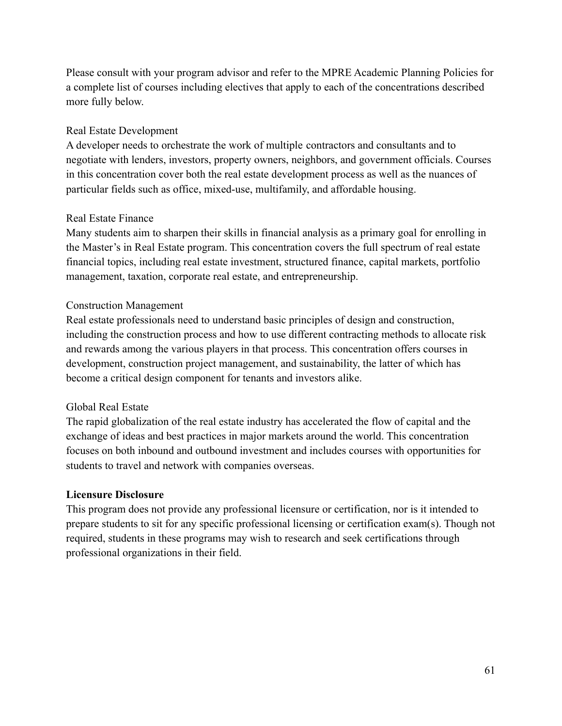Please consult with your program advisor and refer to the MPRE Academic Planning Policies for a complete list of courses including electives that apply to each of the concentrations described more fully below.

### Real Estate Development

A developer needs to orchestrate the work of multiple contractors and consultants and to negotiate with lenders, investors, property owners, neighbors, and government officials. Courses in this concentration cover both the real estate development process as well as the nuances of particular fields such as office, mixed-use, multifamily, and affordable housing.

## Real Estate Finance

Many students aim to sharpen their skills in financial analysis as a primary goal for enrolling in the Master's in Real Estate program. This concentration covers the full spectrum of real estate financial topics, including real estate investment, structured finance, capital markets, portfolio management, taxation, corporate real estate, and entrepreneurship.

# Construction Management

Real estate professionals need to understand basic principles of design and construction, including the construction process and how to use different contracting methods to allocate risk and rewards among the various players in that process. This concentration offers courses in development, construction project management, and sustainability, the latter of which has become a critical design component for tenants and investors alike.

### Global Real Estate

The rapid globalization of the real estate industry has accelerated the flow of capital and the exchange of ideas and best practices in major markets around the world. This concentration focuses on both inbound and outbound investment and includes courses with opportunities for students to travel and network with companies overseas.

# **Licensure Disclosure**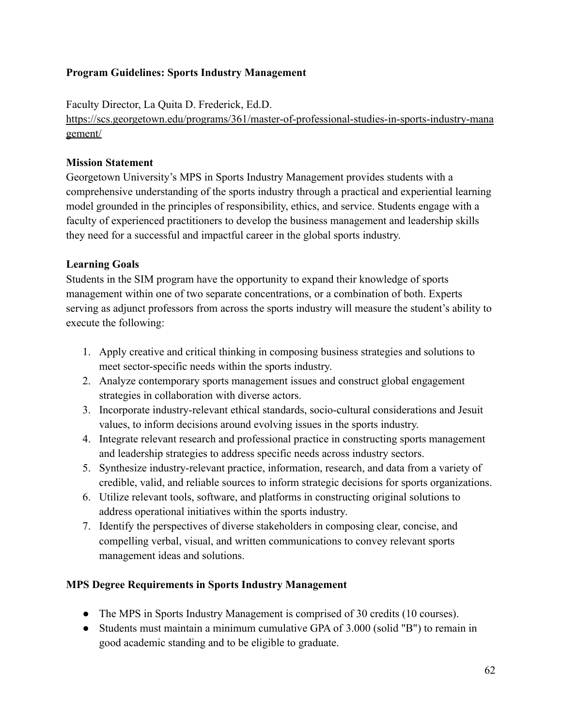## **Program Guidelines: Sports Industry Management**

Faculty Director, La Quita D. Frederick, Ed.D.

[https://scs.georgetown.edu/programs/361/master-of-professional-studies-in-sports-industry-mana](https://scs.georgetown.edu/programs/361/master-of-professional-studies-in-sports-industry-management/) [gement/](https://scs.georgetown.edu/programs/361/master-of-professional-studies-in-sports-industry-management/)

## **Mission Statement**

Georgetown University's MPS in Sports Industry Management provides students with a comprehensive understanding of the sports industry through a practical and experiential learning model grounded in the principles of responsibility, ethics, and service. Students engage with a faculty of experienced practitioners to develop the business management and leadership skills they need for a successful and impactful career in the global sports industry.

# **Learning Goals**

Students in the SIM program have the opportunity to expand their knowledge of sports management within one of two separate concentrations, or a combination of both. Experts serving as adjunct professors from across the sports industry will measure the student's ability to execute the following:

- 1. Apply creative and critical thinking in composing business strategies and solutions to meet sector-specific needs within the sports industry.
- 2. Analyze contemporary sports management issues and construct global engagement strategies in collaboration with diverse actors.
- 3. Incorporate industry-relevant ethical standards, socio-cultural considerations and Jesuit values, to inform decisions around evolving issues in the sports industry.
- 4. Integrate relevant research and professional practice in constructing sports management and leadership strategies to address specific needs across industry sectors.
- 5. Synthesize industry-relevant practice, information, research, and data from a variety of credible, valid, and reliable sources to inform strategic decisions for sports organizations.
- 6. Utilize relevant tools, software, and platforms in constructing original solutions to address operational initiatives within the sports industry.
- 7. Identify the perspectives of diverse stakeholders in composing clear, concise, and compelling verbal, visual, and written communications to convey relevant sports management ideas and solutions.

### **MPS Degree Requirements in Sports Industry Management**

- The MPS in Sports Industry Management is comprised of 30 credits (10 courses).
- Students must maintain a minimum cumulative GPA of 3.000 (solid "B") to remain in good academic standing and to be eligible to graduate.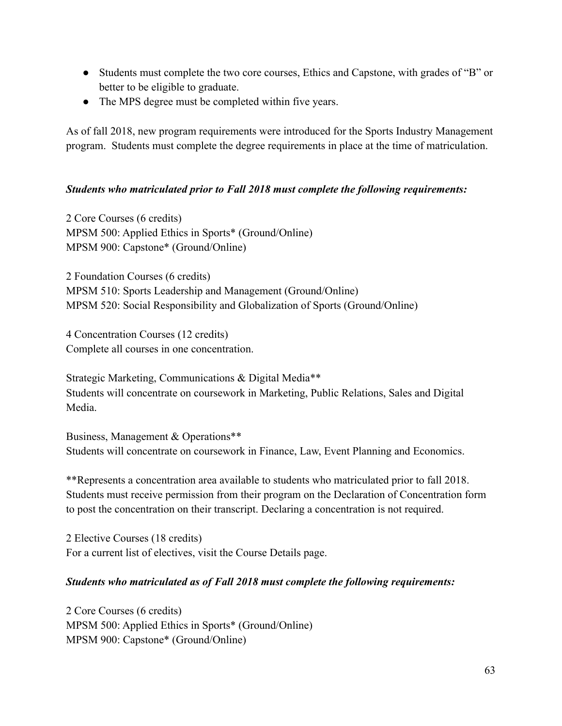- Students must complete the two core courses, Ethics and Capstone, with grades of "B" or better to be eligible to graduate.
- The MPS degree must be completed within five years.

As of fall 2018, new program requirements were introduced for the Sports Industry Management program. Students must complete the degree requirements in place at the time of matriculation.

### *Students who matriculated prior to Fall 2018 must complete the following requirements:*

2 Core Courses (6 credits) MPSM 500: Applied Ethics in Sports\* (Ground/Online) MPSM 900: Capstone\* (Ground/Online)

2 Foundation Courses (6 credits) MPSM 510: Sports Leadership and Management (Ground/Online) MPSM 520: Social Responsibility and Globalization of Sports (Ground/Online)

4 Concentration Courses (12 credits) Complete all courses in one concentration.

Strategic Marketing, Communications & Digital Media\*\* Students will concentrate on coursework in Marketing, Public Relations, Sales and Digital Media.

Business, Management & Operations\*\* Students will concentrate on coursework in Finance, Law, Event Planning and Economics.

\*\*Represents a concentration area available to students who matriculated prior to fall 2018. Students must receive permission from their program on the Declaration of Concentration form to post the concentration on their transcript. Declaring a concentration is not required.

2 Elective Courses (18 credits) For a current list of electives, visit the Course Details page.

### *Students who matriculated as of Fall 2018 must complete the following requirements:*

2 Core Courses (6 credits) MPSM 500: Applied Ethics in Sports\* (Ground/Online) MPSM 900: Capstone\* (Ground/Online)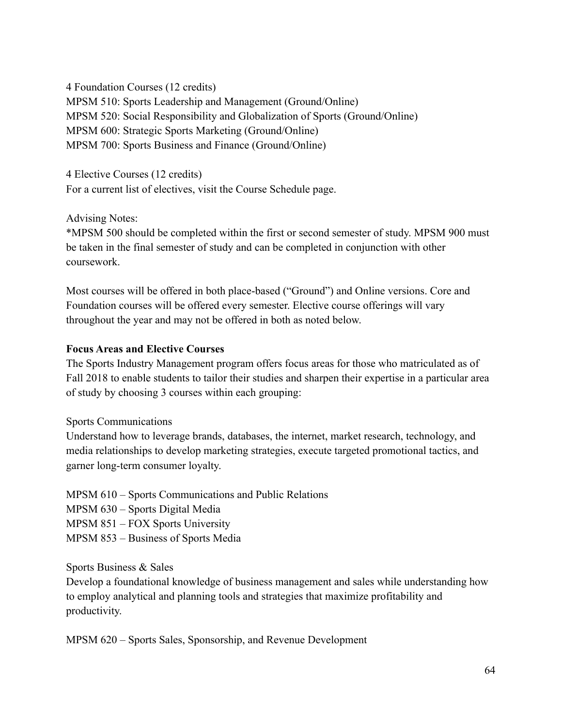4 Foundation Courses (12 credits) MPSM 510: Sports Leadership and Management (Ground/Online) MPSM 520: Social Responsibility and Globalization of Sports (Ground/Online) MPSM 600: Strategic Sports Marketing (Ground/Online) MPSM 700: Sports Business and Finance (Ground/Online)

4 Elective Courses (12 credits) For a current list of electives, visit the Course Schedule page.

Advising Notes:

\*MPSM 500 should be completed within the first or second semester of study. MPSM 900 must be taken in the final semester of study and can be completed in conjunction with other coursework.

Most courses will be offered in both place-based ("Ground") and Online versions. Core and Foundation courses will be offered every semester. Elective course offerings will vary throughout the year and may not be offered in both as noted below.

## **Focus Areas and Elective Courses**

The Sports Industry Management program offers focus areas for those who matriculated as of Fall 2018 to enable students to tailor their studies and sharpen their expertise in a particular area of study by choosing 3 courses within each grouping:

# Sports Communications

Understand how to leverage brands, databases, the internet, market research, technology, and media relationships to develop marketing strategies, execute targeted promotional tactics, and garner long-term consumer loyalty.

MPSM 610 – Sports Communications and Public Relations

MPSM 630 – Sports Digital Media

MPSM 851 – FOX Sports University

MPSM 853 – Business of Sports Media

Sports Business & Sales

Develop a foundational knowledge of business management and sales while understanding how to employ analytical and planning tools and strategies that maximize profitability and productivity.

MPSM 620 – Sports Sales, Sponsorship, and Revenue Development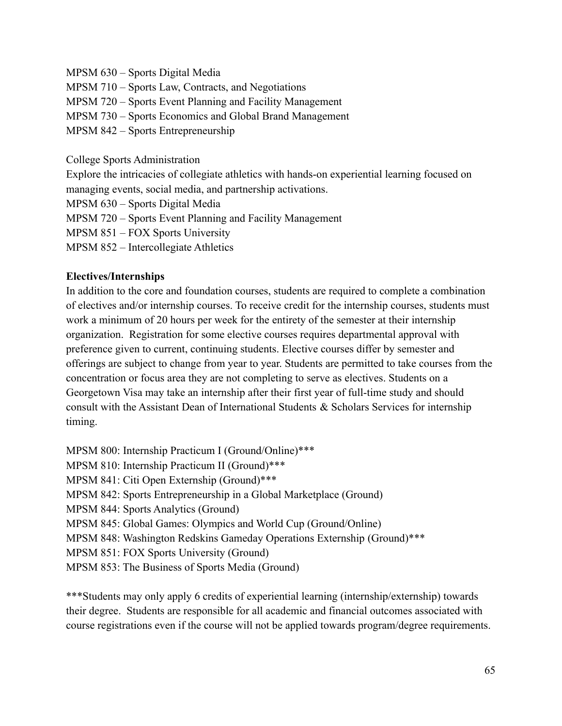MPSM 630 – Sports Digital Media

MPSM 710 – Sports Law, Contracts, and Negotiations

MPSM 720 – Sports Event Planning and Facility Management

MPSM 730 – Sports Economics and Global Brand Management

MPSM 842 – Sports Entrepreneurship

College Sports Administration

Explore the intricacies of collegiate athletics with hands-on experiential learning focused on managing events, social media, and partnership activations.

MPSM 630 – Sports Digital Media

MPSM 720 – Sports Event Planning and Facility Management

MPSM 851 – FOX Sports University

MPSM 852 – Intercollegiate Athletics

#### **Electives/Internships**

In addition to the core and foundation courses, students are required to complete a combination of electives and/or internship courses. To receive credit for the internship courses, students must work a minimum of 20 hours per week for the entirety of the semester at their internship organization. Registration for some elective courses requires departmental approval with preference given to current, continuing students. Elective courses differ by semester and offerings are subject to change from year to year. Students are permitted to take courses from the concentration or focus area they are not completing to serve as electives. Students on a Georgetown Visa may take an internship after their first year of full-time study and should consult with the Assistant Dean of International Students & Scholars Services for internship timing.

MPSM 800: Internship Practicum I (Ground/Online)\*\*\* MPSM 810: Internship Practicum II (Ground)\*\*\* MPSM 841: Citi Open Externship (Ground)\*\*\* MPSM 842: Sports Entrepreneurship in a Global Marketplace (Ground) MPSM 844: Sports Analytics (Ground) MPSM 845: Global Games: Olympics and World Cup (Ground/Online) MPSM 848: Washington Redskins Gameday Operations Externship (Ground)\*\*\* MPSM 851: FOX Sports University (Ground) MPSM 853: The Business of Sports Media (Ground)

\*\*\*Students may only apply 6 credits of experiential learning (internship/externship) towards their degree. Students are responsible for all academic and financial outcomes associated with course registrations even if the course will not be applied towards program/degree requirements.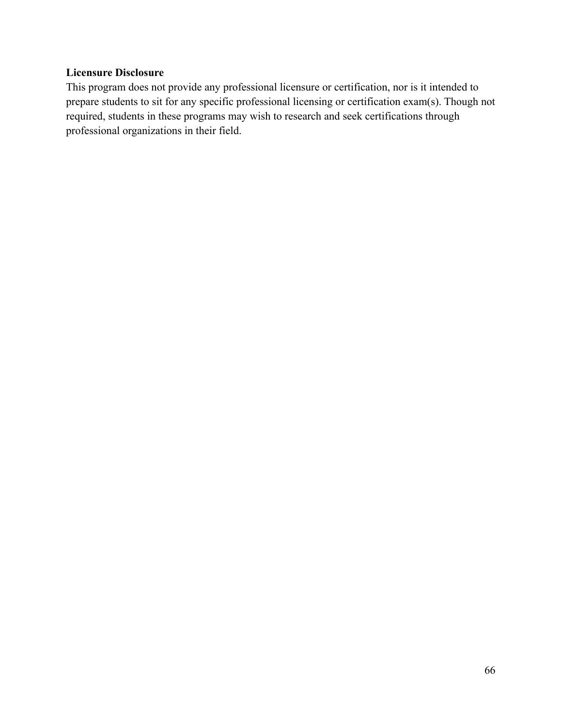# **Licensure Disclosure**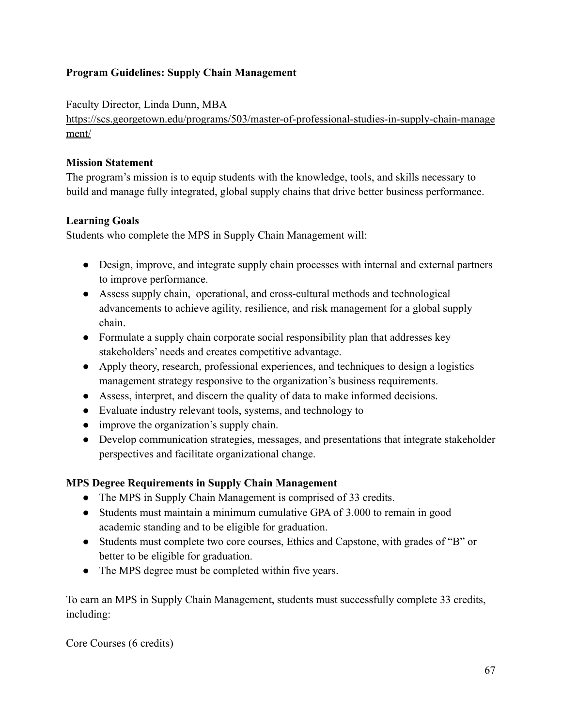# **Program Guidelines: Supply Chain Management**

## Faculty Director, Linda Dunn, MBA

[https://scs.georgetown.edu/programs/503/master-of-professional-studies-in-supply-chain-manage](https://scs.georgetown.edu/programs/503/master-of-professional-studies-in-supply-chain-management/) [ment/](https://scs.georgetown.edu/programs/503/master-of-professional-studies-in-supply-chain-management/)

## **Mission Statement**

The program's mission is to equip students with the knowledge, tools, and skills necessary to build and manage fully integrated, global supply chains that drive better business performance.

# **Learning Goals**

Students who complete the MPS in Supply Chain Management will:

- Design, improve, and integrate supply chain processes with internal and external partners to improve performance.
- Assess supply chain, operational, and cross-cultural methods and technological advancements to achieve agility, resilience, and risk management for a global supply chain.
- Formulate a supply chain corporate social responsibility plan that addresses key stakeholders' needs and creates competitive advantage.
- Apply theory, research, professional experiences, and techniques to design a logistics management strategy responsive to the organization's business requirements.
- Assess, interpret, and discern the quality of data to make informed decisions.
- Evaluate industry relevant tools, systems, and technology to
- improve the organization's supply chain.
- Develop communication strategies, messages, and presentations that integrate stakeholder perspectives and facilitate organizational change.

# **MPS Degree Requirements in Supply Chain Management**

- The MPS in Supply Chain Management is comprised of 33 credits.
- Students must maintain a minimum cumulative GPA of 3.000 to remain in good academic standing and to be eligible for graduation.
- Students must complete two core courses, Ethics and Capstone, with grades of "B" or better to be eligible for graduation.
- The MPS degree must be completed within five years.

To earn an MPS in Supply Chain Management, students must successfully complete 33 credits, including:

Core Courses (6 credits)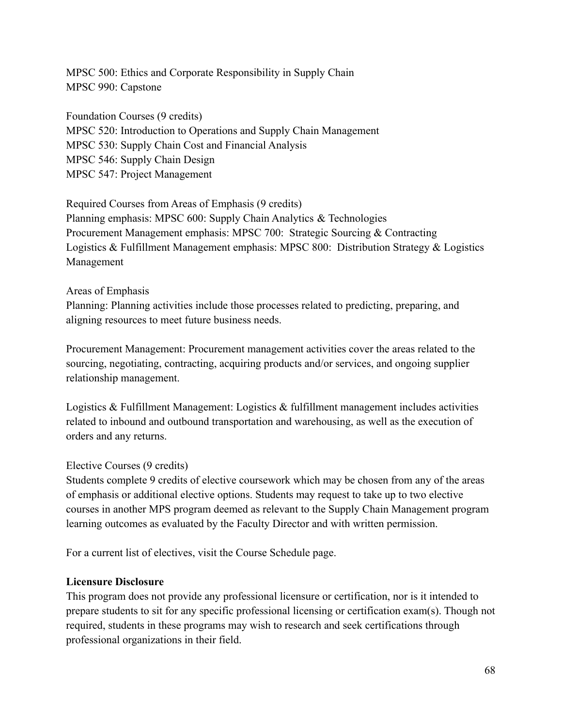MPSC 500: Ethics and Corporate Responsibility in Supply Chain MPSC 990: Capstone

Foundation Courses (9 credits) MPSC 520: Introduction to Operations and Supply Chain Management MPSC 530: Supply Chain Cost and Financial Analysis MPSC 546: Supply Chain Design MPSC 547: Project Management

Required Courses from Areas of Emphasis (9 credits) Planning emphasis: MPSC 600: Supply Chain Analytics & Technologies Procurement Management emphasis: MPSC 700: Strategic Sourcing & Contracting Logistics & Fulfillment Management emphasis: MPSC 800: Distribution Strategy & Logistics Management

#### Areas of Emphasis

Planning: Planning activities include those processes related to predicting, preparing, and aligning resources to meet future business needs.

Procurement Management: Procurement management activities cover the areas related to the sourcing, negotiating, contracting, acquiring products and/or services, and ongoing supplier relationship management.

Logistics & Fulfillment Management: Logistics & fulfillment management includes activities related to inbound and outbound transportation and warehousing, as well as the execution of orders and any returns.

#### Elective Courses (9 credits)

Students complete 9 credits of elective coursework which may be chosen from any of the areas of emphasis or additional elective options. Students may request to take up to two elective courses in another MPS program deemed as relevant to the Supply Chain Management program learning outcomes as evaluated by the Faculty Director and with written permission.

For a current list of electives, visit the Course Schedule page.

#### **Licensure Disclosure**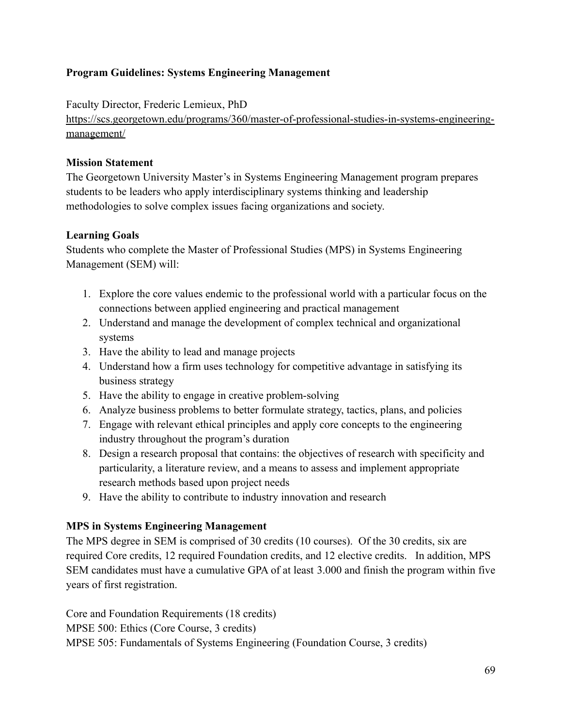# **Program Guidelines: Systems Engineering Management**

Faculty Director, Frederic Lemieux, PhD

[https://scs.georgetown.edu/programs/360/master-of-professional-studies-in-systems-engineering](https://scs.georgetown.edu/programs/360/master-of-professional-studies-in-systems-engineering-management/)[management/](https://scs.georgetown.edu/programs/360/master-of-professional-studies-in-systems-engineering-management/)

## **Mission Statement**

The Georgetown University Master's in Systems Engineering Management program prepares students to be leaders who apply interdisciplinary systems thinking and leadership methodologies to solve complex issues facing organizations and society.

## **Learning Goals**

Students who complete the Master of Professional Studies (MPS) in Systems Engineering Management (SEM) will:

- 1. Explore the core values endemic to the professional world with a particular focus on the connections between applied engineering and practical management
- 2. Understand and manage the development of complex technical and organizational systems
- 3. Have the ability to lead and manage projects
- 4. Understand how a firm uses technology for competitive advantage in satisfying its business strategy
- 5. Have the ability to engage in creative problem-solving
- 6. Analyze business problems to better formulate strategy, tactics, plans, and policies
- 7. Engage with relevant ethical principles and apply core concepts to the engineering industry throughout the program's duration
- 8. Design a research proposal that contains: the objectives of research with specificity and particularity, a literature review, and a means to assess and implement appropriate research methods based upon project needs
- 9. Have the ability to contribute to industry innovation and research

# **MPS in Systems Engineering Management**

The MPS degree in SEM is comprised of 30 credits (10 courses). Of the 30 credits, six are required Core credits, 12 required Foundation credits, and 12 elective credits. In addition, MPS SEM candidates must have a cumulative GPA of at least 3.000 and finish the program within five years of first registration.

Core and Foundation Requirements (18 credits) MPSE 500: Ethics (Core Course, 3 credits) MPSE 505: Fundamentals of Systems Engineering (Foundation Course, 3 credits)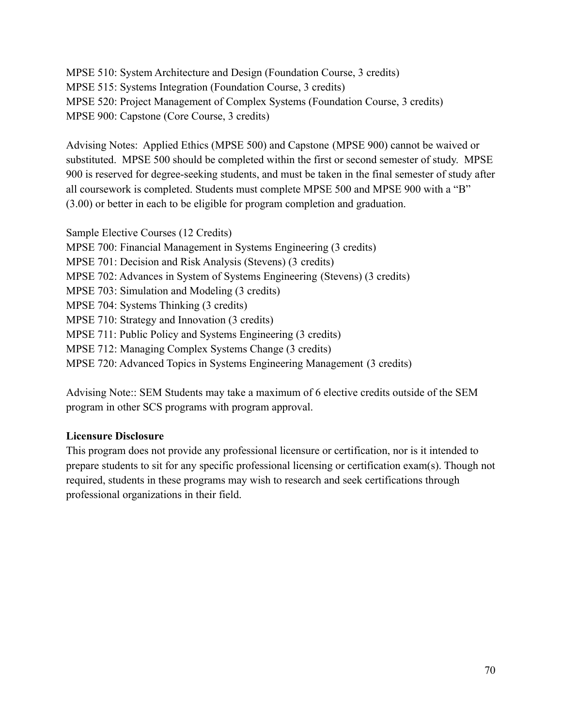MPSE 510: System Architecture and Design (Foundation Course, 3 credits) MPSE 515: Systems Integration (Foundation Course, 3 credits) MPSE 520: Project Management of Complex Systems (Foundation Course, 3 credits) MPSE 900: Capstone (Core Course, 3 credits)

Advising Notes: Applied Ethics (MPSE 500) and Capstone (MPSE 900) cannot be waived or substituted. MPSE 500 should be completed within the first or second semester of study. MPSE 900 is reserved for degree-seeking students, and must be taken in the final semester of study after all coursework is completed. Students must complete MPSE 500 and MPSE 900 with a "B" (3.00) or better in each to be eligible for program completion and graduation.

Sample Elective Courses (12 Credits) MPSE 700: Financial Management in Systems Engineering (3 credits) MPSE 701: Decision and Risk Analysis (Stevens) (3 credits) MPSE 702: Advances in System of Systems Engineering (Stevens) (3 credits) MPSE 703: Simulation and Modeling (3 credits) MPSE 704: Systems Thinking (3 credits) MPSE 710: Strategy and Innovation (3 credits) MPSE 711: Public Policy and Systems Engineering (3 credits) MPSE 712: Managing Complex Systems Change (3 credits) MPSE 720: Advanced Topics in Systems Engineering Management (3 credits)

Advising Note:: SEM Students may take a maximum of 6 elective credits outside of the SEM program in other SCS programs with program approval.

# **Licensure Disclosure**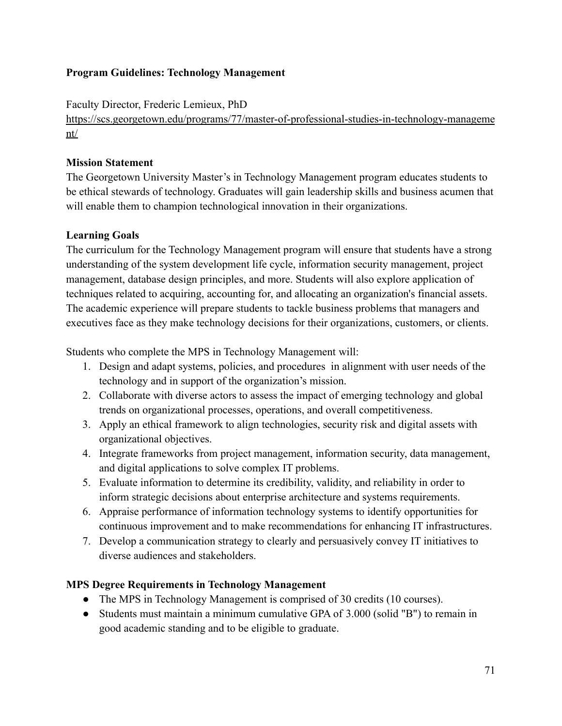## **Program Guidelines: Technology Management**

Faculty Director, Frederic Lemieux, PhD

[https://scs.georgetown.edu/programs/77/master-of-professional-studies-in-technology-manageme](https://scs.georgetown.edu/programs/77/master-of-professional-studies-in-technology-management/) [nt/](https://scs.georgetown.edu/programs/77/master-of-professional-studies-in-technology-management/)

## **Mission Statement**

The Georgetown University Master's in Technology Management program educates students to be ethical stewards of technology. Graduates will gain leadership skills and business acumen that will enable them to champion technological innovation in their organizations.

# **Learning Goals**

The curriculum for the Technology Management program will ensure that students have a strong understanding of the system development life cycle, information security management, project management, database design principles, and more. Students will also explore application of techniques related to acquiring, accounting for, and allocating an organization's financial assets. The academic experience will prepare students to tackle business problems that managers and executives face as they make technology decisions for their organizations, customers, or clients.

Students who complete the MPS in Technology Management will:

- 1. Design and adapt systems, policies, and procedures in alignment with user needs of the technology and in support of the organization's mission.
- 2. Collaborate with diverse actors to assess the impact of emerging technology and global trends on organizational processes, operations, and overall competitiveness.
- 3. Apply an ethical framework to align technologies, security risk and digital assets with organizational objectives.
- 4. Integrate frameworks from project management, information security, data management, and digital applications to solve complex IT problems.
- 5. Evaluate information to determine its credibility, validity, and reliability in order to inform strategic decisions about enterprise architecture and systems requirements.
- 6. Appraise performance of information technology systems to identify opportunities for continuous improvement and to make recommendations for enhancing IT infrastructures.
- 7. Develop a communication strategy to clearly and persuasively convey IT initiatives to diverse audiences and stakeholders.

# **MPS Degree Requirements in Technology Management**

- The MPS in Technology Management is comprised of 30 credits (10 courses).
- Students must maintain a minimum cumulative GPA of 3.000 (solid "B") to remain in good academic standing and to be eligible to graduate.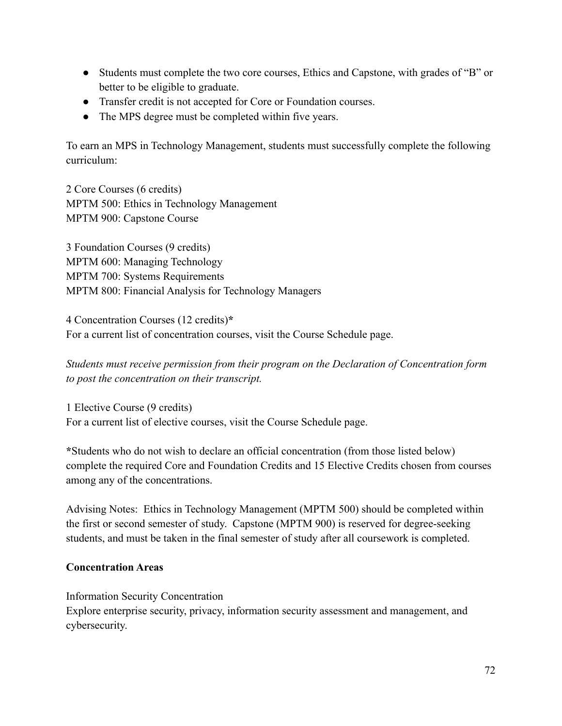- Students must complete the two core courses, Ethics and Capstone, with grades of "B" or better to be eligible to graduate.
- Transfer credit is not accepted for Core or Foundation courses.
- The MPS degree must be completed within five years.

To earn an MPS in Technology Management, students must successfully complete the following curriculum:

2 Core Courses (6 credits) MPTM 500: Ethics in Technology Management MPTM 900: Capstone Course

3 Foundation Courses (9 credits) MPTM 600: Managing Technology MPTM 700: Systems Requirements MPTM 800: Financial Analysis for Technology Managers

4 Concentration Courses (12 credits)**\*** For a current list of concentration courses, visit the Course Schedule page.

*Students must receive permission from their program on the Declaration of Concentration form to post the concentration on their transcript.*

1 Elective Course (9 credits) For a current list of elective courses, visit the Course Schedule page.

**\***Students who do not wish to declare an official concentration (from those listed below) complete the required Core and Foundation Credits and 15 Elective Credits chosen from courses among any of the concentrations.

Advising Notes: Ethics in Technology Management (MPTM 500) should be completed within the first or second semester of study. Capstone (MPTM 900) is reserved for degree-seeking students, and must be taken in the final semester of study after all coursework is completed.

### **Concentration Areas**

Information Security Concentration

Explore enterprise security, privacy, information security assessment and management, and cybersecurity.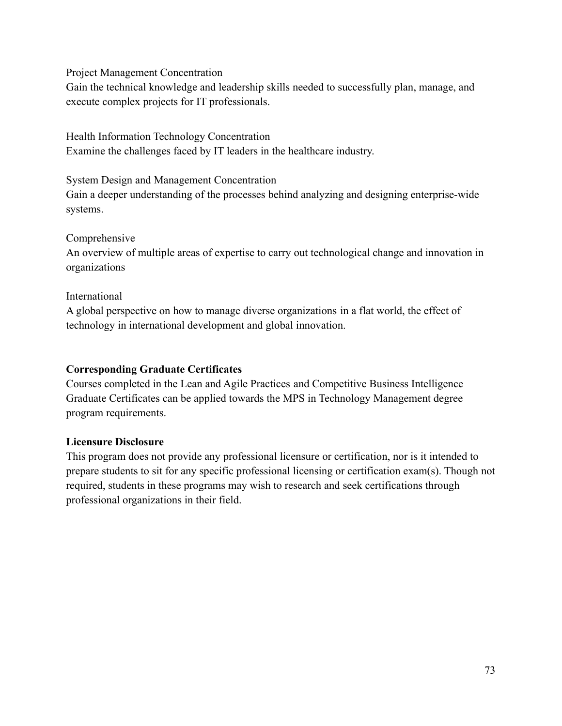Project Management Concentration

Gain the technical knowledge and leadership skills needed to successfully plan, manage, and execute complex projects for IT professionals.

Health Information Technology Concentration Examine the challenges faced by IT leaders in the healthcare industry.

System Design and Management Concentration Gain a deeper understanding of the processes behind analyzing and designing enterprise-wide systems.

Comprehensive

An overview of multiple areas of expertise to carry out technological change and innovation in organizations

### International

A global perspective on how to manage diverse organizations in a flat world, the effect of technology in international development and global innovation.

### **Corresponding Graduate Certificates**

Courses completed in the Lean and Agile Practices and Competitive Business Intelligence Graduate Certificates can be applied towards the MPS in Technology Management degree program requirements.

### **Licensure Disclosure**

This program does not provide any professional licensure or certification, nor is it intended to prepare students to sit for any specific professional licensing or certification exam(s). Though not required, students in these programs may wish to research and seek certifications through professional organizations in their field.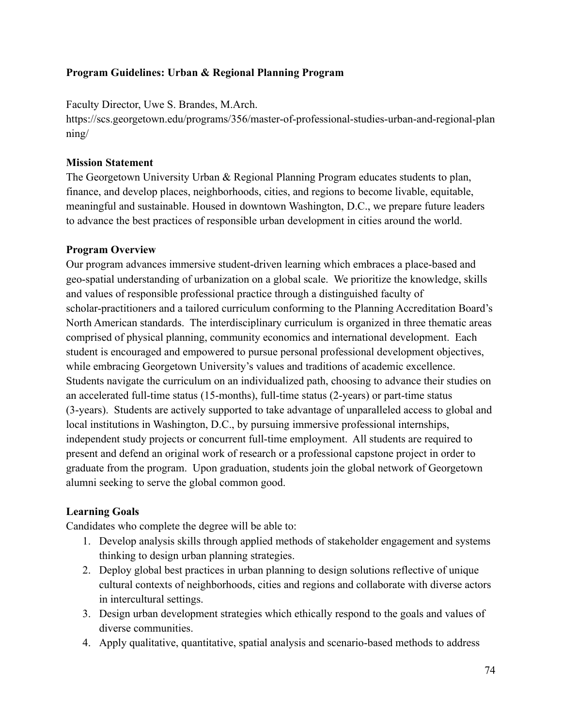### **Program Guidelines: Urban & Regional Planning Program**

Faculty Director, Uwe S. Brandes, M.Arch.

https://scs.georgetown.edu/programs/356/master-of-professional-studies-urban-and-regional-plan ning/

### **Mission Statement**

The Georgetown University Urban & Regional Planning Program educates students to plan, finance, and develop places, neighborhoods, cities, and regions to become livable, equitable, meaningful and sustainable. Housed in downtown Washington, D.C., we prepare future leaders to advance the best practices of responsible urban development in cities around the world.

### **Program Overview**

Our program advances immersive student-driven learning which embraces a place-based and geo-spatial understanding of urbanization on a global scale. We prioritize the knowledge, skills and values of responsible professional practice through a distinguished faculty of scholar-practitioners and a tailored curriculum conforming to the Planning Accreditation Board's North American standards. The interdisciplinary curriculum is organized in three thematic areas comprised of physical planning, community economics and international development. Each student is encouraged and empowered to pursue personal professional development objectives, while embracing Georgetown University's values and traditions of academic excellence. Students navigate the curriculum on an individualized path, choosing to advance their studies on an accelerated full-time status (15-months), full-time status (2-years) or part-time status (3-years). Students are actively supported to take advantage of unparalleled access to global and local institutions in Washington, D.C., by pursuing immersive professional internships, independent study projects or concurrent full-time employment. All students are required to present and defend an original work of research or a professional capstone project in order to graduate from the program. Upon graduation, students join the global network of Georgetown alumni seeking to serve the global common good.

## **Learning Goals**

Candidates who complete the degree will be able to:

- 1. Develop analysis skills through applied methods of stakeholder engagement and systems thinking to design urban planning strategies.
- 2. Deploy global best practices in urban planning to design solutions reflective of unique cultural contexts of neighborhoods, cities and regions and collaborate with diverse actors in intercultural settings.
- 3. Design urban development strategies which ethically respond to the goals and values of diverse communities.
- 4. Apply qualitative, quantitative, spatial analysis and scenario-based methods to address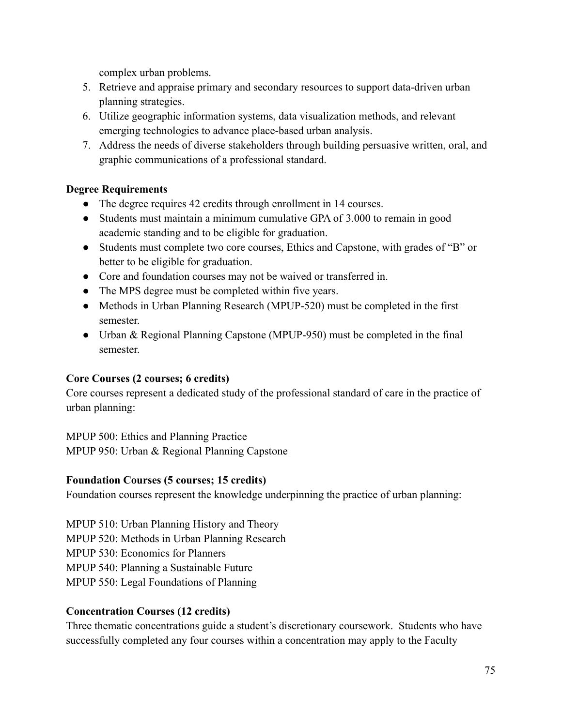complex urban problems.

- 5. Retrieve and appraise primary and secondary resources to support data-driven urban planning strategies.
- 6. Utilize geographic information systems, data visualization methods, and relevant emerging technologies to advance place-based urban analysis.
- 7. Address the needs of diverse stakeholders through building persuasive written, oral, and graphic communications of a professional standard.

## **Degree Requirements**

- The degree requires 42 credits through enrollment in 14 courses.
- Students must maintain a minimum cumulative GPA of 3.000 to remain in good academic standing and to be eligible for graduation.
- Students must complete two core courses, Ethics and Capstone, with grades of "B" or better to be eligible for graduation.
- Core and foundation courses may not be waived or transferred in.
- The MPS degree must be completed within five years.
- Methods in Urban Planning Research (MPUP-520) must be completed in the first semester.
- Urban & Regional Planning Capstone (MPUP-950) must be completed in the final semester.

## **Core Courses (2 courses; 6 credits)**

Core courses represent a dedicated study of the professional standard of care in the practice of urban planning:

MPUP 500: Ethics and Planning Practice MPUP 950: Urban & Regional Planning Capstone

# **Foundation Courses (5 courses; 15 credits)**

Foundation courses represent the knowledge underpinning the practice of urban planning:

MPUP 510: Urban Planning History and Theory

MPUP 520: Methods in Urban Planning Research

MPUP 530: Economics for Planners

MPUP 540: Planning a Sustainable Future

MPUP 550: Legal Foundations of Planning

# **Concentration Courses (12 credits)**

Three thematic concentrations guide a student's discretionary coursework. Students who have successfully completed any four courses within a concentration may apply to the Faculty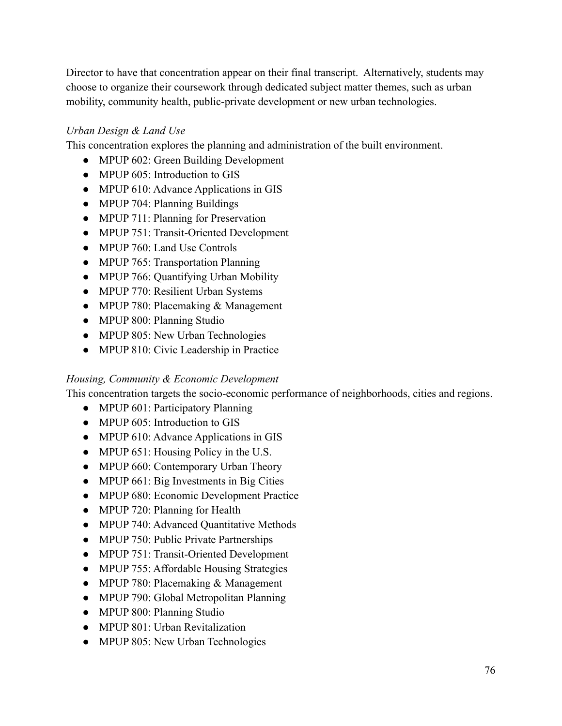Director to have that concentration appear on their final transcript. Alternatively, students may choose to organize their coursework through dedicated subject matter themes, such as urban mobility, community health, public-private development or new urban technologies.

## *Urban Design & Land Use*

This concentration explores the planning and administration of the built environment.

- MPUP 602: Green Building Development
- MPUP 605: Introduction to GIS
- MPUP 610: Advance Applications in GIS
- MPUP 704: Planning Buildings
- MPUP 711: Planning for Preservation
- MPUP 751: Transit-Oriented Development
- MPUP 760: Land Use Controls
- MPUP 765: Transportation Planning
- MPUP 766: Quantifying Urban Mobility
- MPUP 770: Resilient Urban Systems
- MPUP 780: Placemaking & Management
- MPUP 800: Planning Studio
- MPUP 805: New Urban Technologies
- MPUP 810: Civic Leadership in Practice

### *Housing, Community & Economic Development*

This concentration targets the socio-economic performance of neighborhoods, cities and regions.

- MPUP 601: Participatory Planning
- MPUP 605: Introduction to GIS
- MPUP 610: Advance Applications in GIS
- MPUP 651: Housing Policy in the U.S.
- MPUP 660: Contemporary Urban Theory
- MPUP 661: Big Investments in Big Cities
- MPUP 680: Economic Development Practice
- MPUP 720: Planning for Health
- MPUP 740: Advanced Quantitative Methods
- MPUP 750: Public Private Partnerships
- MPUP 751: Transit-Oriented Development
- MPUP 755: Affordable Housing Strategies
- MPUP 780: Placemaking & Management
- MPUP 790: Global Metropolitan Planning
- MPUP 800: Planning Studio
- MPUP 801: Urban Revitalization
- MPUP 805: New Urban Technologies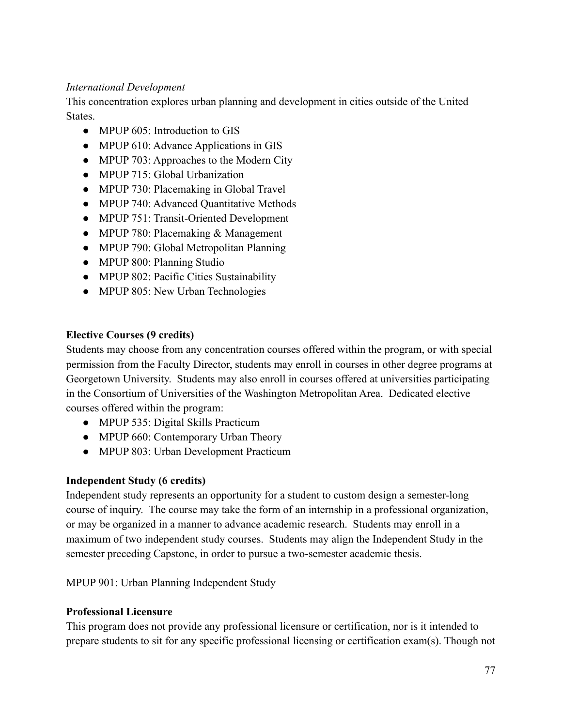### *International Development*

This concentration explores urban planning and development in cities outside of the United States.

- MPUP 605: Introduction to GIS
- MPUP 610: Advance Applications in GIS
- MPUP 703: Approaches to the Modern City
- MPUP 715: Global Urbanization
- MPUP 730: Placemaking in Global Travel
- MPUP 740: Advanced Quantitative Methods
- MPUP 751: Transit-Oriented Development
- MPUP 780: Placemaking & Management
- MPUP 790: Global Metropolitan Planning
- MPUP 800: Planning Studio
- MPUP 802: Pacific Cities Sustainability
- MPUP 805: New Urban Technologies

## **Elective Courses (9 credits)**

Students may choose from any concentration courses offered within the program, or with special permission from the Faculty Director, students may enroll in courses in other degree programs at Georgetown University. Students may also enroll in courses offered at universities participating in the Consortium of Universities of the Washington Metropolitan Area. Dedicated elective courses offered within the program:

- MPUP 535: Digital Skills Practicum
- MPUP 660: Contemporary Urban Theory
- MPUP 803: Urban Development Practicum

## **Independent Study (6 credits)**

Independent study represents an opportunity for a student to custom design a semester-long course of inquiry. The course may take the form of an internship in a professional organization, or may be organized in a manner to advance academic research. Students may enroll in a maximum of two independent study courses. Students may align the Independent Study in the semester preceding Capstone, in order to pursue a two-semester academic thesis.

MPUP 901: Urban Planning Independent Study

## **Professional Licensure**

This program does not provide any professional licensure or certification, nor is it intended to prepare students to sit for any specific professional licensing or certification exam(s). Though not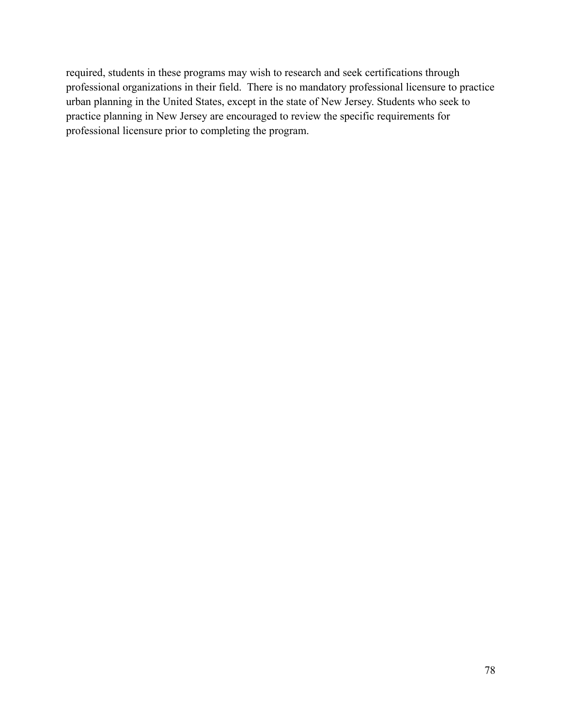required, students in these programs may wish to research and seek certifications through professional organizations in their field. There is no mandatory professional licensure to practice urban planning in the United States, except in the state of New Jersey. Students who seek to practice planning in New Jersey are encouraged to review the specific requirements for professional licensure prior to completing the program.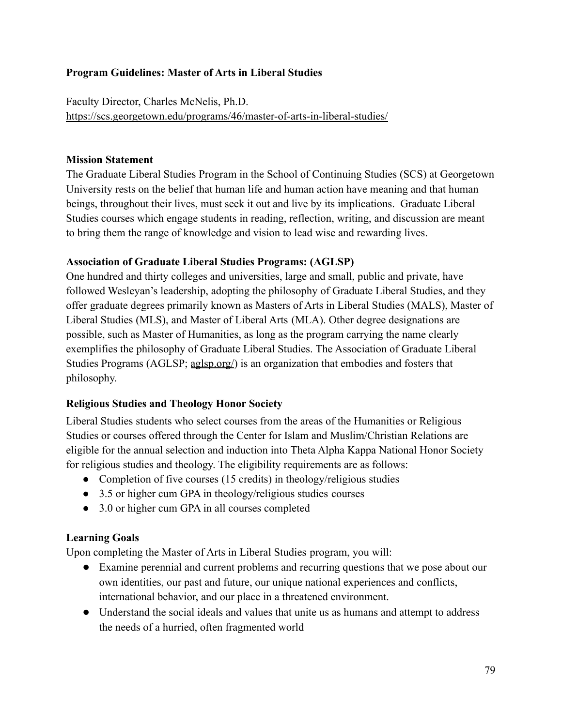### **Program Guidelines: Master of Arts in Liberal Studies**

Faculty Director, Charles McNelis, Ph.D. <https://scs.georgetown.edu/programs/46/master-of-arts-in-liberal-studies/>

### **Mission Statement**

The Graduate Liberal Studies Program in the School of Continuing Studies (SCS) at Georgetown University rests on the belief that human life and human action have meaning and that human beings, throughout their lives, must seek it out and live by its implications. Graduate Liberal Studies courses which engage students in reading, reflection, writing, and discussion are meant to bring them the range of knowledge and vision to lead wise and rewarding lives.

### **Association of Graduate Liberal Studies Programs: (AGLSP)**

One hundred and thirty colleges and universities, large and small, public and private, have followed Wesleyan's leadership, adopting the philosophy of Graduate Liberal Studies, and they offer graduate degrees primarily known as Masters of Arts in Liberal Studies (MALS), Master of Liberal Studies (MLS), and Master of Liberal Arts (MLA). Other degree designations are possible, such as Master of Humanities, as long as the program carrying the name clearly exemplifies the philosophy of Graduate Liberal Studies. The Association of Graduate Liberal Studies Programs (AGLSP; [aglsp.org/](http://aglsp.org/)) is an organization that embodies and fosters that philosophy.

## **Religious Studies and Theology Honor Society**

Liberal Studies students who select courses from the areas of the Humanities or Religious Studies or courses offered through the Center for Islam and Muslim/Christian Relations are eligible for the annual selection and induction into Theta Alpha Kappa National Honor Society for religious studies and theology. The eligibility requirements are as follows:

- Completion of five courses (15 credits) in theology/religious studies
- 3.5 or higher cum GPA in theology/religious studies courses
- 3.0 or higher cum GPA in all courses completed

### **Learning Goals**

Upon completing the Master of Arts in Liberal Studies program, you will:

- Examine perennial and current problems and recurring questions that we pose about our own identities, our past and future, our unique national experiences and conflicts, international behavior, and our place in a threatened environment.
- Understand the social ideals and values that unite us as humans and attempt to address the needs of a hurried, often fragmented world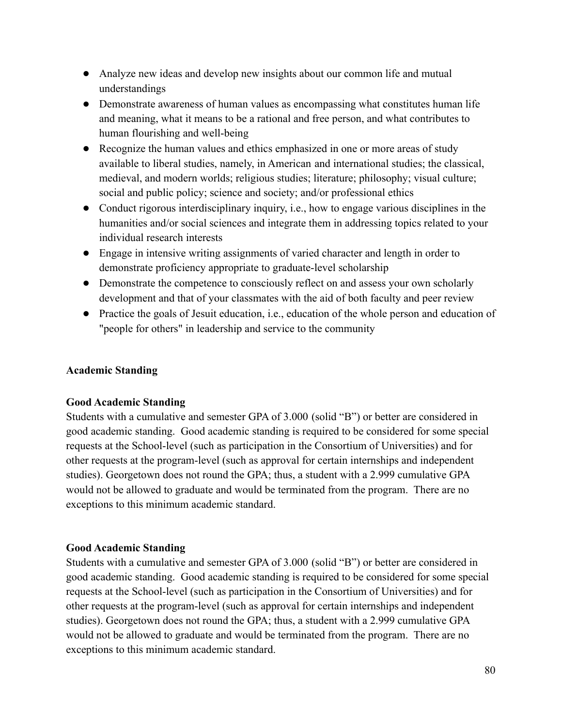- Analyze new ideas and develop new insights about our common life and mutual understandings
- Demonstrate awareness of human values as encompassing what constitutes human life and meaning, what it means to be a rational and free person, and what contributes to human flourishing and well-being
- Recognize the human values and ethics emphasized in one or more areas of study available to liberal studies, namely, in American and international studies; the classical, medieval, and modern worlds; religious studies; literature; philosophy; visual culture; social and public policy; science and society; and/or professional ethics
- Conduct rigorous interdisciplinary inquiry, i.e., how to engage various disciplines in the humanities and/or social sciences and integrate them in addressing topics related to your individual research interests
- Engage in intensive writing assignments of varied character and length in order to demonstrate proficiency appropriate to graduate-level scholarship
- Demonstrate the competence to consciously reflect on and assess your own scholarly development and that of your classmates with the aid of both faculty and peer review
- Practice the goals of Jesuit education, i.e., education of the whole person and education of "people for others" in leadership and service to the community

### **Academic Standing**

### **Good Academic Standing**

Students with a cumulative and semester GPA of 3.000 (solid "B") or better are considered in good academic standing. Good academic standing is required to be considered for some special requests at the School-level (such as participation in the Consortium of Universities) and for other requests at the program-level (such as approval for certain internships and independent studies). Georgetown does not round the GPA; thus, a student with a 2.999 cumulative GPA would not be allowed to graduate and would be terminated from the program. There are no exceptions to this minimum academic standard.

### **Good Academic Standing**

Students with a cumulative and semester GPA of 3.000 (solid "B") or better are considered in good academic standing. Good academic standing is required to be considered for some special requests at the School-level (such as participation in the Consortium of Universities) and for other requests at the program-level (such as approval for certain internships and independent studies). Georgetown does not round the GPA; thus, a student with a 2.999 cumulative GPA would not be allowed to graduate and would be terminated from the program. There are no exceptions to this minimum academic standard.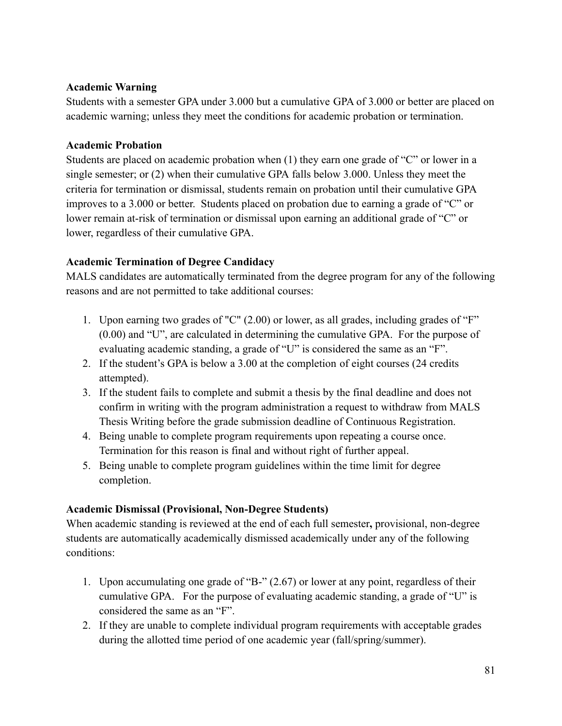### **Academic Warning**

Students with a semester GPA under 3.000 but a cumulative GPA of 3.000 or better are placed on academic warning; unless they meet the conditions for academic probation or termination.

### **Academic Probation**

Students are placed on academic probation when (1) they earn one grade of "C" or lower in a single semester; or (2) when their cumulative GPA falls below 3.000. Unless they meet the criteria for termination or dismissal, students remain on probation until their cumulative GPA improves to a 3.000 or better. Students placed on probation due to earning a grade of "C" or lower remain at-risk of termination or dismissal upon earning an additional grade of "C" or lower, regardless of their cumulative GPA.

## **Academic Termination of Degree Candidacy**

MALS candidates are automatically terminated from the degree program for any of the following reasons and are not permitted to take additional courses:

- 1. Upon earning two grades of "C" (2.00) or lower, as all grades, including grades of "F" (0.00) and "U", are calculated in determining the cumulative GPA. For the purpose of evaluating academic standing, a grade of "U" is considered the same as an "F".
- 2. If the student's GPA is below a 3.00 at the completion of eight courses (24 credits attempted).
- 3. If the student fails to complete and submit a thesis by the final deadline and does not confirm in writing with the program administration a request to withdraw from MALS Thesis Writing before the grade submission deadline of Continuous Registration.
- 4. Being unable to complete program requirements upon repeating a course once. Termination for this reason is final and without right of further appeal.
- 5. Being unable to complete program guidelines within the time limit for degree completion.

## **Academic Dismissal (Provisional, Non-Degree Students)**

When academic standing is reviewed at the end of each full semester**,** provisional, non-degree students are automatically academically dismissed academically under any of the following conditions:

- 1. Upon accumulating one grade of "B-" (2.67) or lower at any point, regardless of their cumulative GPA. For the purpose of evaluating academic standing, a grade of "U" is considered the same as an "F".
- 2. If they are unable to complete individual program requirements with acceptable grades during the allotted time period of one academic year (fall/spring/summer).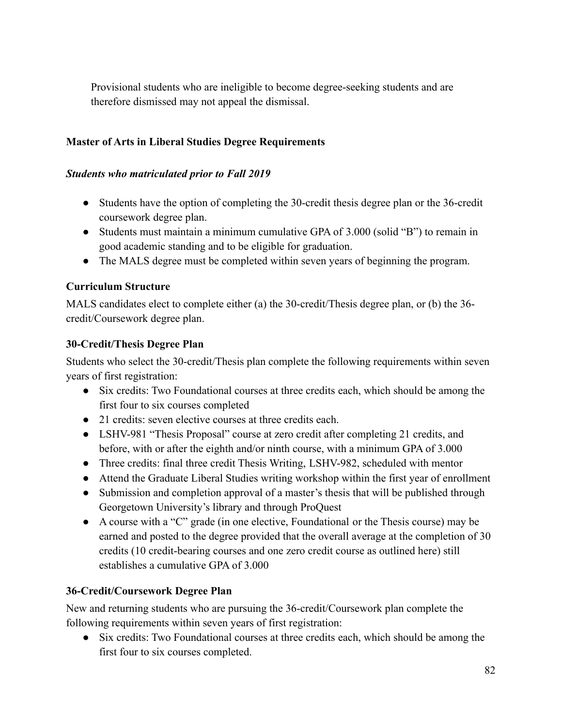Provisional students who are ineligible to become degree-seeking students and are therefore dismissed may not appeal the dismissal.

### **Master of Arts in Liberal Studies Degree Requirements**

#### *Students who matriculated prior to Fall 2019*

- Students have the option of completing the 30-credit thesis degree plan or the 36-credit coursework degree plan.
- Students must maintain a minimum cumulative GPA of 3.000 (solid "B") to remain in good academic standing and to be eligible for graduation.
- The MALS degree must be completed within seven years of beginning the program.

### **Curriculum Structure**

MALS candidates elect to complete either (a) the 30-credit/Thesis degree plan, or (b) the 36 credit/Coursework degree plan.

### **30-Credit/Thesis Degree Plan**

Students who select the 30-credit/Thesis plan complete the following requirements within seven years of first registration:

- Six credits: Two Foundational courses at three credits each, which should be among the first four to six courses completed
- 21 credits: seven elective courses at three credits each.
- LSHV-981 "Thesis Proposal" course at zero credit after completing 21 credits, and before, with or after the eighth and/or ninth course, with a minimum GPA of 3.000
- Three credits: final three credit Thesis Writing, LSHV-982, scheduled with mentor
- Attend the Graduate Liberal Studies writing workshop within the first year of enrollment
- Submission and completion approval of a master's thesis that will be published through Georgetown University's library and through ProQuest
- A course with a "C" grade (in one elective, Foundational or the Thesis course) may be earned and posted to the degree provided that the overall average at the completion of 30 credits (10 credit-bearing courses and one zero credit course as outlined here) still establishes a cumulative GPA of 3.000

### **36-Credit/Coursework Degree Plan**

New and returning students who are pursuing the 36-credit/Coursework plan complete the following requirements within seven years of first registration:

• Six credits: Two Foundational courses at three credits each, which should be among the first four to six courses completed.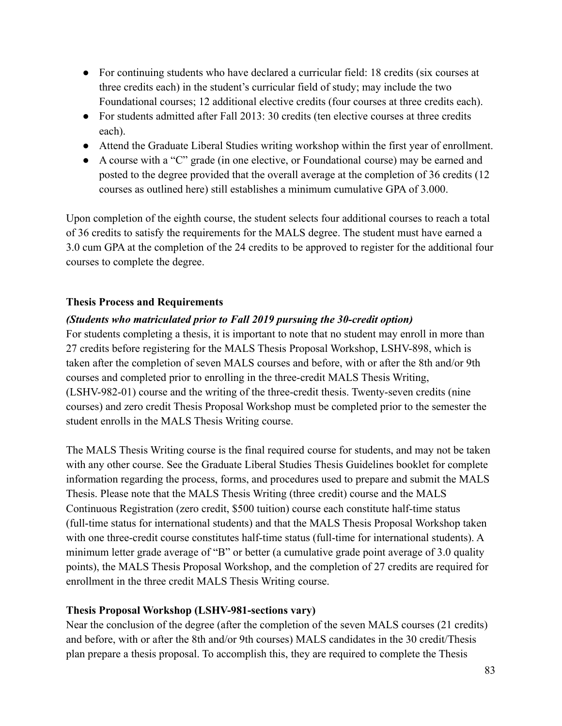- For continuing students who have declared a curricular field: 18 credits (six courses at three credits each) in the student's curricular field of study; may include the two Foundational courses; 12 additional elective credits (four courses at three credits each).
- For students admitted after Fall 2013: 30 credits (ten elective courses at three credits each).
- Attend the Graduate Liberal Studies writing workshop within the first year of enrollment.
- A course with a "C" grade (in one elective, or Foundational course) may be earned and posted to the degree provided that the overall average at the completion of 36 credits (12 courses as outlined here) still establishes a minimum cumulative GPA of 3.000.

Upon completion of the eighth course, the student selects four additional courses to reach a total of 36 credits to satisfy the requirements for the MALS degree. The student must have earned a 3.0 cum GPA at the completion of the 24 credits to be approved to register for the additional four courses to complete the degree.

### **Thesis Process and Requirements**

## *(Students who matriculated prior to Fall 2019 pursuing the 30-credit option)*

For students completing a thesis, it is important to note that no student may enroll in more than 27 credits before registering for the MALS Thesis Proposal Workshop, LSHV-898, which is taken after the completion of seven MALS courses and before, with or after the 8th and/or 9th courses and completed prior to enrolling in the three-credit MALS Thesis Writing, (LSHV-982-01) course and the writing of the three-credit thesis. Twenty-seven credits (nine courses) and zero credit Thesis Proposal Workshop must be completed prior to the semester the student enrolls in the MALS Thesis Writing course.

The MALS Thesis Writing course is the final required course for students, and may not be taken with any other course. See the Graduate Liberal Studies Thesis Guidelines booklet for complete information regarding the process, forms, and procedures used to prepare and submit the MALS Thesis. Please note that the MALS Thesis Writing (three credit) course and the MALS Continuous Registration (zero credit, \$500 tuition) course each constitute half-time status (full-time status for international students) and that the MALS Thesis Proposal Workshop taken with one three-credit course constitutes half-time status (full-time for international students). A minimum letter grade average of "B" or better (a cumulative grade point average of 3.0 quality points), the MALS Thesis Proposal Workshop, and the completion of 27 credits are required for enrollment in the three credit MALS Thesis Writing course.

### **Thesis Proposal Workshop (LSHV-981-sections vary)**

Near the conclusion of the degree (after the completion of the seven MALS courses (21 credits) and before, with or after the 8th and/or 9th courses) MALS candidates in the 30 credit/Thesis plan prepare a thesis proposal. To accomplish this, they are required to complete the Thesis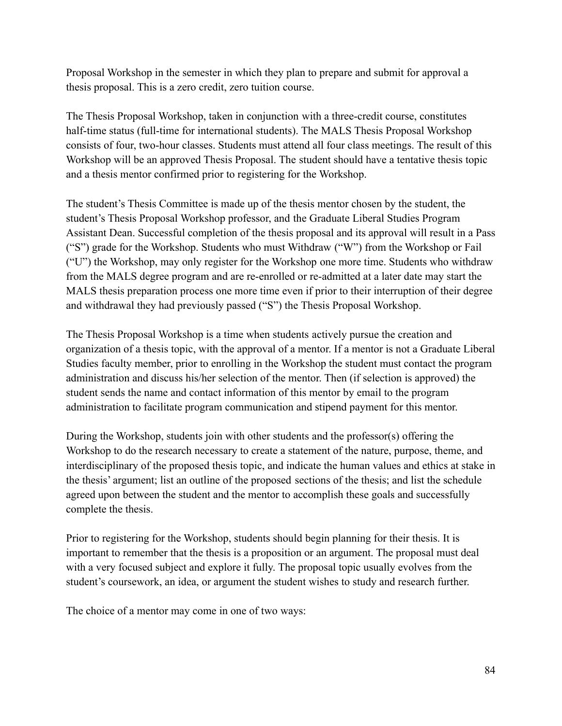Proposal Workshop in the semester in which they plan to prepare and submit for approval a thesis proposal. This is a zero credit, zero tuition course.

The Thesis Proposal Workshop, taken in conjunction with a three-credit course, constitutes half-time status (full-time for international students). The MALS Thesis Proposal Workshop consists of four, two-hour classes. Students must attend all four class meetings. The result of this Workshop will be an approved Thesis Proposal. The student should have a tentative thesis topic and a thesis mentor confirmed prior to registering for the Workshop.

The student's Thesis Committee is made up of the thesis mentor chosen by the student, the student's Thesis Proposal Workshop professor, and the Graduate Liberal Studies Program Assistant Dean. Successful completion of the thesis proposal and its approval will result in a Pass ("S") grade for the Workshop. Students who must Withdraw ("W") from the Workshop or Fail ("U") the Workshop, may only register for the Workshop one more time. Students who withdraw from the MALS degree program and are re-enrolled or re-admitted at a later date may start the MALS thesis preparation process one more time even if prior to their interruption of their degree and withdrawal they had previously passed ("S") the Thesis Proposal Workshop.

The Thesis Proposal Workshop is a time when students actively pursue the creation and organization of a thesis topic, with the approval of a mentor. If a mentor is not a Graduate Liberal Studies faculty member, prior to enrolling in the Workshop the student must contact the program administration and discuss his/her selection of the mentor. Then (if selection is approved) the student sends the name and contact information of this mentor by email to the program administration to facilitate program communication and stipend payment for this mentor.

During the Workshop, students join with other students and the professor(s) offering the Workshop to do the research necessary to create a statement of the nature, purpose, theme, and interdisciplinary of the proposed thesis topic, and indicate the human values and ethics at stake in the thesis' argument; list an outline of the proposed sections of the thesis; and list the schedule agreed upon between the student and the mentor to accomplish these goals and successfully complete the thesis.

Prior to registering for the Workshop, students should begin planning for their thesis. It is important to remember that the thesis is a proposition or an argument. The proposal must deal with a very focused subject and explore it fully. The proposal topic usually evolves from the student's coursework, an idea, or argument the student wishes to study and research further.

The choice of a mentor may come in one of two ways: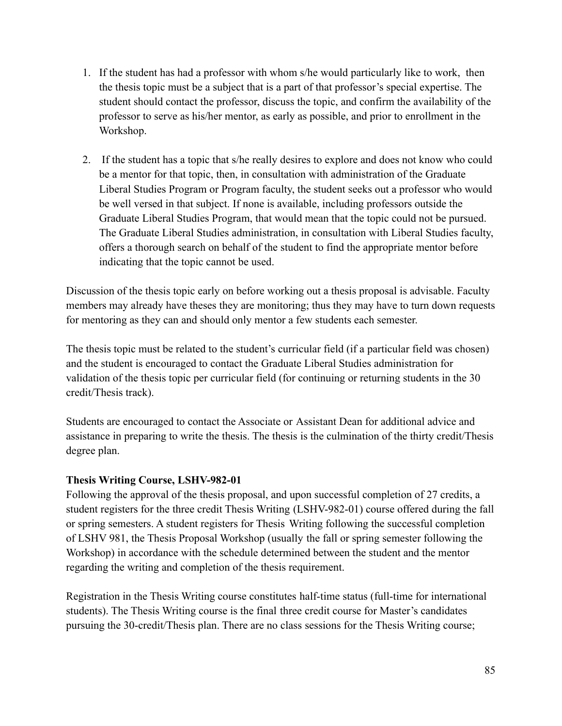- 1. If the student has had a professor with whom s/he would particularly like to work, then the thesis topic must be a subject that is a part of that professor's special expertise. The student should contact the professor, discuss the topic, and confirm the availability of the professor to serve as his/her mentor, as early as possible, and prior to enrollment in the Workshop.
- 2. If the student has a topic that s/he really desires to explore and does not know who could be a mentor for that topic, then, in consultation with administration of the Graduate Liberal Studies Program or Program faculty, the student seeks out a professor who would be well versed in that subject. If none is available, including professors outside the Graduate Liberal Studies Program, that would mean that the topic could not be pursued. The Graduate Liberal Studies administration, in consultation with Liberal Studies faculty, offers a thorough search on behalf of the student to find the appropriate mentor before indicating that the topic cannot be used.

Discussion of the thesis topic early on before working out a thesis proposal is advisable. Faculty members may already have theses they are monitoring; thus they may have to turn down requests for mentoring as they can and should only mentor a few students each semester.

The thesis topic must be related to the student's curricular field (if a particular field was chosen) and the student is encouraged to contact the Graduate Liberal Studies administration for validation of the thesis topic per curricular field (for continuing or returning students in the 30 credit/Thesis track).

Students are encouraged to contact the Associate or Assistant Dean for additional advice and assistance in preparing to write the thesis. The thesis is the culmination of the thirty credit/Thesis degree plan.

## **Thesis Writing Course, LSHV-982-01**

Following the approval of the thesis proposal, and upon successful completion of 27 credits, a student registers for the three credit Thesis Writing (LSHV-982-01) course offered during the fall or spring semesters. A student registers for Thesis Writing following the successful completion of LSHV 981, the Thesis Proposal Workshop (usually the fall or spring semester following the Workshop) in accordance with the schedule determined between the student and the mentor regarding the writing and completion of the thesis requirement.

Registration in the Thesis Writing course constitutes half-time status (full-time for international students). The Thesis Writing course is the final three credit course for Master's candidates pursuing the 30-credit/Thesis plan. There are no class sessions for the Thesis Writing course;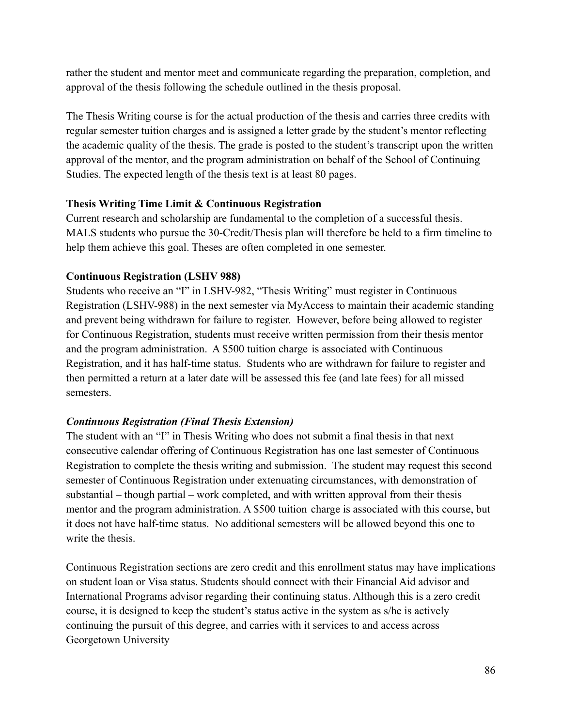rather the student and mentor meet and communicate regarding the preparation, completion, and approval of the thesis following the schedule outlined in the thesis proposal.

The Thesis Writing course is for the actual production of the thesis and carries three credits with regular semester tuition charges and is assigned a letter grade by the student's mentor reflecting the academic quality of the thesis. The grade is posted to the student's transcript upon the written approval of the mentor, and the program administration on behalf of the School of Continuing Studies. The expected length of the thesis text is at least 80 pages.

## **Thesis Writing Time Limit & Continuous Registration**

Current research and scholarship are fundamental to the completion of a successful thesis. MALS students who pursue the 30-Credit/Thesis plan will therefore be held to a firm timeline to help them achieve this goal. Theses are often completed in one semester.

## **Continuous Registration (LSHV 988)**

Students who receive an "I" in LSHV-982, "Thesis Writing" must register in Continuous Registration (LSHV-988) in the next semester via MyAccess to maintain their academic standing and prevent being withdrawn for failure to register. However, before being allowed to register for Continuous Registration, students must receive written permission from their thesis mentor and the program administration. A \$500 tuition charge is associated with Continuous Registration, and it has half-time status. Students who are withdrawn for failure to register and then permitted a return at a later date will be assessed this fee (and late fees) for all missed semesters.

# *Continuous Registration (Final Thesis Extension)*

The student with an "I" in Thesis Writing who does not submit a final thesis in that next consecutive calendar offering of Continuous Registration has one last semester of Continuous Registration to complete the thesis writing and submission. The student may request this second semester of Continuous Registration under extenuating circumstances, with demonstration of substantial – though partial – work completed, and with written approval from their thesis mentor and the program administration. A \$500 tuition charge is associated with this course, but it does not have half-time status. No additional semesters will be allowed beyond this one to write the thesis.

Continuous Registration sections are zero credit and this enrollment status may have implications on student loan or Visa status. Students should connect with their Financial Aid advisor and International Programs advisor regarding their continuing status. Although this is a zero credit course, it is designed to keep the student's status active in the system as s/he is actively continuing the pursuit of this degree, and carries with it services to and access across Georgetown University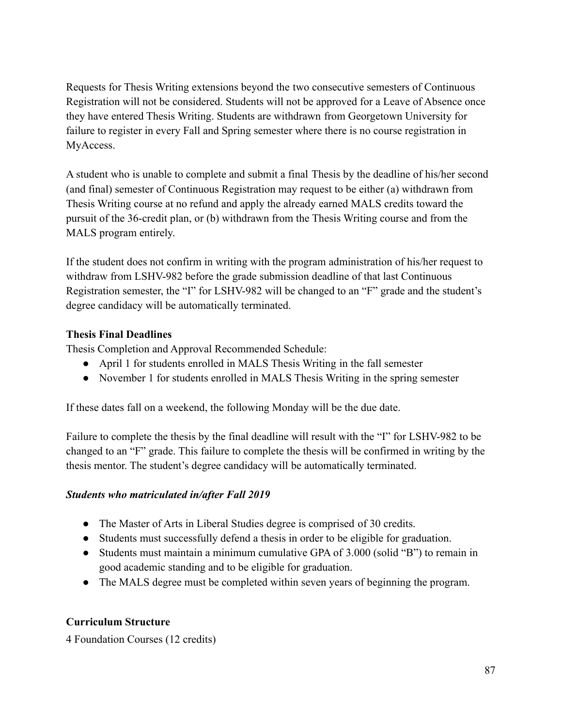Requests for Thesis Writing extensions beyond the two consecutive semesters of Continuous Registration will not be considered. Students will not be approved for a Leave of Absence once they have entered Thesis Writing. Students are withdrawn from Georgetown University for failure to register in every Fall and Spring semester where there is no course registration in MyAccess.

A student who is unable to complete and submit a final Thesis by the deadline of his/her second (and final) semester of Continuous Registration may request to be either (a) withdrawn from Thesis Writing course at no refund and apply the already earned MALS credits toward the pursuit of the 36-credit plan, or (b) withdrawn from the Thesis Writing course and from the MALS program entirely.

If the student does not confirm in writing with the program administration of his/her request to withdraw from LSHV-982 before the grade submission deadline of that last Continuous Registration semester, the "I" for LSHV-982 will be changed to an "F" grade and the student's degree candidacy will be automatically terminated.

## **Thesis Final Deadlines**

Thesis Completion and Approval Recommended Schedule:

- April 1 for students enrolled in MALS Thesis Writing in the fall semester
- November 1 for students enrolled in MALS Thesis Writing in the spring semester

If these dates fall on a weekend, the following Monday will be the due date.

Failure to complete the thesis by the final deadline will result with the "I" for LSHV-982 to be changed to an "F" grade. This failure to complete the thesis will be confirmed in writing by the thesis mentor. The student's degree candidacy will be automatically terminated.

## *Students who matriculated in/after Fall 2019*

- The Master of Arts in Liberal Studies degree is comprised of 30 credits.
- Students must successfully defend a thesis in order to be eligible for graduation.
- Students must maintain a minimum cumulative GPA of 3.000 (solid "B") to remain in good academic standing and to be eligible for graduation.
- The MALS degree must be completed within seven years of beginning the program.

## **Curriculum Structure**

4 Foundation Courses (12 credits)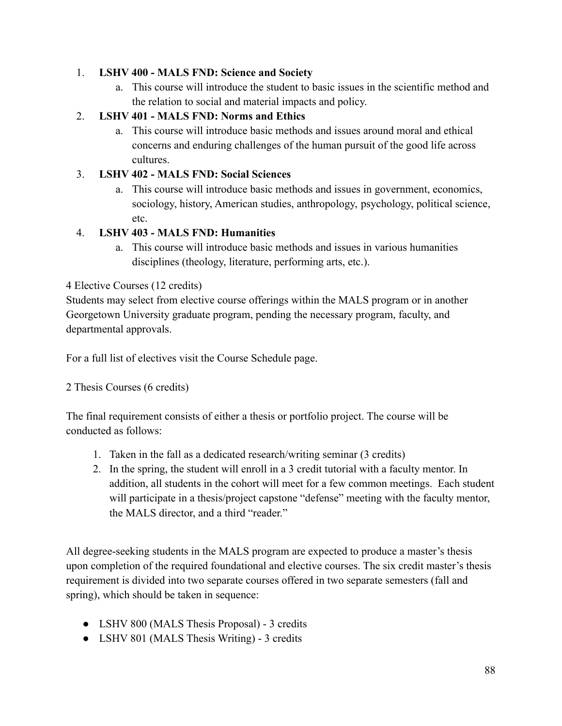### 1. **LSHV 400 - MALS FND: Science and Society**

a. This course will introduce the student to basic issues in the scientific method and the relation to social and material impacts and policy.

## 2. **LSHV 401 - MALS FND: Norms and Ethics**

a. This course will introduce basic methods and issues around moral and ethical concerns and enduring challenges of the human pursuit of the good life across cultures.

## 3. **LSHV 402 - MALS FND: Social Sciences**

a. This course will introduce basic methods and issues in government, economics, sociology, history, American studies, anthropology, psychology, political science, etc.

## 4. **LSHV 403 - MALS FND: Humanities**

a. This course will introduce basic methods and issues in various humanities disciplines (theology, literature, performing arts, etc.).

## 4 Elective Courses (12 credits)

Students may select from elective course offerings within the MALS program or in another Georgetown University graduate program, pending the necessary program, faculty, and departmental approvals.

For a full list of electives visit the Course Schedule page.

## 2 Thesis Courses (6 credits)

The final requirement consists of either a thesis or portfolio project. The course will be conducted as follows:

- 1. Taken in the fall as a dedicated research/writing seminar (3 credits)
- 2. In the spring, the student will enroll in a 3 credit tutorial with a faculty mentor. In addition, all students in the cohort will meet for a few common meetings. Each student will participate in a thesis/project capstone "defense" meeting with the faculty mentor, the MALS director, and a third "reader."

All degree-seeking students in the MALS program are expected to produce a master's thesis upon completion of the required foundational and elective courses. The six credit master's thesis requirement is divided into two separate courses offered in two separate semesters (fall and spring), which should be taken in sequence:

- LSHV 800 (MALS Thesis Proposal) 3 credits
- LSHV 801 (MALS Thesis Writing) 3 credits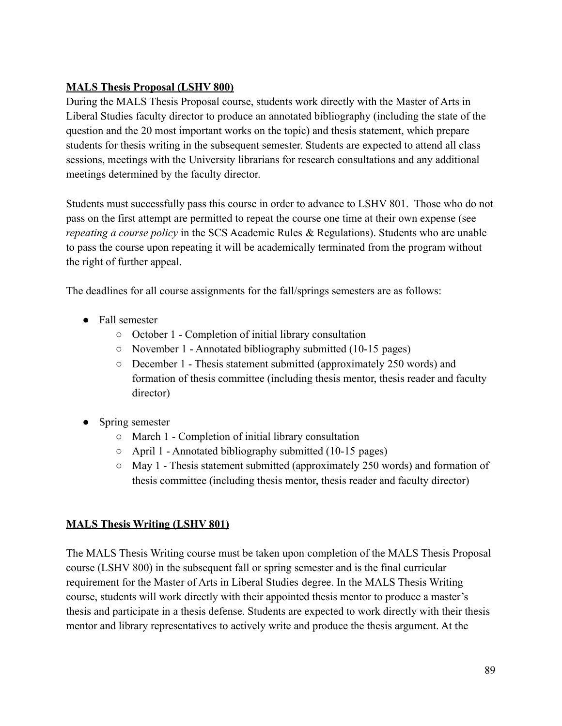## **MALS Thesis Proposal (LSHV 800)**

During the MALS Thesis Proposal course, students work directly with the Master of Arts in Liberal Studies faculty director to produce an annotated bibliography (including the state of the question and the 20 most important works on the topic) and thesis statement, which prepare students for thesis writing in the subsequent semester. Students are expected to attend all class sessions, meetings with the University librarians for research consultations and any additional meetings determined by the faculty director.

Students must successfully pass this course in order to advance to LSHV 801. Those who do not pass on the first attempt are permitted to repeat the course one time at their own expense (see *repeating a course policy* in the SCS Academic Rules & Regulations). Students who are unable to pass the course upon repeating it will be academically terminated from the program without the right of further appeal.

The deadlines for all course assignments for the fall/springs semesters are as follows:

- Fall semester
	- October 1 Completion of initial library consultation
	- November 1 Annotated bibliography submitted (10-15 pages)
	- December 1 Thesis statement submitted (approximately 250 words) and formation of thesis committee (including thesis mentor, thesis reader and faculty director)
- Spring semester
	- March 1 Completion of initial library consultation
	- April 1 Annotated bibliography submitted (10-15 pages)
	- May 1 Thesis statement submitted (approximately 250 words) and formation of thesis committee (including thesis mentor, thesis reader and faculty director)

# **MALS Thesis Writing (LSHV 801)**

The MALS Thesis Writing course must be taken upon completion of the MALS Thesis Proposal course (LSHV 800) in the subsequent fall or spring semester and is the final curricular requirement for the Master of Arts in Liberal Studies degree. In the MALS Thesis Writing course, students will work directly with their appointed thesis mentor to produce a master's thesis and participate in a thesis defense. Students are expected to work directly with their thesis mentor and library representatives to actively write and produce the thesis argument. At the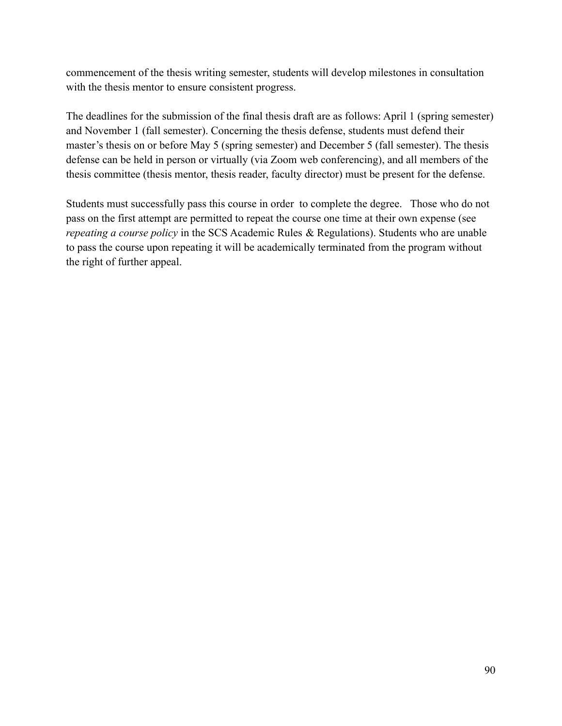commencement of the thesis writing semester, students will develop milestones in consultation with the thesis mentor to ensure consistent progress.

The deadlines for the submission of the final thesis draft are as follows: April 1 (spring semester) and November 1 (fall semester). Concerning the thesis defense, students must defend their master's thesis on or before May 5 (spring semester) and December 5 (fall semester). The thesis defense can be held in person or virtually (via Zoom web conferencing), and all members of the thesis committee (thesis mentor, thesis reader, faculty director) must be present for the defense.

Students must successfully pass this course in order to complete the degree. Those who do not pass on the first attempt are permitted to repeat the course one time at their own expense (see *repeating a course policy* in the SCS Academic Rules & Regulations). Students who are unable to pass the course upon repeating it will be academically terminated from the program without the right of further appeal.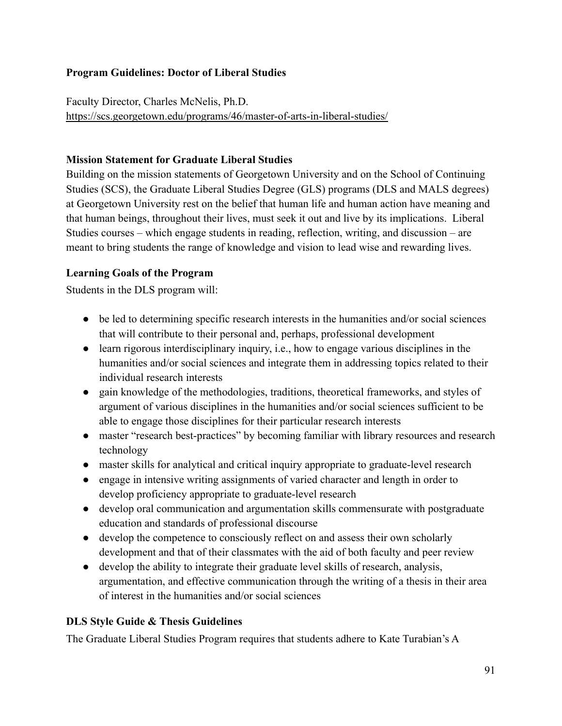### **Program Guidelines: Doctor of Liberal Studies**

Faculty Director, Charles McNelis, Ph.D. <https://scs.georgetown.edu/programs/46/master-of-arts-in-liberal-studies/>

### **Mission Statement for Graduate Liberal Studies**

Building on the mission statements of Georgetown University and on the School of Continuing Studies (SCS), the Graduate Liberal Studies Degree (GLS) programs (DLS and MALS degrees) at Georgetown University rest on the belief that human life and human action have meaning and that human beings, throughout their lives, must seek it out and live by its implications. Liberal Studies courses – which engage students in reading, reflection, writing, and discussion – are meant to bring students the range of knowledge and vision to lead wise and rewarding lives.

### **Learning Goals of the Program**

Students in the DLS program will:

- be led to determining specific research interests in the humanities and/or social sciences that will contribute to their personal and, perhaps, professional development
- learn rigorous interdisciplinary inquiry, i.e., how to engage various disciplines in the humanities and/or social sciences and integrate them in addressing topics related to their individual research interests
- gain knowledge of the methodologies, traditions, theoretical frameworks, and styles of argument of various disciplines in the humanities and/or social sciences sufficient to be able to engage those disciplines for their particular research interests
- master "research best-practices" by becoming familiar with library resources and research technology
- master skills for analytical and critical inquiry appropriate to graduate-level research
- engage in intensive writing assignments of varied character and length in order to develop proficiency appropriate to graduate-level research
- develop oral communication and argumentation skills commensurate with postgraduate education and standards of professional discourse
- develop the competence to consciously reflect on and assess their own scholarly development and that of their classmates with the aid of both faculty and peer review
- develop the ability to integrate their graduate level skills of research, analysis, argumentation, and effective communication through the writing of a thesis in their area of interest in the humanities and/or social sciences

### **DLS Style Guide & Thesis Guidelines**

The Graduate Liberal Studies Program requires that students adhere to Kate Turabian's A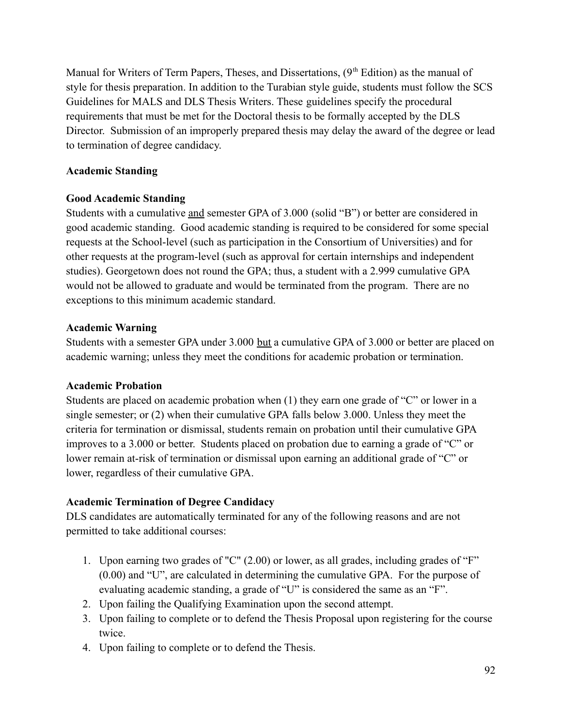Manual for Writers of Term Papers, Theses, and Dissertations,  $(9<sup>th</sup> Edition)$  as the manual of style for thesis preparation. In addition to the Turabian style guide, students must follow the SCS Guidelines for MALS and DLS Thesis Writers. These guidelines specify the procedural requirements that must be met for the Doctoral thesis to be formally accepted by the DLS Director. Submission of an improperly prepared thesis may delay the award of the degree or lead to termination of degree candidacy.

### **Academic Standing**

### **Good Academic Standing**

Students with a cumulative and semester GPA of 3.000 (solid "B") or better are considered in good academic standing. Good academic standing is required to be considered for some special requests at the School-level (such as participation in the Consortium of Universities) and for other requests at the program-level (such as approval for certain internships and independent studies). Georgetown does not round the GPA; thus, a student with a 2.999 cumulative GPA would not be allowed to graduate and would be terminated from the program. There are no exceptions to this minimum academic standard.

### **Academic Warning**

Students with a semester GPA under 3.000 but a cumulative GPA of 3.000 or better are placed on academic warning; unless they meet the conditions for academic probation or termination.

### **Academic Probation**

Students are placed on academic probation when (1) they earn one grade of "C" or lower in a single semester; or (2) when their cumulative GPA falls below 3.000. Unless they meet the criteria for termination or dismissal, students remain on probation until their cumulative GPA improves to a 3.000 or better. Students placed on probation due to earning a grade of "C" or lower remain at-risk of termination or dismissal upon earning an additional grade of "C" or lower, regardless of their cumulative GPA.

## **Academic Termination of Degree Candidacy**

DLS candidates are automatically terminated for any of the following reasons and are not permitted to take additional courses:

- 1. Upon earning two grades of "C" (2.00) or lower, as all grades, including grades of "F" (0.00) and "U", are calculated in determining the cumulative GPA. For the purpose of evaluating academic standing, a grade of "U" is considered the same as an "F".
- 2. Upon failing the Qualifying Examination upon the second attempt.
- 3. Upon failing to complete or to defend the Thesis Proposal upon registering for the course twice.
- 4. Upon failing to complete or to defend the Thesis.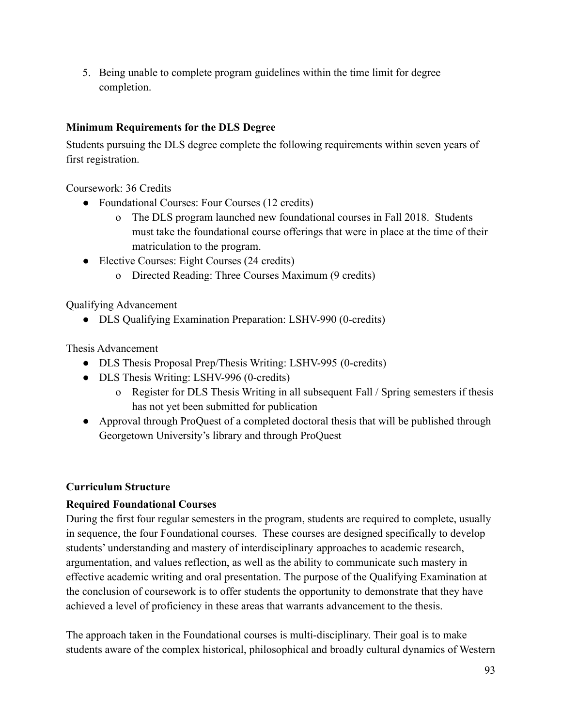5. Being unable to complete program guidelines within the time limit for degree completion.

### **Minimum Requirements for the DLS Degree**

Students pursuing the DLS degree complete the following requirements within seven years of first registration.

Coursework: 36 Credits

- Foundational Courses: Four Courses (12 credits)
	- o The DLS program launched new foundational courses in Fall 2018. Students must take the foundational course offerings that were in place at the time of their matriculation to the program.
- Elective Courses: Eight Courses (24 credits)
	- o Directed Reading: Three Courses Maximum (9 credits)

Qualifying Advancement

• DLS Qualifying Examination Preparation: LSHV-990 (0-credits)

Thesis Advancement

- DLS Thesis Proposal Prep/Thesis Writing: LSHV-995 (0-credits)
- DLS Thesis Writing: LSHV-996 (0-credits)
	- o Register for DLS Thesis Writing in all subsequent Fall / Spring semesters if thesis has not yet been submitted for publication
- Approval through ProQuest of a completed doctoral thesis that will be published through Georgetown University's library and through ProQuest

## **Curriculum Structure**

## **Required Foundational Courses**

During the first four regular semesters in the program, students are required to complete, usually in sequence, the four Foundational courses. These courses are designed specifically to develop students' understanding and mastery of interdisciplinary approaches to academic research, argumentation, and values reflection, as well as the ability to communicate such mastery in effective academic writing and oral presentation. The purpose of the Qualifying Examination at the conclusion of coursework is to offer students the opportunity to demonstrate that they have achieved a level of proficiency in these areas that warrants advancement to the thesis.

The approach taken in the Foundational courses is multi-disciplinary. Their goal is to make students aware of the complex historical, philosophical and broadly cultural dynamics of Western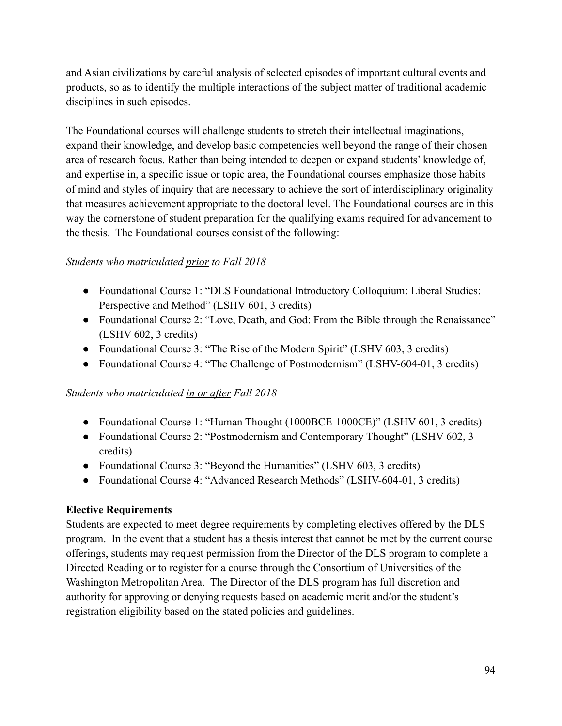and Asian civilizations by careful analysis of selected episodes of important cultural events and products, so as to identify the multiple interactions of the subject matter of traditional academic disciplines in such episodes.

The Foundational courses will challenge students to stretch their intellectual imaginations, expand their knowledge, and develop basic competencies well beyond the range of their chosen area of research focus. Rather than being intended to deepen or expand students' knowledge of, and expertise in, a specific issue or topic area, the Foundational courses emphasize those habits of mind and styles of inquiry that are necessary to achieve the sort of interdisciplinary originality that measures achievement appropriate to the doctoral level. The Foundational courses are in this way the cornerstone of student preparation for the qualifying exams required for advancement to the thesis. The Foundational courses consist of the following:

### *Students who matriculated prior to Fall 2018*

- Foundational Course 1: "DLS Foundational Introductory Colloquium: Liberal Studies: Perspective and Method" (LSHV 601, 3 credits)
- Foundational Course 2: "Love, Death, and God: From the Bible through the Renaissance" (LSHV 602, 3 credits)
- Foundational Course 3: "The Rise of the Modern Spirit" (LSHV 603, 3 credits)
- Foundational Course 4: "The Challenge of Postmodernism" (LSHV-604-01, 3 credits)

## *Students who matriculated in or after Fall 2018*

- Foundational Course 1: "Human Thought (1000BCE-1000CE)" (LSHV 601, 3 credits)
- Foundational Course 2: "Postmodernism and Contemporary Thought" (LSHV 602, 3) credits)
- Foundational Course 3: "Beyond the Humanities" (LSHV 603, 3 credits)
- Foundational Course 4: "Advanced Research Methods" (LSHV-604-01, 3 credits)

## **Elective Requirements**

Students are expected to meet degree requirements by completing electives offered by the DLS program. In the event that a student has a thesis interest that cannot be met by the current course offerings, students may request permission from the Director of the DLS program to complete a Directed Reading or to register for a course through the Consortium of Universities of the Washington Metropolitan Area. The Director of the DLS program has full discretion and authority for approving or denying requests based on academic merit and/or the student's registration eligibility based on the stated policies and guidelines.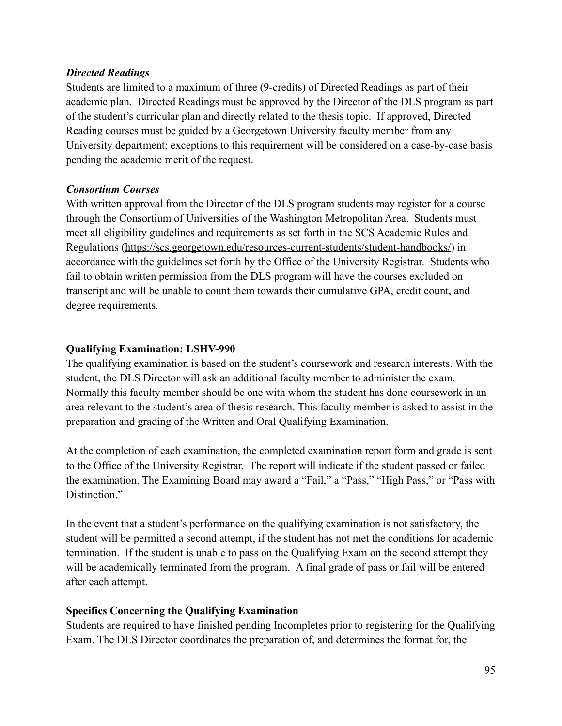### *Directed Readings*

Students are limited to a maximum of three (9-credits) of Directed Readings as part of their academic plan. Directed Readings must be approved by the Director of the DLS program as part of the student's curricular plan and directly related to the thesis topic. If approved, Directed Reading courses must be guided by a Georgetown University faculty member from any University department; exceptions to this requirement will be considered on a case-by-case basis pending the academic merit of the request.

## *Consortium Courses*

With written approval from the Director of the DLS program students may register for a course through the Consortium of Universities of the Washington Metropolitan Area. Students must meet all eligibility guidelines and requirements as set forth in the SCS Academic Rules and Regulations [\(https://scs.georgetown.edu/resources-current-students/student-handbooks/](https://scs.georgetown.edu/resources-current-students/student-handbooks/)) in accordance with the guidelines set forth by the Office of the University Registrar. Students who fail to obtain written permission from the DLS program will have the courses excluded on transcript and will be unable to count them towards their cumulative GPA, credit count, and degree requirements.

## **Qualifying Examination: LSHV-990**

The qualifying examination is based on the student's coursework and research interests. With the student, the DLS Director will ask an additional faculty member to administer the exam. Normally this faculty member should be one with whom the student has done coursework in an area relevant to the student's area of thesis research. This faculty member is asked to assist in the preparation and grading of the Written and Oral Qualifying Examination.

At the completion of each examination, the completed examination report form and grade is sent to the Office of the University Registrar. The report will indicate if the student passed or failed the examination. The Examining Board may award a "Fail," a "Pass," "High Pass," or "Pass with Distinction."

In the event that a student's performance on the qualifying examination is not satisfactory, the student will be permitted a second attempt, if the student has not met the conditions for academic termination. If the student is unable to pass on the Qualifying Exam on the second attempt they will be academically terminated from the program. A final grade of pass or fail will be entered after each attempt.

## **Specifics Concerning the Qualifying Examination**

Students are required to have finished pending Incompletes prior to registering for the Qualifying Exam. The DLS Director coordinates the preparation of, and determines the format for, the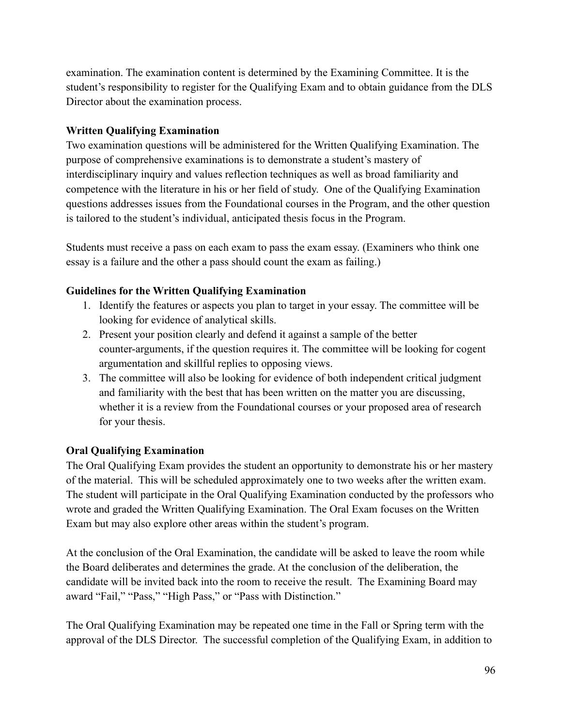examination. The examination content is determined by the Examining Committee. It is the student's responsibility to register for the Qualifying Exam and to obtain guidance from the DLS Director about the examination process.

## **Written Qualifying Examination**

Two examination questions will be administered for the Written Qualifying Examination. The purpose of comprehensive examinations is to demonstrate a student's mastery of interdisciplinary inquiry and values reflection techniques as well as broad familiarity and competence with the literature in his or her field of study. One of the Qualifying Examination questions addresses issues from the Foundational courses in the Program, and the other question is tailored to the student's individual, anticipated thesis focus in the Program.

Students must receive a pass on each exam to pass the exam essay. (Examiners who think one essay is a failure and the other a pass should count the exam as failing.)

# **Guidelines for the Written Qualifying Examination**

- 1. Identify the features or aspects you plan to target in your essay. The committee will be looking for evidence of analytical skills.
- 2. Present your position clearly and defend it against a sample of the better counter-arguments, if the question requires it. The committee will be looking for cogent argumentation and skillful replies to opposing views.
- 3. The committee will also be looking for evidence of both independent critical judgment and familiarity with the best that has been written on the matter you are discussing, whether it is a review from the Foundational courses or your proposed area of research for your thesis.

# **Oral Qualifying Examination**

The Oral Qualifying Exam provides the student an opportunity to demonstrate his or her mastery of the material. This will be scheduled approximately one to two weeks after the written exam. The student will participate in the Oral Qualifying Examination conducted by the professors who wrote and graded the Written Qualifying Examination. The Oral Exam focuses on the Written Exam but may also explore other areas within the student's program.

At the conclusion of the Oral Examination, the candidate will be asked to leave the room while the Board deliberates and determines the grade. At the conclusion of the deliberation, the candidate will be invited back into the room to receive the result. The Examining Board may award "Fail," "Pass," "High Pass," or "Pass with Distinction."

The Oral Qualifying Examination may be repeated one time in the Fall or Spring term with the approval of the DLS Director. The successful completion of the Qualifying Exam, in addition to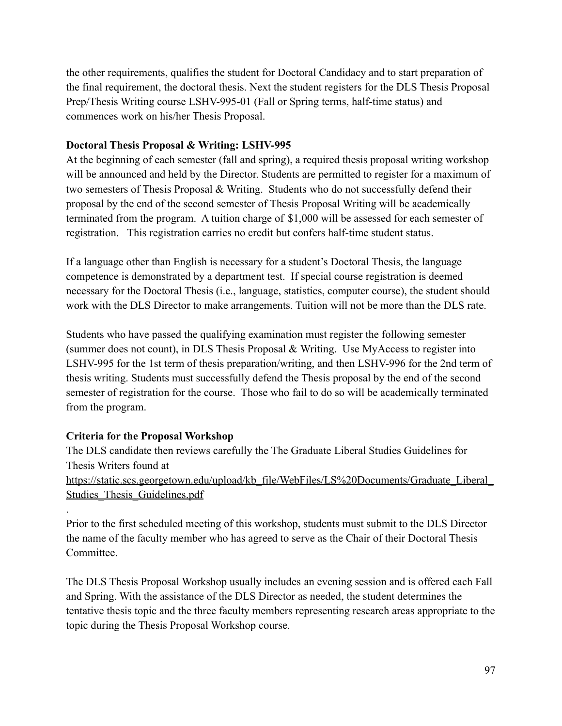the other requirements, qualifies the student for Doctoral Candidacy and to start preparation of the final requirement, the doctoral thesis. Next the student registers for the DLS Thesis Proposal Prep/Thesis Writing course LSHV-995-01 (Fall or Spring terms, half-time status) and commences work on his/her Thesis Proposal.

### **Doctoral Thesis Proposal & Writing: LSHV-995**

At the beginning of each semester (fall and spring), a required thesis proposal writing workshop will be announced and held by the Director. Students are permitted to register for a maximum of two semesters of Thesis Proposal & Writing. Students who do not successfully defend their proposal by the end of the second semester of Thesis Proposal Writing will be academically terminated from the program. A tuition charge of \$1,000 will be assessed for each semester of registration. This registration carries no credit but confers half-time student status.

If a language other than English is necessary for a student's Doctoral Thesis, the language competence is demonstrated by a department test. If special course registration is deemed necessary for the Doctoral Thesis (i.e., language, statistics, computer course), the student should work with the DLS Director to make arrangements. Tuition will not be more than the DLS rate.

Students who have passed the qualifying examination must register the following semester (summer does not count), in DLS Thesis Proposal & Writing. Use MyAccess to register into LSHV-995 for the 1st term of thesis preparation/writing, and then LSHV-996 for the 2nd term of thesis writing. Students must successfully defend the Thesis proposal by the end of the second semester of registration for the course. Those who fail to do so will be academically terminated from the program.

## **Criteria for the Proposal Workshop**

.

The DLS candidate then reviews carefully the The Graduate Liberal Studies Guidelines for Thesis Writers found at [https://static.scs.georgetown.edu/upload/kb\\_file/WebFiles/LS%20Documents/Graduate\\_Liberal\\_](https://static.scs.georgetown.edu/upload/kb_file/WebFiles/LS%20Documents/Graduate_Liberal_Studies_Thesis_Guidelines.pdf) Studies Thesis Guidelines.pdf

Prior to the first scheduled meeting of this workshop, students must submit to the DLS Director the name of the faculty member who has agreed to serve as the Chair of their Doctoral Thesis **Committee** 

The DLS Thesis Proposal Workshop usually includes an evening session and is offered each Fall and Spring. With the assistance of the DLS Director as needed, the student determines the tentative thesis topic and the three faculty members representing research areas appropriate to the topic during the Thesis Proposal Workshop course.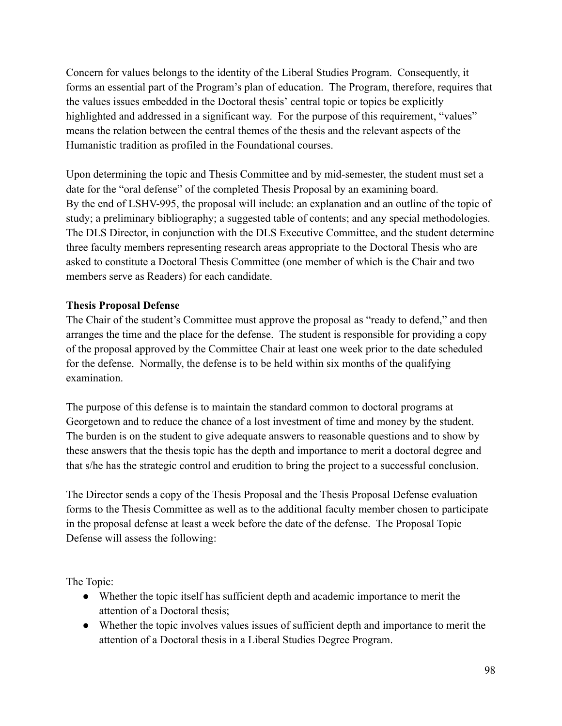Concern for values belongs to the identity of the Liberal Studies Program. Consequently, it forms an essential part of the Program's plan of education. The Program, therefore, requires that the values issues embedded in the Doctoral thesis' central topic or topics be explicitly highlighted and addressed in a significant way. For the purpose of this requirement, "values" means the relation between the central themes of the thesis and the relevant aspects of the Humanistic tradition as profiled in the Foundational courses.

Upon determining the topic and Thesis Committee and by mid-semester, the student must set a date for the "oral defense" of the completed Thesis Proposal by an examining board. By the end of LSHV-995, the proposal will include: an explanation and an outline of the topic of study; a preliminary bibliography; a suggested table of contents; and any special methodologies. The DLS Director, in conjunction with the DLS Executive Committee, and the student determine three faculty members representing research areas appropriate to the Doctoral Thesis who are asked to constitute a Doctoral Thesis Committee (one member of which is the Chair and two members serve as Readers) for each candidate.

### **Thesis Proposal Defense**

The Chair of the student's Committee must approve the proposal as "ready to defend," and then arranges the time and the place for the defense. The student is responsible for providing a copy of the proposal approved by the Committee Chair at least one week prior to the date scheduled for the defense. Normally, the defense is to be held within six months of the qualifying examination.

The purpose of this defense is to maintain the standard common to doctoral programs at Georgetown and to reduce the chance of a lost investment of time and money by the student. The burden is on the student to give adequate answers to reasonable questions and to show by these answers that the thesis topic has the depth and importance to merit a doctoral degree and that s/he has the strategic control and erudition to bring the project to a successful conclusion.

The Director sends a copy of the Thesis Proposal and the Thesis Proposal Defense evaluation forms to the Thesis Committee as well as to the additional faculty member chosen to participate in the proposal defense at least a week before the date of the defense. The Proposal Topic Defense will assess the following:

The Topic:

- Whether the topic itself has sufficient depth and academic importance to merit the attention of a Doctoral thesis;
- Whether the topic involves values issues of sufficient depth and importance to merit the attention of a Doctoral thesis in a Liberal Studies Degree Program.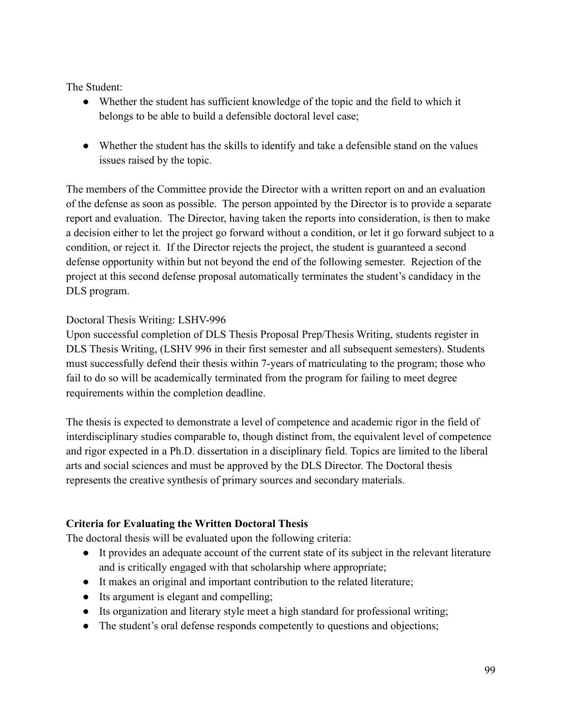The Student:

- Whether the student has sufficient knowledge of the topic and the field to which it belongs to be able to build a defensible doctoral level case;
- Whether the student has the skills to identify and take a defensible stand on the values issues raised by the topic.

The members of the Committee provide the Director with a written report on and an evaluation of the defense as soon as possible. The person appointed by the Director is to provide a separate report and evaluation. The Director, having taken the reports into consideration, is then to make a decision either to let the project go forward without a condition, or let it go forward subject to a condition, or reject it. If the Director rejects the project, the student is guaranteed a second defense opportunity within but not beyond the end of the following semester. Rejection of the project at this second defense proposal automatically terminates the student's candidacy in the DLS program.

### Doctoral Thesis Writing: LSHV-996

Upon successful completion of DLS Thesis Proposal Prep/Thesis Writing, students register in DLS Thesis Writing, (LSHV 996 in their first semester and all subsequent semesters). Students must successfully defend their thesis within 7-years of matriculating to the program; those who fail to do so will be academically terminated from the program for failing to meet degree requirements within the completion deadline.

The thesis is expected to demonstrate a level of competence and academic rigor in the field of interdisciplinary studies comparable to, though distinct from, the equivalent level of competence and rigor expected in a Ph.D. dissertation in a disciplinary field. Topics are limited to the liberal arts and social sciences and must be approved by the DLS Director. The Doctoral thesis represents the creative synthesis of primary sources and secondary materials.

## **Criteria for Evaluating the Written Doctoral Thesis**

The doctoral thesis will be evaluated upon the following criteria:

- It provides an adequate account of the current state of its subject in the relevant literature and is critically engaged with that scholarship where appropriate;
- It makes an original and important contribution to the related literature;
- Its argument is elegant and compelling;
- Its organization and literary style meet a high standard for professional writing;
- The student's oral defense responds competently to questions and objections;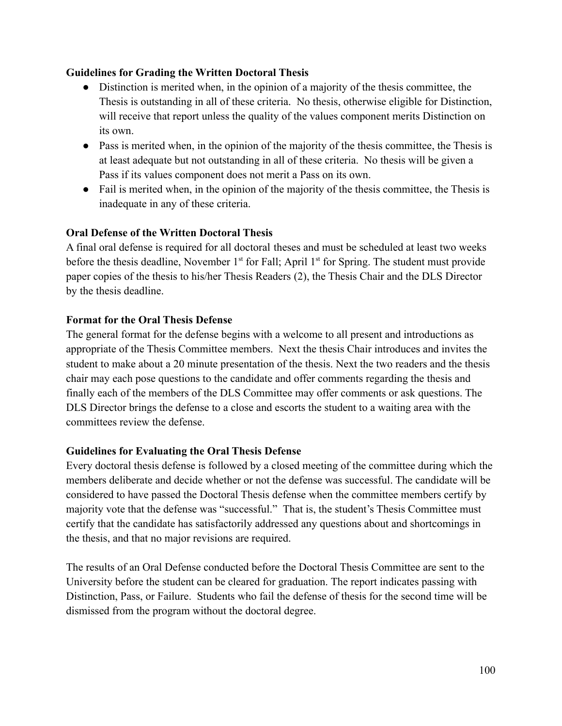### **Guidelines for Grading the Written Doctoral Thesis**

- Distinction is merited when, in the opinion of a majority of the thesis committee, the Thesis is outstanding in all of these criteria. No thesis, otherwise eligible for Distinction, will receive that report unless the quality of the values component merits Distinction on its own.
- Pass is merited when, in the opinion of the majority of the thesis committee, the Thesis is at least adequate but not outstanding in all of these criteria. No thesis will be given a Pass if its values component does not merit a Pass on its own.
- Fail is merited when, in the opinion of the majority of the thesis committee, the Thesis is inadequate in any of these criteria.

### **Oral Defense of the Written Doctoral Thesis**

A final oral defense is required for all doctoral theses and must be scheduled at least two weeks before the thesis deadline, November  $1<sup>st</sup>$  for Fall; April  $1<sup>st</sup>$  for Spring. The student must provide paper copies of the thesis to his/her Thesis Readers (2), the Thesis Chair and the DLS Director by the thesis deadline.

#### **Format for the Oral Thesis Defense**

The general format for the defense begins with a welcome to all present and introductions as appropriate of the Thesis Committee members. Next the thesis Chair introduces and invites the student to make about a 20 minute presentation of the thesis. Next the two readers and the thesis chair may each pose questions to the candidate and offer comments regarding the thesis and finally each of the members of the DLS Committee may offer comments or ask questions. The DLS Director brings the defense to a close and escorts the student to a waiting area with the committees review the defense.

#### **Guidelines for Evaluating the Oral Thesis Defense**

Every doctoral thesis defense is followed by a closed meeting of the committee during which the members deliberate and decide whether or not the defense was successful. The candidate will be considered to have passed the Doctoral Thesis defense when the committee members certify by majority vote that the defense was "successful." That is, the student's Thesis Committee must certify that the candidate has satisfactorily addressed any questions about and shortcomings in the thesis, and that no major revisions are required.

The results of an Oral Defense conducted before the Doctoral Thesis Committee are sent to the University before the student can be cleared for graduation. The report indicates passing with Distinction, Pass, or Failure. Students who fail the defense of thesis for the second time will be dismissed from the program without the doctoral degree.